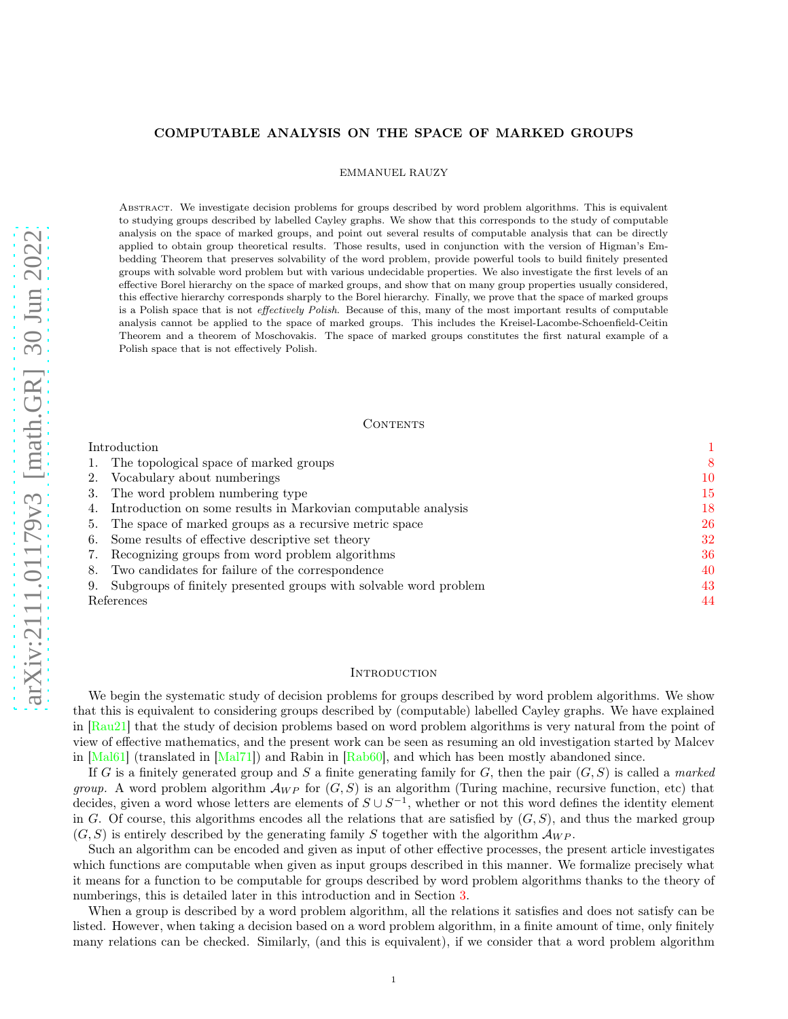# COMPUTABLE ANALYSIS ON THE SPACE OF MARKED GROUPS

EMMANUEL RAUZY

ABSTRACT. We investigate decision problems for groups described by word problem algorithms. This is equivalent to studying groups described by labelled Cayley graphs. We show that this corresponds to the study of computable analysis on the space of marked groups, and point out several results of computable analysis that can be directly applied to obtain group theoretical results. Those results, used in conjunction with the version of Higman's Embedding Theorem that preserves solvability of the word problem, provide powerful tools to build finitely presented groups with solvable word problem but with various undecidable properties. We also investigate the first levels of an effective Borel hierarchy on the space of marked groups, and show that on many group properties usually considered, this effective hierarchy corresponds sharply to the Borel hierarchy. Finally, we prove that the space of marked groups is a Polish space that is not effectively Polish. Because of this, many of the most important results of computable analysis cannot be applied to the space of marked groups. This includes the Kreisel-Lacombe-Schoenfield-Ceitin Theorem and a theorem of Moschovakis. The space of marked groups constitutes the first natural example of a Polish space that is not effectively Polish.

#### CONTENTS

| Introduction |                                                                      |    |
|--------------|----------------------------------------------------------------------|----|
|              | 1. The topological space of marked groups                            | 8  |
|              | 2. Vocabulary about numberings                                       | 10 |
|              | 3. The word problem numbering type                                   | 15 |
|              | 4. Introduction on some results in Markovian computable analysis     | 18 |
|              | 5. The space of marked groups as a recursive metric space            | 26 |
|              | 6. Some results of effective descriptive set theory                  | 32 |
|              | 7. Recognizing groups from word problem algorithms                   | 36 |
|              | 8. Two candidates for failure of the correspondence                  | 40 |
|              | 9. Subgroups of finitely presented groups with solvable word problem | 43 |
| References   |                                                                      |    |

#### <span id="page-0-0"></span>**INTRODUCTION**

We begin the systematic study of decision problems for groups described by word problem algorithms. We show that this is equivalent to considering groups described by (computable) labelled Cayley graphs. We have explained in [\[Rau21\]](#page-44-0) that the study of decision problems based on word problem algorithms is very natural from the point of view of effective mathematics, and the present work can be seen as resuming an old investigation started by Malcev in [\[Mal61\]](#page-44-1) (translated in [\[Mal71\]](#page-44-2)) and Rabin in [\[Rab60\]](#page-44-3), and which has been mostly abandoned since.

If G is a finitely generated group and S a finite generating family for G, then the pair  $(G, S)$  is called a marked group. A word problem algorithm  $\mathcal{A}_{WP}$  for  $(G, S)$  is an algorithm (Turing machine, recursive function, etc) that decides, given a word whose letters are elements of  $S \cup S^{-1}$ , whether or not this word defines the identity element in G. Of course, this algorithms encodes all the relations that are satisfied by  $(G, S)$ , and thus the marked group  $(G, S)$  is entirely described by the generating family S together with the algorithm  $\mathcal{A}_{WP}$ .

Such an algorithm can be encoded and given as input of other effective processes, the present article investigates which functions are computable when given as input groups described in this manner. We formalize precisely what it means for a function to be computable for groups described by word problem algorithms thanks to the theory of numberings, this is detailed later in this introduction and in Section [3.](#page-14-0)

When a group is described by a word problem algorithm, all the relations it satisfies and does not satisfy can be listed. However, when taking a decision based on a word problem algorithm, in a finite amount of time, only finitely many relations can be checked. Similarly, (and this is equivalent), if we consider that a word problem algorithm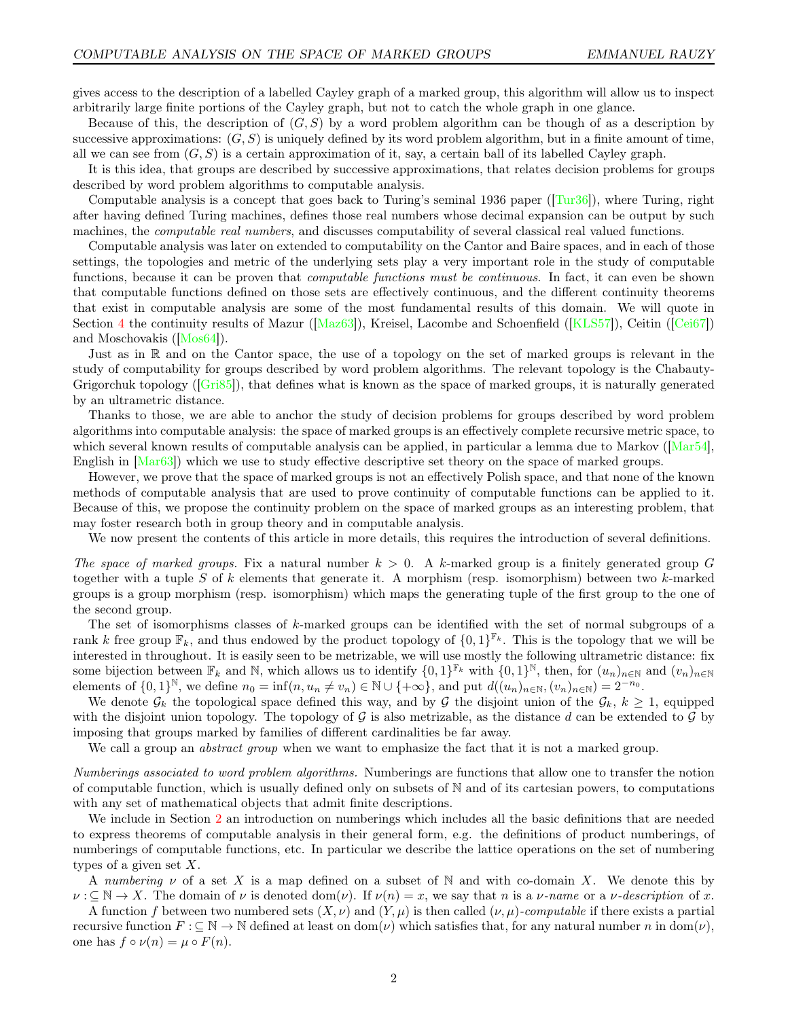gives access to the description of a labelled Cayley graph of a marked group, this algorithm will allow us to inspect arbitrarily large finite portions of the Cayley graph, but not to catch the whole graph in one glance.

Because of this, the description of  $(G, S)$  by a word problem algorithm can be though of as a description by successive approximations:  $(G, S)$  is uniquely defined by its word problem algorithm, but in a finite amount of time, all we can see from  $(G, S)$  is a certain approximation of it, say, a certain ball of its labelled Cayley graph.

It is this idea, that groups are described by successive approximations, that relates decision problems for groups described by word problem algorithms to computable analysis.

Computable analysis is a concept that goes back to Turing's seminal 1936 paper ([\[Tur36\]](#page-45-0)), where Turing, right after having defined Turing machines, defines those real numbers whose decimal expansion can be output by such machines, the *computable real numbers*, and discusses computability of several classical real valued functions.

Computable analysis was later on extended to computability on the Cantor and Baire spaces, and in each of those settings, the topologies and metric of the underlying sets play a very important role in the study of computable functions, because it can be proven that *computable functions must be continuous*. In fact, it can even be shown that computable functions defined on those sets are effectively continuous, and the different continuity theorems that exist in computable analysis are some of the most fundamental results of this domain. We will quote in Section [4](#page-17-0) the continuity results of Mazur ([\[Maz63\]](#page-44-4)), Kreisel, Lacombe and Schoenfield ([\[KLS57\]](#page-44-5)), Ceitin ([\[Cei67\]](#page-43-1)) and Moschovakis ([\[Mos64\]](#page-44-6)).

Just as in R and on the Cantor space, the use of a topology on the set of marked groups is relevant in the study of computability for groups described by word problem algorithms. The relevant topology is the Chabauty-Grigorchuk topology ([\[Gri85\]](#page-43-2)), that defines what is known as the space of marked groups, it is naturally generated by an ultrametric distance.

Thanks to those, we are able to anchor the study of decision problems for groups described by word problem algorithms into computable analysis: the space of marked groups is an effectively complete recursive metric space, to which several known results of computable analysis can be applied, in particular a lemma due to Markov ([\[Mar54\]](#page-44-7), English in [\[Mar63\]](#page-44-8)) which we use to study effective descriptive set theory on the space of marked groups.

However, we prove that the space of marked groups is not an effectively Polish space, and that none of the known methods of computable analysis that are used to prove continuity of computable functions can be applied to it. Because of this, we propose the continuity problem on the space of marked groups as an interesting problem, that may foster research both in group theory and in computable analysis.

We now present the contents of this article in more details, this requires the introduction of several definitions.

The space of marked groups. Fix a natural number  $k > 0$ . A k-marked group is a finitely generated group G together with a tuple S of k elements that generate it. A morphism (resp. isomorphism) between two k-marked groups is a group morphism (resp. isomorphism) which maps the generating tuple of the first group to the one of the second group.

The set of isomorphisms classes of k-marked groups can be identified with the set of normal subgroups of a rank k free group  $\mathbb{F}_k$ , and thus endowed by the product topology of  $\{0,1\}^{\mathbb{F}_k}$ . This is the topology that we will be interested in throughout. It is easily seen to be metrizable, we will use mostly the following ultrametric distance: fix some bijection between  $\mathbb{F}_k$  and N, which allows us to identify  $\{0,1\}^{\mathbb{F}_k}$  with  $\{0,1\}^{\mathbb{N}}$ , then, for  $(u_n)_{n\in\mathbb{N}}$  and  $(v_n)_{n\in\mathbb{N}}$ elements of  $\{0,1\}^{\mathbb{N}},$  we define  $n_0 = \inf(n, u_n \neq v_n) \in \mathbb{N} \cup \{+\infty\}$ , and put  $d((u_n)_{n \in \mathbb{N}}, (v_n)_{n \in \mathbb{N}}) = 2^{-n_0}$ .

We denote  $\mathcal{G}_k$  the topological space defined this way, and by G the disjoint union of the  $\mathcal{G}_k$ ,  $k \geq 1$ , equipped with the disjoint union topology. The topology of  $G$  is also metrizable, as the distance d can be extended to  $G$  by imposing that groups marked by families of different cardinalities be far away.

We call a group an *abstract group* when we want to emphasize the fact that it is not a marked group.

Numberings associated to word problem algorithms. Numberings are functions that allow one to transfer the notion of computable function, which is usually defined only on subsets of N and of its cartesian powers, to computations with any set of mathematical objects that admit finite descriptions.

We include in Section [2](#page-9-0) an introduction on numberings which includes all the basic definitions that are needed to express theorems of computable analysis in their general form, e.g. the definitions of product numberings, of numberings of computable functions, etc. In particular we describe the lattice operations on the set of numbering types of a given set  $X$ .

A numbering  $\nu$  of a set X is a map defined on a subset of N and with co-domain X. We denote this by  $\nu : \subseteq \mathbb{N} \to X$ . The domain of  $\nu$  is denoted dom( $\nu$ ). If  $\nu(n) = x$ , we say that n is a  $\nu$ -name or a  $\nu$ -description of x.

A function f between two numbered sets  $(X, \nu)$  and  $(Y, \mu)$  is then called  $(\nu, \mu)$ -computable if there exists a partial recursive function  $F : \subseteq \mathbb{N} \to \mathbb{N}$  defined at least on dom( $\nu$ ) which satisfies that, for any natural number n in dom( $\nu$ ), one has  $f \circ \nu(n) = \mu \circ F(n)$ .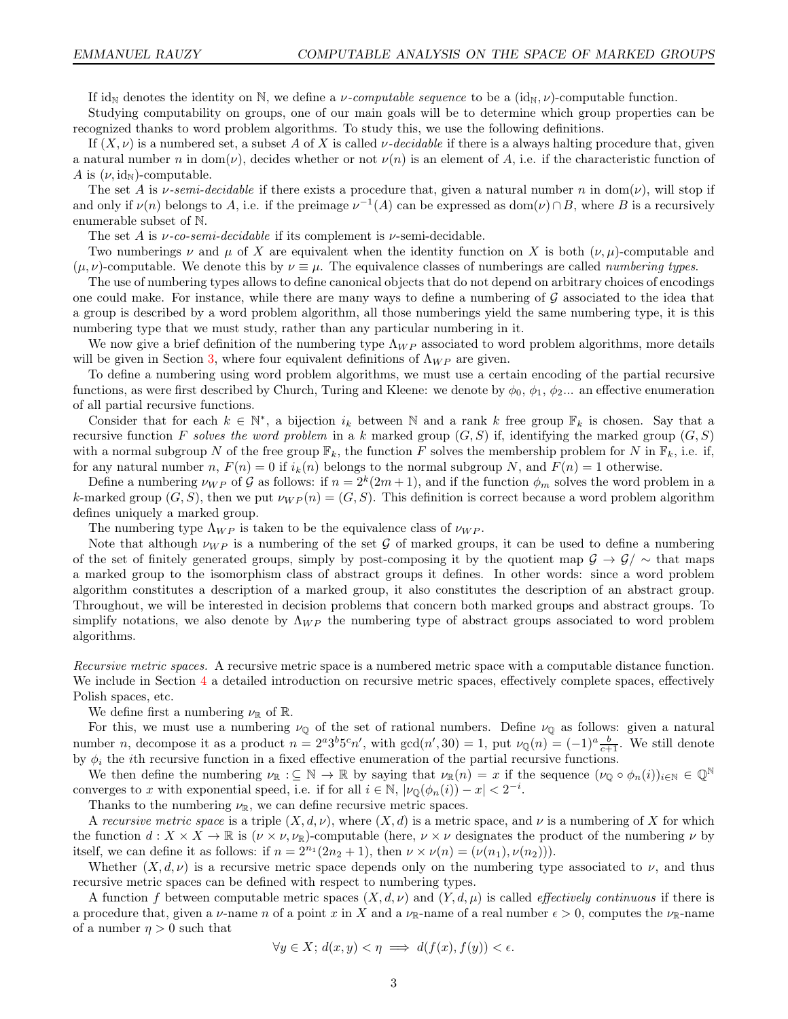If id<sub>N</sub> denotes the identity on N, we define a *ν*-computable sequence to be a  $(id_N, \nu)$ -computable function.

Studying computability on groups, one of our main goals will be to determine which group properties can be recognized thanks to word problem algorithms. To study this, we use the following definitions.

If  $(X, \nu)$  is a numbered set, a subset A of X is called  $\nu$ -decidable if there is a always halting procedure that, given a natural number n in dom( $\nu$ ), decides whether or not  $\nu(n)$  is an element of A, i.e. if the characteristic function of A is  $(\nu, id_N)$ -computable.

The set A is  $\nu$ -semi-decidable if there exists a procedure that, given a natural number n in dom( $\nu$ ), will stop if and only if  $\nu(n)$  belongs to A, i.e. if the preimage  $\nu^{-1}(A)$  can be expressed as  $dom(\nu) \cap B$ , where B is a recursively enumerable subset of N.

The set A is  $\nu$ -co-semi-decidable if its complement is  $\nu$ -semi-decidable.

Two numberings  $\nu$  and  $\mu$  of X are equivalent when the identity function on X is both  $(\nu, \mu)$ -computable and  $(\mu, \nu)$ -computable. We denote this by  $\nu \equiv \mu$ . The equivalence classes of numberings are called *numbering types*.

The use of numbering types allows to define canonical objects that do not depend on arbitrary choices of encodings one could make. For instance, while there are many ways to define a numbering of  $G$  associated to the idea that a group is described by a word problem algorithm, all those numberings yield the same numbering type, it is this numbering type that we must study, rather than any particular numbering in it.

We now give a brief definition of the numbering type  $\Lambda_{WP}$  associated to word problem algorithms, more details will be given in Section [3,](#page-14-0) where four equivalent definitions of  $\Lambda_{WP}$  are given.

To define a numbering using word problem algorithms, we must use a certain encoding of the partial recursive functions, as were first described by Church, Turing and Kleene: we denote by  $\phi_0$ ,  $\phi_1$ ,  $\phi_2$ ... an effective enumeration of all partial recursive functions.

Consider that for each  $k \in \mathbb{N}^*$ , a bijection  $i_k$  between N and a rank k free group  $\mathbb{F}_k$  is chosen. Say that a recursive function F solves the word problem in a k marked group  $(G, S)$  if, identifying the marked group  $(G, S)$ with a normal subgroup N of the free group  $\mathbb{F}_k$ , the function F solves the membership problem for N in  $\mathbb{F}_k$ , i.e. if, for any natural number n,  $F(n) = 0$  if  $i_k(n)$  belongs to the normal subgroup N, and  $F(n) = 1$  otherwise.

Define a numbering  $\nu_{WP}$  of G as follows: if  $n = 2^k(2m+1)$ , and if the function  $\phi_m$  solves the word problem in a k-marked group  $(G, S)$ , then we put  $\nu_{WP}(n) = (G, S)$ . This definition is correct because a word problem algorithm defines uniquely a marked group.

The numbering type  $\Lambda_{WP}$  is taken to be the equivalence class of  $\nu_{WP}$ .

Note that although  $\nu_{WP}$  is a numbering of the set G of marked groups, it can be used to define a numbering of the set of finitely generated groups, simply by post-composing it by the quotient map  $\mathcal{G} \to \mathcal{G}/\sim$  that maps a marked group to the isomorphism class of abstract groups it defines. In other words: since a word problem algorithm constitutes a description of a marked group, it also constitutes the description of an abstract group. Throughout, we will be interested in decision problems that concern both marked groups and abstract groups. To simplify notations, we also denote by  $\Lambda_{WP}$  the numbering type of abstract groups associated to word problem algorithms.

Recursive metric spaces. A recursive metric space is a numbered metric space with a computable distance function. We include in Section [4](#page-17-0) a detailed introduction on recursive metric spaces, effectively complete spaces, effectively Polish spaces, etc.

We define first a numbering  $\nu_{\mathbb{R}}$  of  $\mathbb{R}$ .

For this, we must use a numbering  $\nu_{\mathbb{Q}}$  of the set of rational numbers. Define  $\nu_{\mathbb{Q}}$  as follows: given a natural number *n*, decompose it as a product  $n = 2^a 3^b 5^c n'$ , with  $gcd(n', 30) = 1$ , put  $\nu_{\mathbb{Q}}(n) = (-1)^a \frac{b}{c+1}$ . We still denote by  $\phi_i$  the *i*th recursive function in a fixed effective enumeration of the partial recursive functions.

We then define the numbering  $\nu_{\mathbb{R}} : \subseteq \mathbb{N} \to \mathbb{R}$  by saying that  $\nu_{\mathbb{R}}(n) = x$  if the sequence  $(\nu_{\mathbb{Q}} \circ \phi_n(i))_{i \in \mathbb{N}} \in \mathbb{Q}^{\mathbb{N}}$ converges to x with exponential speed, i.e. if for all  $i \in \mathbb{N}$ ,  $|\nu_{\mathbb{Q}}(\phi_n(i)) - x| < 2^{-i}$ .

Thanks to the numbering  $\nu_{\mathbb{R}}$ , we can define recursive metric spaces.

A recursive metric space is a triple  $(X, d, \nu)$ , where  $(X, d)$  is a metric space, and  $\nu$  is a numbering of X for which the function  $d: X \times X \to \mathbb{R}$  is  $(\nu \times \nu, \nu_{\mathbb{R}})$ -computable (here,  $\nu \times \nu$  designates the product of the numbering  $\nu$  by itself, we can define it as follows: if  $n = 2^{n_1}(2n_2 + 1)$ , then  $\nu \times \nu(n) = (\nu(n_1), \nu(n_2))$ .

Whether  $(X, d, \nu)$  is a recursive metric space depends only on the numbering type associated to  $\nu$ , and thus recursive metric spaces can be defined with respect to numbering types.

A function f between computable metric spaces  $(X, d, \nu)$  and  $(Y, d, \mu)$  is called *effectively continuous* if there is a procedure that, given a  $\nu$ -name n of a point x in X and a  $\nu_{\mathbb{R}}$ -name of a real number  $\epsilon > 0$ , computes the  $\nu_{\mathbb{R}}$ -name of a number  $\eta > 0$  such that

$$
\forall y \in X; d(x, y) < \eta \implies d(f(x), f(y)) < \epsilon.
$$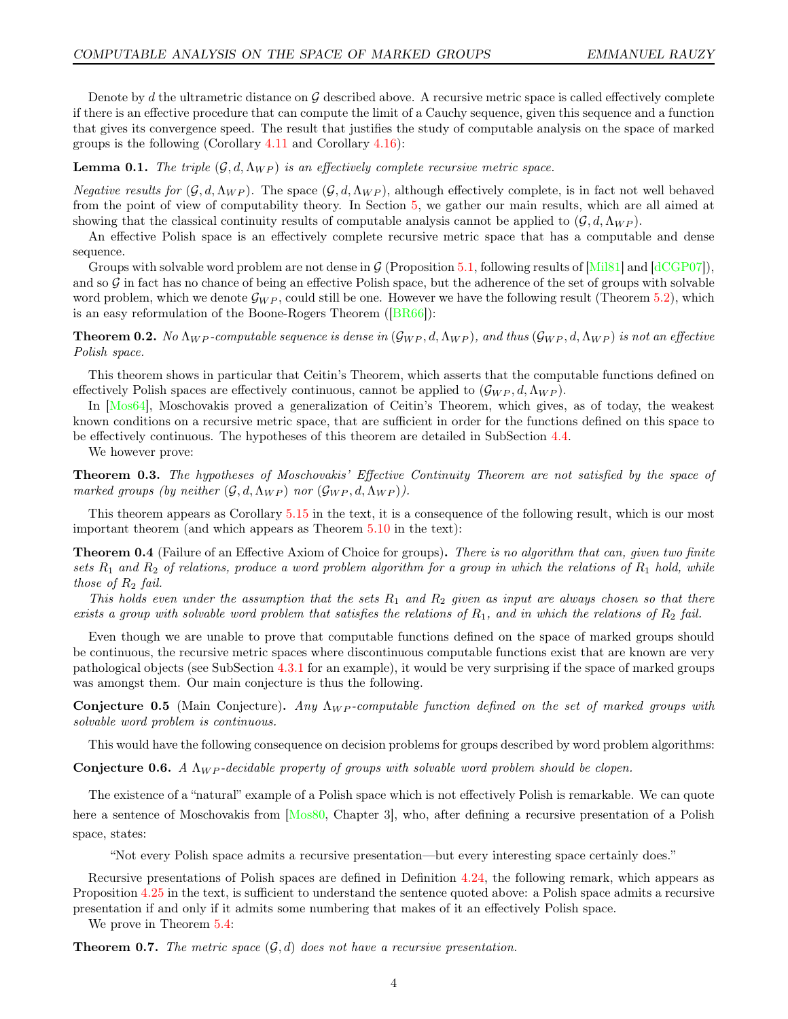Denote by d the ultrametric distance on  $\mathcal G$  described above. A recursive metric space is called effectively complete if there is an effective procedure that can compute the limit of a Cauchy sequence, given this sequence and a function that gives its convergence speed. The result that justifies the study of computable analysis on the space of marked groups is the following (Corollary [4.11](#page-18-0) and Corollary [4.16\)](#page-19-0):

# **Lemma 0.1.** The triple  $(G, d, \Lambda_{WP})$  is an effectively complete recursive metric space.

*Negative results for*  $(\mathcal{G}, d, \Lambda_{WP})$ . The space  $(\mathcal{G}, d, \Lambda_{WP})$ , although effectively complete, is in fact not well behaved from the point of view of computability theory. In Section [5,](#page-25-0) we gather our main results, which are all aimed at showing that the classical continuity results of computable analysis cannot be applied to  $(G, d, \Lambda_{WP})$ .

An effective Polish space is an effectively complete recursive metric space that has a computable and dense sequence.

Groups with solvable word problem are not dense in  $G$  (Proposition [5.1,](#page-25-1) following results of [\[Mil81\]](#page-44-9) and [\[dCGP07\]](#page-43-3)), and so  $G$  in fact has no chance of being an effective Polish space, but the adherence of the set of groups with solvable word problem, which we denote  $\mathcal{G}_{WP}$ , could still be one. However we have the following result (Theorem [5.2\)](#page-25-2), which is an easy reformulation of the Boone-Rogers Theorem ([\[BR66\]](#page-43-4)):

**Theorem 0.2.** No  $\Lambda_{WP}$ -computable sequence is dense in  $(\mathcal{G}_{WP}, d, \Lambda_{WP})$ , and thus  $(\mathcal{G}_{WP}, d, \Lambda_{WP})$  is not an effective Polish space.

This theorem shows in particular that Ceitin's Theorem, which asserts that the computable functions defined on effectively Polish spaces are effectively continuous, cannot be applied to  $(\mathcal{G}_{WP}, d, \Lambda_{WP})$ .

In [\[Mos64\]](#page-44-6), Moschovakis proved a generalization of Ceitin's Theorem, which gives, as of today, the weakest known conditions on a recursive metric space, that are sufficient in order for the functions defined on this space to be effectively continuous. The hypotheses of this theorem are detailed in SubSection [4.4.](#page-24-0)

We however prove:

**Theorem 0.3.** The hypotheses of Moschovakis' Effective Continuity Theorem are not satisfied by the space of marked groups (by neither  $(\mathcal{G}, d, \Lambda_{WP})$  nor  $(\mathcal{G}_{WP}, d, \Lambda_{WP})$ ).

This theorem appears as Corollary [5.15](#page-31-1) in the text, it is a consequence of the following result, which is our most important theorem (and which appears as Theorem [5.10](#page-27-0) in the text):

**Theorem 0.4** (Failure of an Effective Axiom of Choice for groups). There is no algorithm that can, given two finite sets  $R_1$  and  $R_2$  of relations, produce a word problem algorithm for a group in which the relations of  $R_1$  hold, while those of  $R_2$  fail.

This holds even under the assumption that the sets  $R_1$  and  $R_2$  given as input are always chosen so that there exists a group with solvable word problem that satisfies the relations of  $R_1$ , and in which the relations of  $R_2$  fail.

Even though we are unable to prove that computable functions defined on the space of marked groups should be continuous, the recursive metric spaces where discontinuous computable functions exist that are known are very pathological objects (see SubSection [4.3.1](#page-22-0) for an example), it would be very surprising if the space of marked groups was amongst them. Our main conjecture is thus the following.

<span id="page-3-0"></span>**Conjecture 0.5** (Main Conjecture). Any  $\Lambda_{WP}$ -computable function defined on the set of marked groups with solvable word problem is continuous.

This would have the following consequence on decision problems for groups described by word problem algorithms:

**Conjecture 0.6.** A  $\Lambda_{WP}$ -decidable property of groups with solvable word problem should be clopen.

The existence of a "natural" example of a Polish space which is not effectively Polish is remarkable. We can quote here a sentence of Moschovakis from [\[Mos80,](#page-44-10) Chapter 3], who, after defining a recursive presentation of a Polish space, states:

"Not every Polish space admits a recursive presentation—but every interesting space certainly does."

Recursive presentations of Polish spaces are defined in Definition [4.24,](#page-21-0) the following remark, which appears as Proposition [4.25](#page-21-1) in the text, is sufficient to understand the sentence quoted above: a Polish space admits a recursive presentation if and only if it admits some numbering that makes of it an effectively Polish space.

We prove in Theorem [5.4:](#page-25-3)

**Theorem 0.7.** The metric space  $(\mathcal{G}, d)$  does not have a recursive presentation.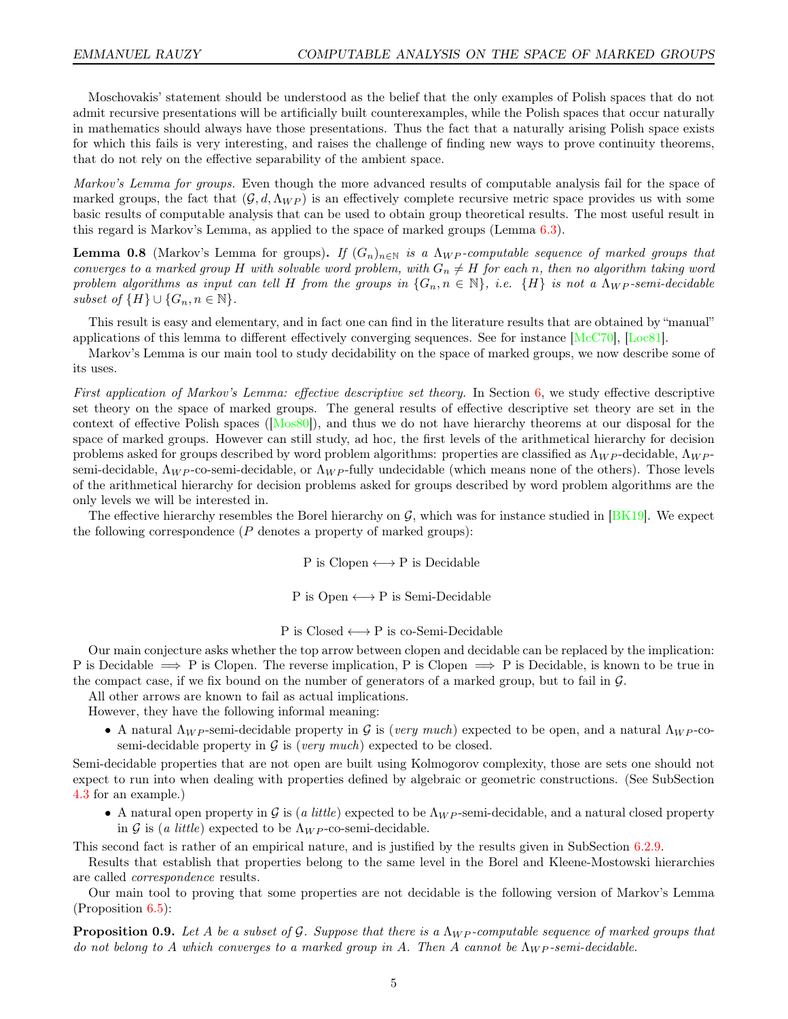Moschovakis' statement should be understood as the belief that the only examples of Polish spaces that do not admit recursive presentations will be artificially built counterexamples, while the Polish spaces that occur naturally in mathematics should always have those presentations. Thus the fact that a naturally arising Polish space exists for which this fails is very interesting, and raises the challenge of finding new ways to prove continuity theorems, that do not rely on the effective separability of the ambient space.

Markov's Lemma for groups. Even though the more advanced results of computable analysis fail for the space of marked groups, the fact that  $(G, d, \Lambda_{WP})$  is an effectively complete recursive metric space provides us with some basic results of computable analysis that can be used to obtain group theoretical results. The most useful result in this regard is Markov's Lemma, as applied to the space of marked groups (Lemma [6.3\)](#page-31-2).

**Lemma 0.8** (Markov's Lemma for groups). If  $(G_n)_{n\in\mathbb{N}}$  is a  $\Lambda_{WP}$ -computable sequence of marked groups that converges to a marked group H with solvable word problem, with  $G_n \neq H$  for each n, then no algorithm taking word problem algorithms as input can tell H from the groups in  $\{G_n, n \in \mathbb{N}\}\$ , i.e.  $\{H\}$  is not a  $\Lambda_{WP}$ -semi-decidable subset of  $\{H\} \cup \{G_n, n \in \mathbb{N}\}.$ 

This result is easy and elementary, and in fact one can find in the literature results that are obtained by "manual" applications of this lemma to different effectively converging sequences. See for instance [\[McC70\]](#page-44-11), [\[Loc81\]](#page-44-12).

Markov's Lemma is our main tool to study decidability on the space of marked groups, we now describe some of its uses.

First application of Markov's Lemma: effective descriptive set theory. In Section [6,](#page-31-0) we study effective descriptive set theory on the space of marked groups. The general results of effective descriptive set theory are set in the context of effective Polish spaces ( $[Mos80]$ ), and thus we do not have hierarchy theorems at our disposal for the space of marked groups. However can still study, ad hoc, the first levels of the arithmetical hierarchy for decision problems asked for groups described by word problem algorithms: properties are classified as  $\Lambda_{WP}$ -decidable,  $\Lambda_{WP}$ semi-decidable,  $\Lambda_{WP}$ -co-semi-decidable, or  $\Lambda_{WP}$ -fully undecidable (which means none of the others). Those levels of the arithmetical hierarchy for decision problems asked for groups described by word problem algorithms are the only levels we will be interested in.

The effective hierarchy resembles the Borel hierarchy on  $\mathcal{G}$ , which was for instance studied in [\[BK19\]](#page-43-5). We expect the following correspondence  $(P$  denotes a property of marked groups):

 $P$  is Clopen  $\longleftrightarrow P$  is Decidable

 $P$  is Open  $\longleftrightarrow P$  is Semi-Decidable

P is  $Closed \longleftrightarrow P$  is co-Semi-Decidable

Our main conjecture asks whether the top arrow between clopen and decidable can be replaced by the implication: P is Decidable  $\implies$  P is Clopen. The reverse implication, P is Clopen  $\implies$  P is Decidable, is known to be true in the compact case, if we fix bound on the number of generators of a marked group, but to fail in  $\mathcal{G}$ .

All other arrows are known to fail as actual implications.

However, they have the following informal meaning:

• A natural  $\Lambda_{WP}$ -semi-decidable property in G is (very much) expected to be open, and a natural  $\Lambda_{WP}$ -cosemi-decidable property in  $\mathcal G$  is (very much) expected to be closed.

Semi-decidable properties that are not open are built using Kolmogorov complexity, those are sets one should not expect to run into when dealing with properties defined by algebraic or geometric constructions. (See SubSection [4.3](#page-22-1) for an example.)

• A natural open property in G is (a little) expected to be  $\Lambda_{WP}$ -semi-decidable, and a natural closed property in G is (a little) expected to be  $\Lambda_{WP}$ -co-semi-decidable.

This second fact is rather of an empirical nature, and is justified by the results given in SubSection [6.2.9.](#page-34-0)

Results that establish that properties belong to the same level in the Borel and Kleene-Mostowski hierarchies are called correspondence results.

Our main tool to proving that some properties are not decidable is the following version of Markov's Lemma  $(Proposition 6.5):$  $(Proposition 6.5):$  $(Proposition 6.5):$ 

**Proposition 0.9.** Let A be a subset of G. Suppose that there is a  $\Lambda_{WP}$ -computable sequence of marked groups that do not belong to A which converges to a marked group in A. Then A cannot be  $\Lambda_{WP}$ -semi-decidable.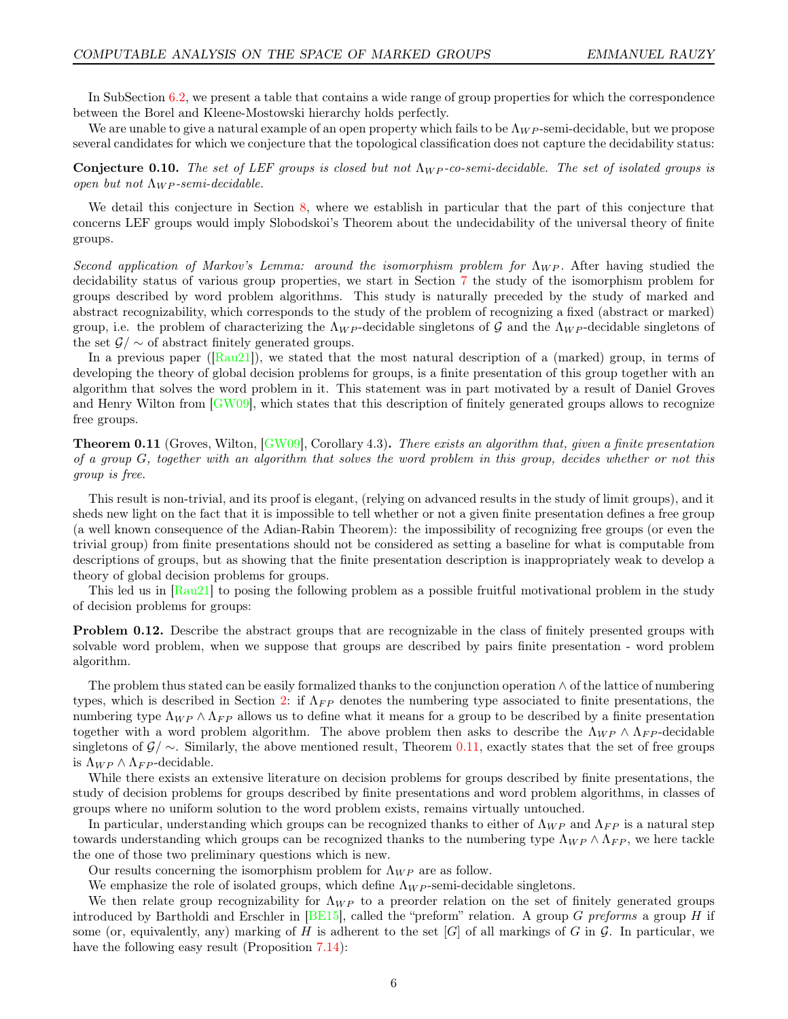In SubSection [6.2,](#page-32-1) we present a table that contains a wide range of group properties for which the correspondence between the Borel and Kleene-Mostowski hierarchy holds perfectly.

We are unable to give a natural example of an open property which fails to be  $\Lambda_{WP}$ -semi-decidable, but we propose several candidates for which we conjecture that the topological classification does not capture the decidability status:

**Conjecture 0.10.** The set of LEF groups is closed but not  $\Lambda_{WP}$ -co-semi-decidable. The set of isolated groups is open but not  $\Lambda_{WP}$ -semi-decidable.

We detail this conjecture in Section [8,](#page-39-0) where we establish in particular that the part of this conjecture that concerns LEF groups would imply Slobodskoi's Theorem about the undecidability of the universal theory of finite groups.

Second application of Markov's Lemma: around the isomorphism problem for  $\Lambda_{WP}$ . After having studied the decidability status of various group properties, we start in Section [7](#page-35-0) the study of the isomorphism problem for groups described by word problem algorithms. This study is naturally preceded by the study of marked and abstract recognizability, which corresponds to the study of the problem of recognizing a fixed (abstract or marked) group, i.e. the problem of characterizing the  $\Lambda_{WP}$ -decidable singletons of G and the  $\Lambda_{WP}$ -decidable singletons of the set  $\mathcal{G}/\sim$  of abstract finitely generated groups.

In a previous paper  $([Rau21])$  $([Rau21])$  $([Rau21])$ , we stated that the most natural description of a (marked) group, in terms of developing the theory of global decision problems for groups, is a finite presentation of this group together with an algorithm that solves the word problem in it. This statement was in part motivated by a result of Daniel Groves and Henry Wilton from [\[GW09\]](#page-43-6), which states that this description of finitely generated groups allows to recognize free groups.

<span id="page-5-0"></span>**Theorem 0.11** (Groves, Wilton,  $\boxed{\text{GW09}}$ , Corollary 4.3). There exists an algorithm that, given a finite presentation of a group G, together with an algorithm that solves the word problem in this group, decides whether or not this group is free.

This result is non-trivial, and its proof is elegant, (relying on advanced results in the study of limit groups), and it sheds new light on the fact that it is impossible to tell whether or not a given finite presentation defines a free group (a well known consequence of the Adian-Rabin Theorem): the impossibility of recognizing free groups (or even the trivial group) from finite presentations should not be considered as setting a baseline for what is computable from descriptions of groups, but as showing that the finite presentation description is inappropriately weak to develop a theory of global decision problems for groups.

This led us in  $\text{[Rau21]}$  to posing the following problem as a possible fruitful motivational problem in the study of decision problems for groups:

Problem 0.12. Describe the abstract groups that are recognizable in the class of finitely presented groups with solvable word problem, when we suppose that groups are described by pairs finite presentation - word problem algorithm.

The problem thus stated can be easily formalized thanks to the conjunction operation ∧ of the lattice of numbering types, which is described in Section [2:](#page-9-0) if  $\Lambda_{FP}$  denotes the numbering type associated to finite presentations, the numbering type  $\Lambda_{WP} \wedge \Lambda_{FP}$  allows us to define what it means for a group to be described by a finite presentation together with a word problem algorithm. The above problem then asks to describe the  $\Lambda_{WP} \wedge \Lambda_{FP}$ -decidable singletons of  $\mathcal{G}/\sim$ . Similarly, the above mentioned result, Theorem [0.11,](#page-5-0) exactly states that the set of free groups is  $\Lambda_{WP} \wedge \Lambda_{FP}$ -decidable.

While there exists an extensive literature on decision problems for groups described by finite presentations, the study of decision problems for groups described by finite presentations and word problem algorithms, in classes of groups where no uniform solution to the word problem exists, remains virtually untouched.

In particular, understanding which groups can be recognized thanks to either of  $\Lambda_{WP}$  and  $\Lambda_{FP}$  is a natural step towards understanding which groups can be recognized thanks to the numbering type  $\Lambda_{WP} \wedge \Lambda_{FP}$ , we here tackle the one of those two preliminary questions which is new.

Our results concerning the isomorphism problem for  $\Lambda_{WP}$  are as follow.

We emphasize the role of isolated groups, which define  $\Lambda_{WP}$ -semi-decidable singletons.

We then relate group recognizability for  $\Lambda_{WP}$  to a preorder relation on the set of finitely generated groups introduced by Bartholdi and Erschler in  $[BE15]$ , called the "preform" relation. A group G preforms a group H if some (or, equivalently, any) marking of H is adherent to the set  $[G]$  of all markings of G in G. In particular, we have the following easy result (Proposition [7.14\)](#page-38-0):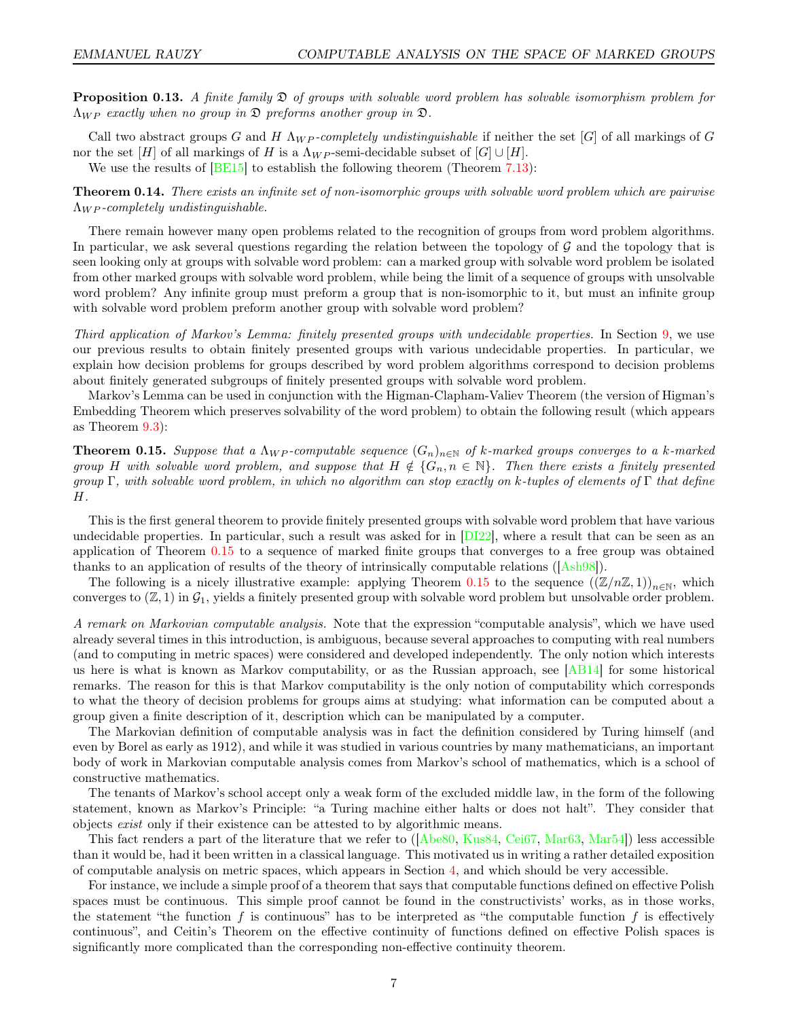**Proposition 0.13.** A finite family  $\mathfrak{D}$  of groups with solvable word problem has solvable isomorphism problem for  $\Lambda_{WP}$  exactly when no group in  $\mathfrak D$  preforms another group in  $\mathfrak D$ .

Call two abstract groups G and H  $\Lambda_{WP}$ -completely undistinguishable if neither the set [G] of all markings of G nor the set  $[H]$  of all markings of H is a  $\Lambda_{WP}$ -semi-decidable subset of  $[G] \cup [H]$ .

We use the results of  $[BE15]$  to establish the following theorem (Theorem [7.13\)](#page-38-1):

**Theorem 0.14.** There exists an infinite set of non-isomorphic groups with solvable word problem which are pairwise  $\Lambda_{WP}$ -completely undistinguishable.

There remain however many open problems related to the recognition of groups from word problem algorithms. In particular, we ask several questions regarding the relation between the topology of  $\mathcal G$  and the topology that is seen looking only at groups with solvable word problem: can a marked group with solvable word problem be isolated from other marked groups with solvable word problem, while being the limit of a sequence of groups with unsolvable word problem? Any infinite group must preform a group that is non-isomorphic to it, but must an infinite group with solvable word problem preform another group with solvable word problem?

Third application of Markov's Lemma: finitely presented groups with undecidable properties. In Section [9,](#page-42-0) we use our previous results to obtain finitely presented groups with various undecidable properties. In particular, we explain how decision problems for groups described by word problem algorithms correspond to decision problems about finitely generated subgroups of finitely presented groups with solvable word problem.

Markov's Lemma can be used in conjunction with the Higman-Clapham-Valiev Theorem (the version of Higman's Embedding Theorem which preserves solvability of the word problem) to obtain the following result (which appears as Theorem [9.3\)](#page-42-1):

<span id="page-6-0"></span>**Theorem 0.15.** Suppose that a  $\Lambda_{WP}$ -computable sequence  $(G_n)_{n\in\mathbb{N}}$  of k-marked groups converges to a k-marked group H with solvable word problem, and suppose that  $H \notin \{G_n, n \in \mathbb{N}\}\$ . Then there exists a finitely presented group Γ, with solvable word problem, in which no algorithm can stop exactly on k-tuples of elements of Γ that define H.

This is the first general theorem to provide finitely presented groups with solvable word problem that have various undecidable properties. In particular, such a result was asked for in  $[D122]$ , where a result that can be seen as an application of Theorem [0.15](#page-6-0) to a sequence of marked finite groups that converges to a free group was obtained thanks to an application of results of the theory of intrinsically computable relations ([\[Ash98\]](#page-43-9)).

The following is a nicely illustrative example: applying Theorem [0.15](#page-6-0) to the sequence  $((\mathbb{Z}/n\mathbb{Z}, 1))_{n\in\mathbb{N}}$ , which converges to  $(\mathbb{Z},1)$  in  $\mathcal{G}_1$ , yields a finitely presented group with solvable word problem but unsolvable order problem.

A remark on Markovian computable analysis. Note that the expression "computable analysis", which we have used already several times in this introduction, is ambiguous, because several approaches to computing with real numbers (and to computing in metric spaces) were considered and developed independently. The only notion which interests us here is what is known as Markov computability, or as the Russian approach, see [\[AB14\]](#page-43-10) for some historical remarks. The reason for this is that Markov computability is the only notion of computability which corresponds to what the theory of decision problems for groups aims at studying: what information can be computed about a group given a finite description of it, description which can be manipulated by a computer.

The Markovian definition of computable analysis was in fact the definition considered by Turing himself (and even by Borel as early as 1912), and while it was studied in various countries by many mathematicians, an important body of work in Markovian computable analysis comes from Markov's school of mathematics, which is a school of constructive mathematics.

The tenants of Markov's school accept only a weak form of the excluded middle law, in the form of the following statement, known as Markov's Principle: "a Turing machine either halts or does not halt". They consider that objects exist only if their existence can be attested to by algorithmic means.

This fact renders a part of the literature that we refer to ([\[Abe80,](#page-43-11) [Kus84,](#page-44-13) [Cei67,](#page-43-1) [Mar63,](#page-44-8) [Mar54\]](#page-44-7)) less accessible than it would be, had it been written in a classical language. This motivated us in writing a rather detailed exposition of computable analysis on metric spaces, which appears in Section [4,](#page-17-0) and which should be very accessible.

For instance, we include a simple proof of a theorem that says that computable functions defined on effective Polish spaces must be continuous. This simple proof cannot be found in the constructivists' works, as in those works, the statement "the function f is continuous" has to be interpreted as "the computable function f is effectively continuous", and Ceitin's Theorem on the effective continuity of functions defined on effective Polish spaces is significantly more complicated than the corresponding non-effective continuity theorem.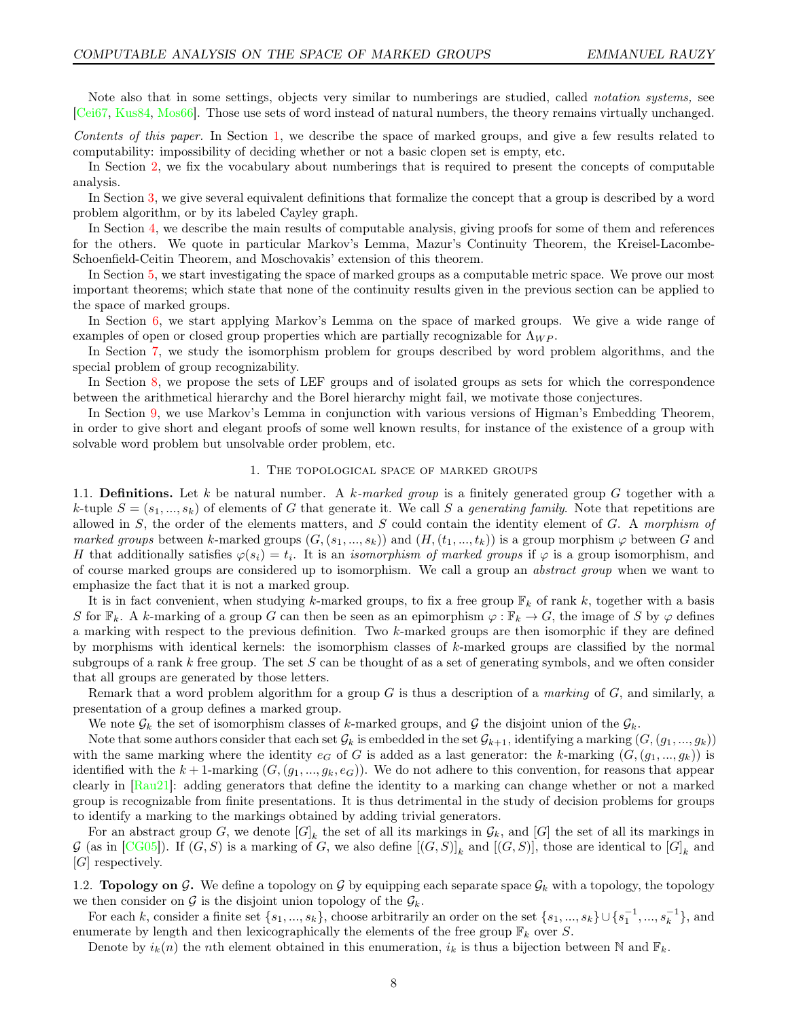Note also that in some settings, objects very similar to numberings are studied, called notation systems, see [\[Cei67,](#page-43-1) [Kus84,](#page-44-13) [Mos66\]](#page-44-14). Those use sets of word instead of natural numbers, the theory remains virtually unchanged.

Contents of this paper. In Section [1,](#page-7-0) we describe the space of marked groups, and give a few results related to computability: impossibility of deciding whether or not a basic clopen set is empty, etc.

In Section [2,](#page-9-0) we fix the vocabulary about numberings that is required to present the concepts of computable analysis.

In Section [3,](#page-14-0) we give several equivalent definitions that formalize the concept that a group is described by a word problem algorithm, or by its labeled Cayley graph.

In Section [4,](#page-17-0) we describe the main results of computable analysis, giving proofs for some of them and references for the others. We quote in particular Markov's Lemma, Mazur's Continuity Theorem, the Kreisel-Lacombe-Schoenfield-Ceitin Theorem, and Moschovakis' extension of this theorem.

In Section [5,](#page-25-0) we start investigating the space of marked groups as a computable metric space. We prove our most important theorems; which state that none of the continuity results given in the previous section can be applied to the space of marked groups.

In Section [6,](#page-31-0) we start applying Markov's Lemma on the space of marked groups. We give a wide range of examples of open or closed group properties which are partially recognizable for  $\Lambda_{WP}$ .

In Section [7,](#page-35-0) we study the isomorphism problem for groups described by word problem algorithms, and the special problem of group recognizability.

In Section [8,](#page-39-0) we propose the sets of LEF groups and of isolated groups as sets for which the correspondence between the arithmetical hierarchy and the Borel hierarchy might fail, we motivate those conjectures.

In Section [9,](#page-42-0) we use Markov's Lemma in conjunction with various versions of Higman's Embedding Theorem, in order to give short and elegant proofs of some well known results, for instance of the existence of a group with solvable word problem but unsolvable order problem, etc.

#### 1. The topological space of marked groups

<span id="page-7-0"></span>1.1. Definitions. Let k be natural number. A k-marked group is a finitely generated group G together with a k-tuple  $S = (s_1, ..., s_k)$  of elements of G that generate it. We call S a generating family. Note that repetitions are allowed in  $S$ , the order of the elements matters, and  $S$  could contain the identity element of  $G$ . A morphism of marked groups between k-marked groups  $(G,(s_1,...,s_k))$  and  $(H,(t_1,...,t_k))$  is a group morphism  $\varphi$  between G and H that additionally satisfies  $\varphi(s_i) = t_i$ . It is an *isomorphism of marked groups* if  $\varphi$  is a group isomorphism, and of course marked groups are considered up to isomorphism. We call a group an abstract group when we want to emphasize the fact that it is not a marked group.

It is in fact convenient, when studying k-marked groups, to fix a free group  $\mathbb{F}_k$  of rank k, together with a basis S for  $\mathbb{F}_k$ . A k-marking of a group G can then be seen as an epimorphism  $\varphi : \mathbb{F}_k \to G$ , the image of S by  $\varphi$  defines a marking with respect to the previous definition. Two k-marked groups are then isomorphic if they are defined by morphisms with identical kernels: the isomorphism classes of k-marked groups are classified by the normal subgroups of a rank k free group. The set S can be thought of as a set of generating symbols, and we often consider that all groups are generated by those letters.

Remark that a word problem algorithm for a group  $G$  is thus a description of a *marking* of  $G$ , and similarly, a presentation of a group defines a marked group.

We note  $\mathcal{G}_k$  the set of isomorphism classes of k-marked groups, and G the disjoint union of the  $\mathcal{G}_k$ .

Note that some authors consider that each set  $\mathcal{G}_k$  is embedded in the set  $\mathcal{G}_{k+1}$ , identifying a marking  $(G,(g_1,...,g_k))$ with the same marking where the identity  $e_G$  of G is added as a last generator: the k-marking  $(G,(g_1,...,g_k))$  is identified with the  $k + 1$ -marking  $(G, (g_1, ..., g_k, e_G))$ . We do not adhere to this convention, for reasons that appear clearly in [\[Rau21\]](#page-44-0): adding generators that define the identity to a marking can change whether or not a marked group is recognizable from finite presentations. It is thus detrimental in the study of decision problems for groups to identify a marking to the markings obtained by adding trivial generators.

For an abstract group G, we denote  $[G]_k$  the set of all its markings in  $\mathcal{G}_k$ , and  $[G]$  the set of all its markings in G (as in [\[CG05\]](#page-43-12)). If  $(G, S)$  is a marking of G, we also define  $[(G, S)]_k$  and  $[(G, S)]$ , those are identical to  $[G]_k$  and [G] respectively.

1.2. **Topology on G.** We define a topology on G by equipping each separate space  $\mathcal{G}_k$  with a topology, the topology we then consider on  $\mathcal G$  is the disjoint union topology of the  $\mathcal G_k$ .

For each k, consider a finite set  $\{s_1, ..., s_k\}$ , choose arbitrarily an order on the set  $\{s_1, ..., s_k\} \cup \{s_1^{-1}, ..., s_k^{-1}\}$ , and enumerate by length and then lexicographically the elements of the free group  $\mathbb{F}_k$  over S.

Denote by  $i_k(n)$  the nth element obtained in this enumeration,  $i_k$  is thus a bijection between N and  $\mathbb{F}_k$ .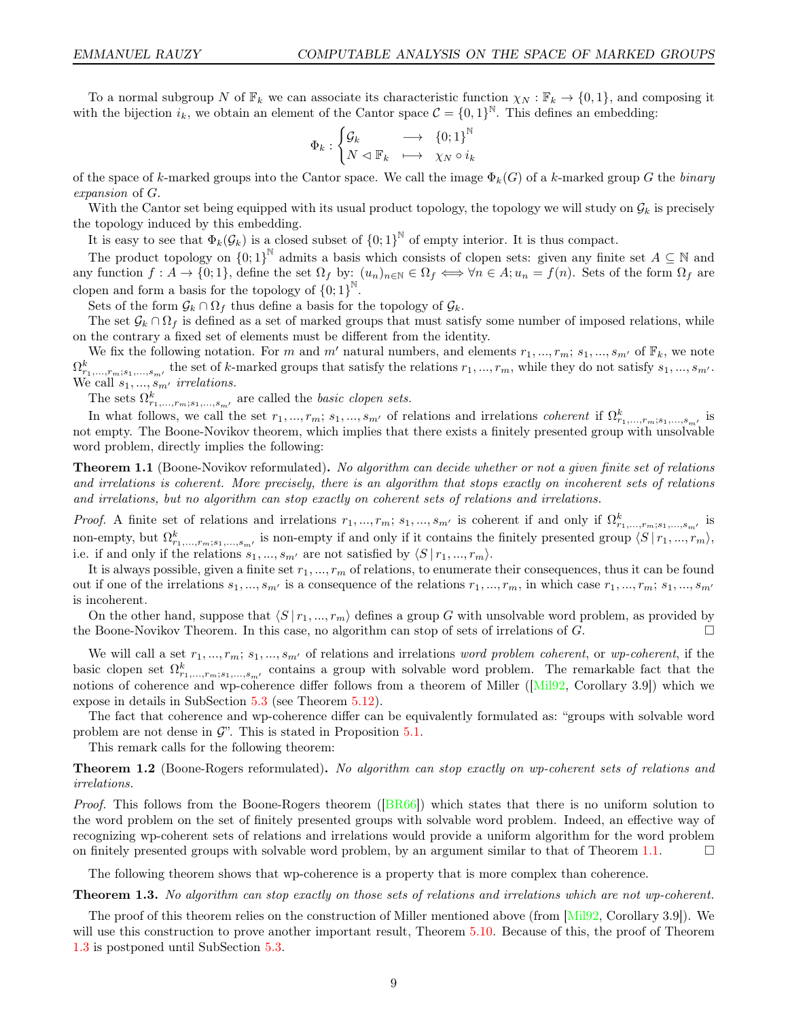To a normal subgroup N of  $\mathbb{F}_k$  we can associate its characteristic function  $\chi_N : \mathbb{F}_k \to \{0,1\}$ , and composing it with the bijection  $i_k$ , we obtain an element of the Cantor space  $\mathcal{C} = \{0,1\}^{\mathbb{N}}$ . This defines an embedding:

$$
\Phi_k : \begin{cases} \mathcal{G}_k &\longrightarrow \quad \{0;1\}^\mathbb{N} \\ N \vartriangleleft \mathbb{F}_k &\longmapsto \quad \chi_N \circ i_k \end{cases}
$$

of the space of k-marked groups into the Cantor space. We call the image  $\Phi_k(G)$  of a k-marked group G the binary expansion of G.

With the Cantor set being equipped with its usual product topology, the topology we will study on  $\mathcal{G}_k$  is precisely the topology induced by this embedding.

It is easy to see that  $\Phi_k(\mathcal{G}_k)$  is a closed subset of  $\{0,1\}^{\mathbb{N}}$  of empty interior. It is thus compact.

The product topology on  ${0,1}^{\mathbb{N}}$  admits a basis which consists of clopen sets: given any finite set  $A \subseteq \mathbb{N}$  and any function  $f: A \to \{0,1\}$ , define the set  $\Omega_f$  by:  $(u_n)_{n \in \mathbb{N}} \in \Omega_f \iff \forall n \in A; u_n = f(n)$ . Sets of the form  $\Omega_f$  are clopen and form a basis for the topology of  ${0;1}^{\mathbb{N}}$ .

Sets of the form  $\mathcal{G}_k \cap \Omega_f$  thus define a basis for the topology of  $\mathcal{G}_k$ .

The set  $\mathcal{G}_k \cap \Omega_f$  is defined as a set of marked groups that must satisfy some number of imposed relations, while on the contrary a fixed set of elements must be different from the identity.

We fix the following notation. For m and m' natural numbers, and elements  $r_1, ..., r_m$ ;  $s_1, ..., s_{m'}$  of  $\mathbb{F}_k$ , we note  $\Omega^k_{r_1,\dots,r_m;s_1,\dots,s_m}$ , the set of k-marked groups that satisfy the relations  $r_1,\dots,r_m$ , while they do not satisfy  $s_1,\dots,s_{m'}$ . We call  $s_1, ..., s_{m'}$  irrelations.

The sets  $\Omega^k_{r_1,\dots,r_m;s_1,\dots,s_{m'}}$  are called the *basic clopen sets.* 

In what follows, we call the set  $r_1, ..., r_m; s_1, ..., s_{m'}$  of relations and irrelations *coherent* if  $\Omega^k_{r_1,...,r_m;s_1,...,s_{m'}}$  is not empty. The Boone-Novikov theorem, which implies that there exists a finitely presented group with unsolvable word problem, directly implies the following:

<span id="page-8-0"></span>**Theorem 1.1** (Boone-Novikov reformulated). No algorithm can decide whether or not a given finite set of relations and irrelations is coherent. More precisely, there is an algorithm that stops exactly on incoherent sets of relations and irrelations, but no algorithm can stop exactly on coherent sets of relations and irrelations.

*Proof.* A finite set of relations and irrelations  $r_1, ..., r_m$ ;  $s_1, ..., s_{m'}$  is coherent if and only if  $\Omega^k_{r_1,...,r_m;s_1,...,s_{m'}}$  is non-empty, but  $\Omega^k_{r_1,\dots,r_m;s_1,\dots,s_{m'}}$  is non-empty if and only if it contains the finitely presented group  $\langle S | r_1,...,r_m \rangle$ , i.e. if and only if the relations  $s_1, ..., s_{m'}$  are not satisfied by  $\langle S | r_1, ..., r_m \rangle$ .

It is always possible, given a finite set  $r_1, ..., r_m$  of relations, to enumerate their consequences, thus it can be found out if one of the irrelations  $s_1, ..., s_{m'}$  is a consequence of the relations  $r_1, ..., r_m$ , in which case  $r_1, ..., r_m$ ;  $s_1, ..., s_{m'}$ is incoherent.

On the other hand, suppose that  $\langle S | r_1, ..., r_m \rangle$  defines a group G with unsolvable word problem, as provided by the Boone-Novikov Theorem. In this case, no algorithm can stop of sets of irrelations of  $G$ .

We will call a set  $r_1, ..., r_m$ ;  $s_1, ..., s_{m'}$  of relations and irrelations word problem coherent, or wp-coherent, if the basic clopen set  $\Omega^k_{r_1,\dots,r_m;s_1,\dots,s_{m'}}$  contains a group with solvable word problem. The remarkable fact that the notions of coherence and wp-coherence differ follows from a theorem of Miller ([\[Mil92,](#page-44-15) Corollary 3.9]) which we expose in details in SubSection [5.3](#page-27-1) (see Theorem [5.12\)](#page-29-0).

The fact that coherence and wp-coherence differ can be equivalently formulated as: "groups with solvable word problem are not dense in  $\mathcal{G}$ . This is stated in Proposition [5.1.](#page-25-1)

This remark calls for the following theorem:

<span id="page-8-2"></span>**Theorem 1.2** (Boone-Rogers reformulated). No algorithm can stop exactly on wp-coherent sets of relations and irrelations.

*Proof.* This follows from the Boone-Rogers theorem ( $|BR66|$ ) which states that there is no uniform solution to the word problem on the set of finitely presented groups with solvable word problem. Indeed, an effective way of recognizing wp-coherent sets of relations and irrelations would provide a uniform algorithm for the word problem on finitely presented groups with solvable word problem, by an argument similar to that of Theorem [1.1.](#page-8-0)  $\Box$ 

The following theorem shows that wp-coherence is a property that is more complex than coherence.

<span id="page-8-1"></span>Theorem 1.3. No algorithm can stop exactly on those sets of relations and irrelations which are not wp-coherent.

The proof of this theorem relies on the construction of Miller mentioned above (from [\[Mil92,](#page-44-15) Corollary 3.9]). We will use this construction to prove another important result, Theorem [5.10.](#page-27-0) Because of this, the proof of Theorem [1.3](#page-8-1) is postponed until SubSection [5.3.](#page-27-1)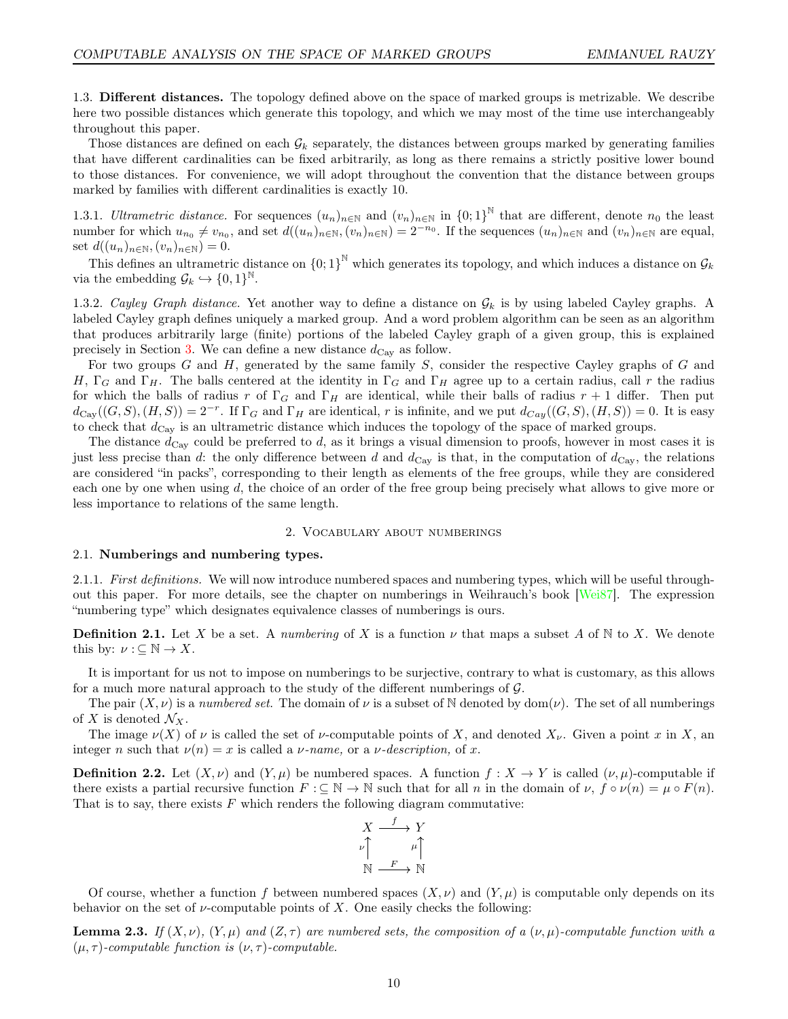1.3. Different distances. The topology defined above on the space of marked groups is metrizable. We describe here two possible distances which generate this topology, and which we may most of the time use interchangeably throughout this paper.

Those distances are defined on each  $\mathcal{G}_k$  separately, the distances between groups marked by generating families that have different cardinalities can be fixed arbitrarily, as long as there remains a strictly positive lower bound to those distances. For convenience, we will adopt throughout the convention that the distance between groups marked by families with different cardinalities is exactly 10.

1.3.1. Ultrametric distance. For sequences  $(u_n)_{n\in\mathbb{N}}$  and  $(v_n)_{n\in\mathbb{N}}$  in  $\{0,1\}^{\mathbb{N}}$  that are different, denote  $n_0$  the least number for which  $u_{n_0} \neq v_{n_0}$ , and set  $d((u_n)_{n \in \mathbb{N}}, (v_n)_{n \in \mathbb{N}}) = 2^{-n_0}$ . If the sequences  $(u_n)_{n \in \mathbb{N}}$  and  $(v_n)_{n \in \mathbb{N}}$  are equal, set  $d((u_n)_{n\in\mathbb{N}},(v_n)_{n\in\mathbb{N}})=0.$ 

This defines an ultrametric distance on  ${0,1}^{\mathbb{N}}$  which generates its topology, and which induces a distance on  $\mathcal{G}_k$ via the embedding  $\mathcal{G}_k \hookrightarrow \{0,1\}^{\mathbb{N}}$ .

1.3.2. Cayley Graph distance. Yet another way to define a distance on  $\mathcal{G}_k$  is by using labeled Cayley graphs. A labeled Cayley graph defines uniquely a marked group. And a word problem algorithm can be seen as an algorithm that produces arbitrarily large (finite) portions of the labeled Cayley graph of a given group, this is explained precisely in Section [3.](#page-14-0) We can define a new distance  $d_{\text{Cay}}$  as follow.

For two groups  $G$  and  $H$ , generated by the same family  $S$ , consider the respective Cayley graphs of  $G$  and H,  $\Gamma_G$  and  $\Gamma_H$ . The balls centered at the identity in  $\Gamma_G$  and  $\Gamma_H$  agree up to a certain radius, call r the radius for which the balls of radius r of  $\Gamma_G$  and  $\Gamma_H$  are identical, while their balls of radius r + 1 differ. Then put  $d_{\text{Cay}}((G, S), (H, S)) = 2^{-r}$ . If  $\Gamma_G$  and  $\Gamma_H$  are identical, r is infinite, and we put  $d_{\text{Cay}}((G, S), (H, S)) = 0$ . It is easy to check that  $d_{\text{Cav}}$  is an ultrametric distance which induces the topology of the space of marked groups.

The distance  $d_{\text{Cay}}$  could be preferred to d, as it brings a visual dimension to proofs, however in most cases it is just less precise than d: the only difference between d and  $d_{\text{Cay}}$  is that, in the computation of  $d_{\text{Cay}}$ , the relations are considered "in packs", corresponding to their length as elements of the free groups, while they are considered each one by one when using d, the choice of an order of the free group being precisely what allows to give more or less importance to relations of the same length.

#### 2. Vocabulary about numberings

# <span id="page-9-0"></span>2.1. Numberings and numbering types.

2.1.1. First definitions. We will now introduce numbered spaces and numbering types, which will be useful throughout this paper. For more details, see the chapter on numberings in Weihrauch's book [\[Wei87\]](#page-45-1). The expression "numbering type" which designates equivalence classes of numberings is ours.

**Definition 2.1.** Let X be a set. A numbering of X is a function  $\nu$  that maps a subset A of N to X. We denote this by:  $\nu : \subseteq \mathbb{N} \to X$ .

It is important for us not to impose on numberings to be surjective, contrary to what is customary, as this allows for a much more natural approach to the study of the different numberings of G.

The pair  $(X, \nu)$  is a numbered set. The domain of  $\nu$  is a subset of N denoted by dom $(\nu)$ . The set of all numberings of X is denoted  $\mathcal{N}_X$ .

The image  $\nu(X)$  of  $\nu$  is called the set of  $\nu$ -computable points of X, and denoted  $X_{\nu}$ . Given a point x in X, an integer n such that  $\nu(n) = x$  is called a *ν*-name, or a *v*-description, of x.

**Definition 2.2.** Let  $(X, \nu)$  and  $(Y, \mu)$  be numbered spaces. A function  $f : X \to Y$  is called  $(\nu, \mu)$ -computable if there exists a partial recursive function  $F : \subseteq \mathbb{N} \to \mathbb{N}$  such that for all n in the domain of  $\nu$ ,  $f \circ \nu(n) = \mu \circ F(n)$ . That is to say, there exists  $F$  which renders the following diagram commutative:

$$
\begin{array}{ccc}\nX & \xrightarrow{f} & Y \\
\downarrow^{\uparrow} & & \mu^{\uparrow} \\
\mathbb{N} & \xrightarrow{F} & \mathbb{N}\n\end{array}
$$

Of course, whether a function f between numbered spaces  $(X, \nu)$  and  $(Y, \mu)$  is computable only depends on its behavior on the set of  $\nu$ -computable points of X. One easily checks the following:

**Lemma 2.3.** If  $(X, \nu)$ ,  $(Y, \mu)$  and  $(Z, \tau)$  are numbered sets, the composition of a  $(\nu, \mu)$ -computable function with a  $(\mu, \tau)$ -computable function is  $(\nu, \tau)$ -computable.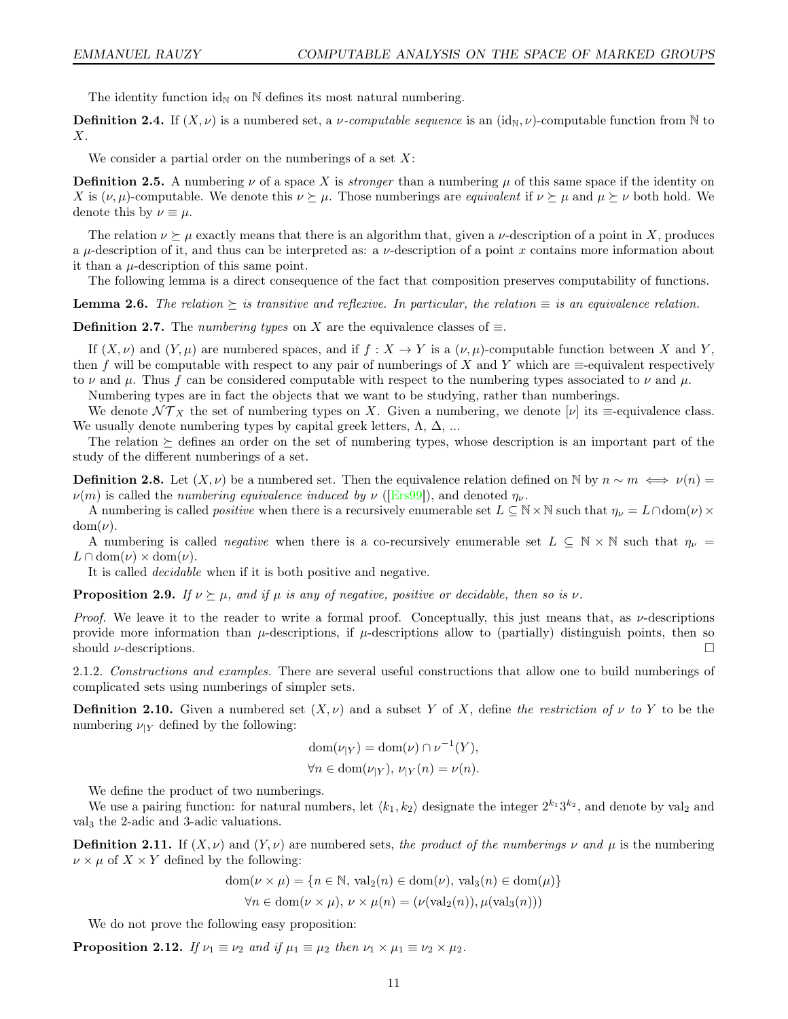The identity function  $id_N$  on  $N$  defines its most natural numbering.

**Definition 2.4.** If  $(X, \nu)$  is a numbered set, a *v*-computable sequence is an  $(\text{id}_{N}, \nu)$ -computable function from N to  $X$ .

We consider a partial order on the numberings of a set  $X$ :

**Definition 2.5.** A numbering  $\nu$  of a space X is *stronger* than a numbering  $\mu$  of this same space if the identity on X is  $(\nu, \mu)$ -computable. We denote this  $\nu \succeq \mu$ . Those numberings are *equivalent* if  $\nu \succeq \mu$  and  $\mu \succeq \nu$  both hold. We denote this by  $\nu \equiv \mu$ .

The relation  $\nu \succeq \mu$  exactly means that there is an algorithm that, given a  $\nu$ -description of a point in X, produces a  $\mu$ -description of it, and thus can be interpreted as: a  $\nu$ -description of a point x contains more information about it than a  $\mu$ -description of this same point.

The following lemma is a direct consequence of the fact that composition preserves computability of functions.

**Lemma 2.6.** The relation  $\succeq$  is transitive and reflexive. In particular, the relation  $\equiv$  is an equivalence relation.

**Definition 2.7.** The *numbering types* on X are the equivalence classes of  $\equiv$ .

If  $(X, \nu)$  and  $(Y, \mu)$  are numbered spaces, and if  $f : X \to Y$  is a  $(\nu, \mu)$ -computable function between X and Y. then f will be computable with respect to any pair of numberings of X and Y which are  $\equiv$ -equivalent respectively to  $\nu$  and  $\mu$ . Thus f can be considered computable with respect to the numbering types associated to  $\nu$  and  $\mu$ .

Numbering types are in fact the objects that we want to be studying, rather than numberings.

We denote  $\mathcal{NT}_X$  the set of numbering types on X. Given a numbering, we denote  $[\nu]$  its  $\equiv$ -equivalence class. We usually denote numbering types by capital greek letters,  $\Lambda$ ,  $\Delta$ , ...

The relation  $\succeq$  defines an order on the set of numbering types, whose description is an important part of the study of the different numberings of a set.

**Definition 2.8.** Let  $(X, \nu)$  be a numbered set. Then the equivalence relation defined on N by  $n \sim m \iff \nu(n) =$  $\nu(m)$  is called the numbering equivalence induced by  $\nu$  ([\[Ers99\]](#page-43-13)), and denoted  $\eta_{\nu}$ .

A numbering is called *positive* when there is a recursively enumerable set  $L \subseteq N \times N$  such that  $\eta_{\nu} = L \cap \text{dom}(\nu) \times$  $dom(\nu)$ .

A numbering is called *negative* when there is a co-recursively enumerable set  $L \subseteq N \times N$  such that  $\eta_{\nu} =$  $L \cap \text{dom}(\nu) \times \text{dom}(\nu)$ .

It is called decidable when if it is both positive and negative.

**Proposition 2.9.** If  $\nu \succeq \mu$ , and if  $\mu$  is any of negative, positive or decidable, then so is  $\nu$ .

Proof. We leave it to the reader to write a formal proof. Conceptually, this just means that, as  $\nu$ -descriptions provide more information than  $\mu$ -descriptions, if  $\mu$ -descriptions allow to (partially) distinguish points, then so should  $\nu$ -descriptions.

2.1.2. Constructions and examples. There are several useful constructions that allow one to build numberings of complicated sets using numberings of simpler sets.

**Definition 2.10.** Given a numbered set  $(X, \nu)$  and a subset Y of X, define the restriction of  $\nu$  to Y to be the numbering  $\nu_{|Y}$  defined by the following:

$$
dom(\nu_{|Y}) = dom(\nu) \cap \nu^{-1}(Y),
$$
  

$$
\forall n \in dom(\nu_{|Y}), \nu_{|Y}(n) = \nu(n).
$$

We define the product of two numberings.

We use a pairing function: for natural numbers, let  $\langle k_1, k_2 \rangle$  designate the integer  $2^{k_1}3^{k_2}$ , and denote by val<sub>2</sub> and val<sup>3</sup> the 2-adic and 3-adic valuations.

**Definition 2.11.** If  $(X, \nu)$  and  $(Y, \nu)$  are numbered sets, the product of the numberings  $\nu$  and  $\mu$  is the numbering  $\nu \times \mu$  of  $X \times Y$  defined by the following:

$$
dom(\nu \times \mu) = \{n \in \mathbb{N}, \text{ val}_2(n) \in dom(\nu), \text{ val}_3(n) \in dom(\mu)\}
$$
  

$$
\forall n \in dom(\nu \times \mu), \nu \times \mu(n) = (\nu(\text{val}_2(n)), \mu(\text{val}_3(n)))
$$

We do not prove the following easy proposition:

**Proposition 2.12.** If  $\nu_1 \equiv \nu_2$  and if  $\mu_1 \equiv \mu_2$  then  $\nu_1 \times \mu_1 \equiv \nu_2 \times \mu_2$ .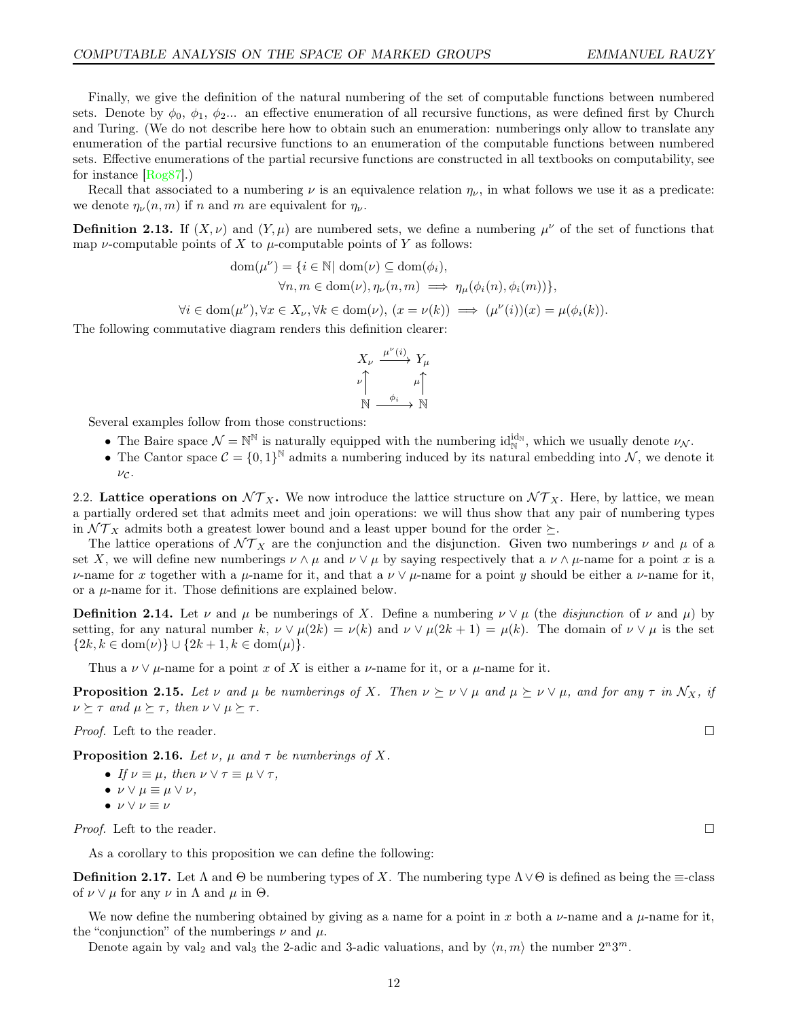Finally, we give the definition of the natural numbering of the set of computable functions between numbered sets. Denote by  $\phi_0$ ,  $\phi_1$ ,  $\phi_2$ ... an effective enumeration of all recursive functions, as were defined first by Church and Turing. (We do not describe here how to obtain such an enumeration: numberings only allow to translate any enumeration of the partial recursive functions to an enumeration of the computable functions between numbered sets. Effective enumerations of the partial recursive functions are constructed in all textbooks on computability, see for instance [\[Rog87\]](#page-44-16).)

Recall that associated to a numbering  $\nu$  is an equivalence relation  $\eta_{\nu}$ , in what follows we use it as a predicate: we denote  $\eta_{\nu}(n,m)$  if n and m are equivalent for  $\eta_{\nu}$ .

**Definition 2.13.** If  $(X, \nu)$  and  $(Y, \mu)$  are numbered sets, we define a numbering  $\mu^{\nu}$  of the set of functions that map *v*-computable points of X to  $\mu$ -computable points of Y as follows:

$$
dom(\mu^{\nu}) = \{ i \in \mathbb{N} | dom(\nu) \subseteq dom(\phi_i),
$$
  

$$
\forall n, m \in dom(\nu), \eta_{\nu}(n, m) \implies \eta_{\mu}(\phi_i(n), \phi_i(m)) \},
$$

 $\forall i \in \text{dom}(\mu^{\nu}), \forall x \in X_{\nu}, \forall k \in \text{dom}(\nu), (x = \nu(k)) \implies (\mu^{\nu}(i))(x) = \mu(\phi_i(k)).$ 

The following commutative diagram renders this definition clearer:

$$
X_{\nu} \xrightarrow{\mu^{\nu}(i)} Y_{\mu}
$$

$$
\nu \uparrow \qquad \mu \uparrow
$$

$$
\mathbb{N} \xrightarrow{\phi_i} \mathbb{N}
$$

Several examples follow from those constructions:

- The Baire space  $\mathcal{N} = \mathbb{N}^{\mathbb{N}}$  is naturally equipped with the numbering  $id_{\mathbb{N}}^{id_{\mathbb{N}}}$ , which we usually denote  $\nu_{\mathcal{N}}$ .
- The Cantor space  $C = \{0,1\}^{\mathbb{N}}$  admits a numbering induced by its natural embedding into N, we denote it  $\nu c$ .

2.2. Lattice operations on  $NT<sub>X</sub>$ . We now introduce the lattice structure on  $NT<sub>X</sub>$ . Here, by lattice, we mean a partially ordered set that admits meet and join operations: we will thus show that any pair of numbering types in  $\mathcal{NT}_X$  admits both a greatest lower bound and a least upper bound for the order  $\succeq$ .

The lattice operations of  $\mathcal{NT}_X$  are the conjunction and the disjunction. Given two numberings  $\nu$  and  $\mu$  of a set X, we will define new numberings  $\nu \wedge \mu$  and  $\nu \vee \mu$  by saying respectively that a  $\nu \wedge \mu$ -name for a point x is a  $ν$ -name for x together with a μ-name for it, and that a  $ν ∨ μ$ -name for a point y should be either a  $ν$ -name for it, or a  $\mu$ -name for it. Those definitions are explained below.

**Definition 2.14.** Let  $\nu$  and  $\mu$  be numberings of X. Define a numbering  $\nu \vee \mu$  (the *disjunction* of  $\nu$  and  $\mu$ ) by setting, for any natural number k,  $\nu \vee \mu(2k) = \nu(k)$  and  $\nu \vee \mu(2k+1) = \mu(k)$ . The domain of  $\nu \vee \mu$  is the set  $\{2k, k \in \text{dom}(\nu)\} \cup \{2k+1, k \in \text{dom}(\mu)\}.$ 

Thus a  $\nu \vee \mu$ -name for a point x of X is either a  $\nu$ -name for it, or a  $\mu$ -name for it.

**Proposition 2.15.** Let  $\nu$  and  $\mu$  be numberings of X. Then  $\nu \succeq \nu \vee \mu$  and  $\mu \succeq \nu \vee \mu$ , and for any  $\tau$  in  $\mathcal{N}_X$ , if  $\nu \succeq \tau$  and  $\mu \succeq \tau$ , then  $\nu \vee \mu \succeq \tau$ .

*Proof.* Left to the reader.

**Proposition 2.16.** Let  $\nu$ ,  $\mu$  and  $\tau$  be numberings of X.

- If  $\nu \equiv \mu$ , then  $\nu \vee \tau \equiv \mu \vee \tau$ ,
- $\nu \vee \mu \equiv \mu \vee \nu$ ,
- $\nu \vee \nu \equiv \nu$

*Proof.* Left to the reader.

As a corollary to this proposition we can define the following:

**Definition 2.17.** Let  $\Lambda$  and  $\Theta$  be numbering types of X. The numbering type  $\Lambda \lor \Theta$  is defined as being the  $\equiv$ -class of  $\nu \vee \mu$  for any  $\nu$  in  $\Lambda$  and  $\mu$  in  $\Theta$ .

We now define the numbering obtained by giving as a name for a point in x both a  $\nu$ -name and a  $\mu$ -name for it, the "conjunction" of the numberings  $\nu$  and  $\mu$ .

Denote again by val<sub>2</sub> and val<sub>3</sub> the 2-adic and 3-adic valuations, and by  $\langle n,m \rangle$  the number  $2^n 3^m$ .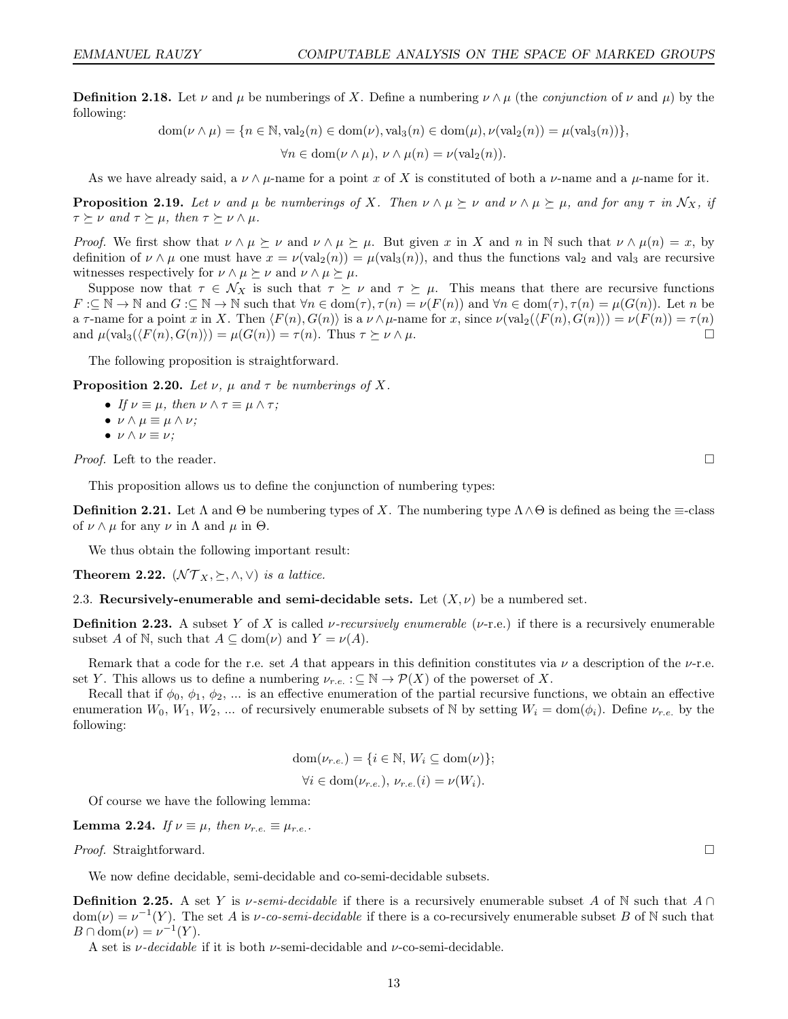**Definition 2.18.** Let  $\nu$  and  $\mu$  be numberings of X. Define a numbering  $\nu \wedge \mu$  (the *conjunction* of  $\nu$  and  $\mu$ ) by the following:

$$
dom(\nu \wedge \mu) = \{n \in \mathbb{N}, \text{val}_2(n) \in dom(\nu), \text{val}_3(n) \in dom(\mu), \nu(\text{val}_2(n)) = \mu(\text{val}_3(n))\},\
$$

$$
\forall n \in dom(\nu \wedge \mu), \nu \wedge \mu(n) = \nu(\text{val}_2(n)).
$$

As we have already said, a  $\nu \wedge \mu$ -name for a point x of X is constituted of both a  $\nu$ -name and a  $\mu$ -name for it.

**Proposition 2.19.** Let  $\nu$  and  $\mu$  be numberings of X. Then  $\nu \wedge \mu \succeq \nu$  and  $\nu \wedge \mu \succeq \mu$ , and for any  $\tau$  in  $\mathcal{N}_X$ , if  $\tau \succeq \nu$  and  $\tau \succeq \mu$ , then  $\tau \succeq \nu \wedge \mu$ .

*Proof.* We first show that  $\nu \wedge \mu \succeq \nu$  and  $\nu \wedge \mu \succeq \mu$ . But given x in X and n in N such that  $\nu \wedge \mu(n) = x$ , by definition of  $\nu \wedge \mu$  one must have  $x = \nu(\text{val}_2(n)) = \mu(\text{val}_3(n))$ , and thus the functions val<sub>2</sub> and val<sub>3</sub> are recursive witnesses respectively for  $\nu \wedge \mu \succeq \nu$  and  $\nu \wedge \mu \succeq \mu$ .

Suppose now that  $\tau \in \mathcal{N}_X$  is such that  $\tau \succeq \nu$  and  $\tau \succeq \mu$ . This means that there are recursive functions  $F:\subseteq \mathbb{N} \to \mathbb{N}$  and  $G:\subseteq \mathbb{N} \to \mathbb{N}$  such that  $\forall n \in \text{dom}(\tau), \tau(n) = \nu(F(n))$  and  $\forall n \in \text{dom}(\tau), \tau(n) = \mu(G(n))$ . Let n be a  $\tau$ -name for a point x in X. Then  $\langle F(n), G(n) \rangle$  is a  $\nu \wedge \mu$ -name for x, since  $\nu(\text{val}_2(\langle F(n), G(n) \rangle) = \nu(F(n)) = \tau(n)$ and  $\mu(\text{val}_3(\langle F(n), G(n) \rangle) = \mu(G(n)) = \tau(n)$ . Thus  $\tau \succeq \nu \wedge \mu$ .

The following proposition is straightforward.

**Proposition 2.20.** Let  $\nu$ ,  $\mu$  and  $\tau$  be numberings of X.

- If  $\nu \equiv \mu$ , then  $\nu \wedge \tau \equiv \mu \wedge \tau$ ;
- $\nu \wedge \mu \equiv \mu \wedge \nu$ ;
- $\nu \wedge \nu \equiv \nu$ ;

*Proof.* Left to the reader.

This proposition allows us to define the conjunction of numbering types:

**Definition 2.21.** Let  $\Lambda$  and  $\Theta$  be numbering types of X. The numbering type  $\Lambda \wedge \Theta$  is defined as being the  $\equiv$ -class of  $\nu \wedge \mu$  for any  $\nu$  in  $\Lambda$  and  $\mu$  in  $\Theta$ .

We thus obtain the following important result:

**Theorem 2.22.**  $(\mathcal{NT}_X, \succeq, \wedge, \vee)$  is a lattice.

2.3. Recursively-enumerable and semi-decidable sets. Let  $(X, \nu)$  be a numbered set.

**Definition 2.23.** A subset Y of X is called v-recursively enumerable (v-r.e.) if there is a recursively enumerable subset A of N, such that  $A \subseteq \text{dom}(\nu)$  and  $Y = \nu(A)$ .

Remark that a code for the r.e. set A that appears in this definition constitutes via  $\nu$  a description of the  $\nu$ -r.e. set Y. This allows us to define a numbering  $\nu_{r.e.} : \subseteq N \to \mathcal{P}(X)$  of the powerset of X.

Recall that if  $\phi_0, \phi_1, \phi_2, \dots$  is an effective enumeration of the partial recursive functions, we obtain an effective enumeration  $W_0, W_1, W_2, ...$  of recursively enumerable subsets of N by setting  $W_i = \text{dom}(\phi_i)$ . Define  $\nu_{r.e.}$  by the following:

$$
dom(\nu_{r.e.}) = \{i \in \mathbb{N}, W_i \subseteq dom(\nu)\};
$$
  

$$
\forall i \in dom(\nu_{r.e.}), \nu_{r.e.}(i) = \nu(W_i).
$$

Of course we have the following lemma:

**Lemma 2.24.** If  $\nu \equiv \mu$ , then  $\nu_{r.e.} \equiv \mu_{r.e.}$ .

*Proof.* Straightforward.  $\square$ 

We now define decidable, semi-decidable and co-semi-decidable subsets.

**Definition 2.25.** A set Y is  $\nu$ -semi-decidable if there is a recursively enumerable subset A of N such that  $A \cap$  $dom(\nu) = \nu^{-1}(Y)$ . The set A is  $\nu$ -co-semi-decidable if there is a co-recursively enumerable subset B of N such that  $B \cap \text{dom}(\nu) = \nu^{-1}(Y).$ 

A set is  $\nu$ -decidable if it is both  $\nu$ -semi-decidable and  $\nu$ -co-semi-decidable.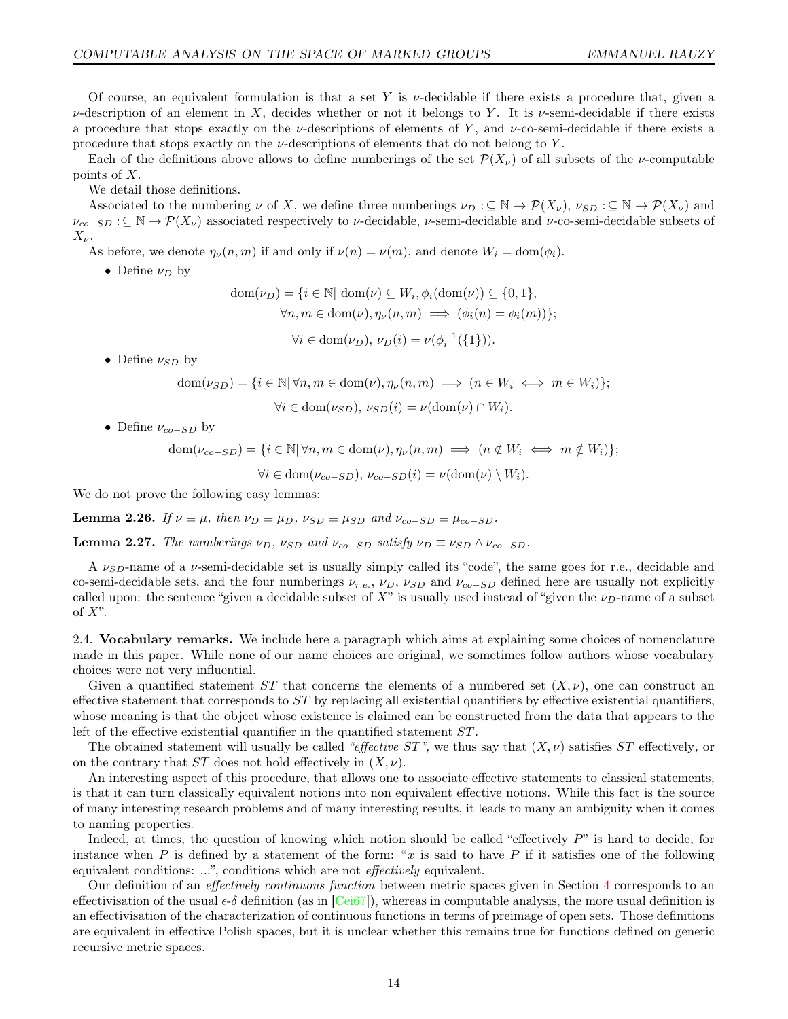Of course, an equivalent formulation is that a set Y is  $\nu$ -decidable if there exists a procedure that, given a  $\nu$ -description of an element in X, decides whether or not it belongs to Y. It is  $\nu$ -semi-decidable if there exists a procedure that stops exactly on the v-descriptions of elements of Y, and v-co-semi-decidable if there exists a procedure that stops exactly on the  $\nu$ -descriptions of elements that do not belong to Y.

Each of the definitions above allows to define numberings of the set  $\mathcal{P}(X_{\nu})$  of all subsets of the *v*-computable points of X.

We detail those definitions.

Associated to the numbering  $\nu$  of X, we define three numberings  $\nu_D : \subseteq \mathbb{N} \to \mathcal{P}(X_{\nu}), \nu_{SD} : \subseteq \mathbb{N} \to \mathcal{P}(X_{\nu})$  and  $\nu_{co-SD}$  :  $\subseteq \mathbb{N} \to \mathcal{P}(X_{\nu})$  associated respectively to  $\nu$ -decidable,  $\nu$ -semi-decidable and  $\nu$ -co-semi-decidable subsets of  $X_{\nu}$ .

As before, we denote  $\eta_{\nu}(n,m)$  if and only if  $\nu(n) = \nu(m)$ , and denote  $W_i = \text{dom}(\phi_i)$ .

• Define  $\nu_D$  by

$$
\text{dom}(\nu_D) = \{ i \in \mathbb{N} | \text{ dom}(\nu) \subseteq W_i, \phi_i(\text{dom}(\nu)) \subseteq \{0, 1\},
$$
  

$$
\forall n, m \in \text{dom}(\nu), \eta_{\nu}(n, m) \implies (\phi_i(n) = \phi_i(m)) \};
$$

$$
\forall i \in \text{dom}(\nu_D), \, \nu_D(i) = \nu(\phi_i^{-1}(\{1\})).
$$

• Define  $\nu_{SD}$  by

$$
\text{dom}(\nu_{SD}) = \{ i \in \mathbb{N} \mid \forall n, m \in \text{dom}(\nu), \eta_{\nu}(n, m) \implies (n \in W_i \iff m \in W_i) \};
$$

$$
\forall i \in \text{dom}(\nu_{SD}), \, \nu_{SD}(i) = \nu(\text{dom}(\nu) \cap W_i).
$$

• Define  $\nu_{co-SD}$  by

 $dom(\nu_{co-SD}) = \{i \in \mathbb{N} | \forall n, m \in dom(\nu), \eta_{\nu}(n, m) \implies (n \notin W_i \iff m \notin W_i)\};$  $\forall i \in \text{dom}(\nu_{co-SD}), \nu_{co-SD}(i) = \nu(\text{dom}(\nu) \setminus W_i).$ 

We do not prove the following easy lemmas:

**Lemma 2.26.** If  $\nu \equiv \mu$ , then  $\nu_D \equiv \mu_D$ ,  $\nu_{SD} \equiv \mu_{SD}$  and  $\nu_{co-SD} \equiv \mu_{co-SD}$ .

**Lemma 2.27.** The numberings  $v_D$ ,  $v_{SD}$  and  $v_{co-SD}$  satisfy  $v_D \equiv v_{SD} \wedge v_{co-SD}$ .

A  $\nu_{SD}$ -name of a  $\nu$ -semi-decidable set is usually simply called its "code", the same goes for r.e., decidable and co-semi-decidable sets, and the four numberings  $\nu_{r.e.}$ ,  $\nu_D$ ,  $\nu_{SD}$  and  $\nu_{co-SD}$  defined here are usually not explicitly called upon: the sentence "given a decidable subset of X" is usually used instead of "given the  $\nu_D$ -name of a subset of  $X$ ".

<span id="page-13-0"></span>2.4. Vocabulary remarks. We include here a paragraph which aims at explaining some choices of nomenclature made in this paper. While none of our name choices are original, we sometimes follow authors whose vocabulary choices were not very influential.

Given a quantified statement ST that concerns the elements of a numbered set  $(X, \nu)$ , one can construct an effective statement that corresponds to  $ST$  by replacing all existential quantifiers by effective existential quantifiers, whose meaning is that the object whose existence is claimed can be constructed from the data that appears to the left of the effective existential quantifier in the quantified statement ST .

The obtained statement will usually be called "effective  $ST$ ", we thus say that  $(X, \nu)$  satisfies  $ST$  effectively, or on the contrary that  $ST$  does not hold effectively in  $(X, \nu)$ .

An interesting aspect of this procedure, that allows one to associate effective statements to classical statements, is that it can turn classically equivalent notions into non equivalent effective notions. While this fact is the source of many interesting research problems and of many interesting results, it leads to many an ambiguity when it comes to naming properties.

Indeed, at times, the question of knowing which notion should be called "effectively P" is hard to decide, for instance when P is defined by a statement of the form: "x is said to have P if it satisfies one of the following equivalent conditions: ...", conditions which are not effectively equivalent.

Our definition of an *effectively continuous function* between metric spaces given in Section [4](#page-17-0) corresponds to an effectivisation of the usual  $\epsilon$ - $\delta$  definition (as in [\[Cei67\]](#page-43-1)), whereas in computable analysis, the more usual definition is an effectivisation of the characterization of continuous functions in terms of preimage of open sets. Those definitions are equivalent in effective Polish spaces, but it is unclear whether this remains true for functions defined on generic recursive metric spaces.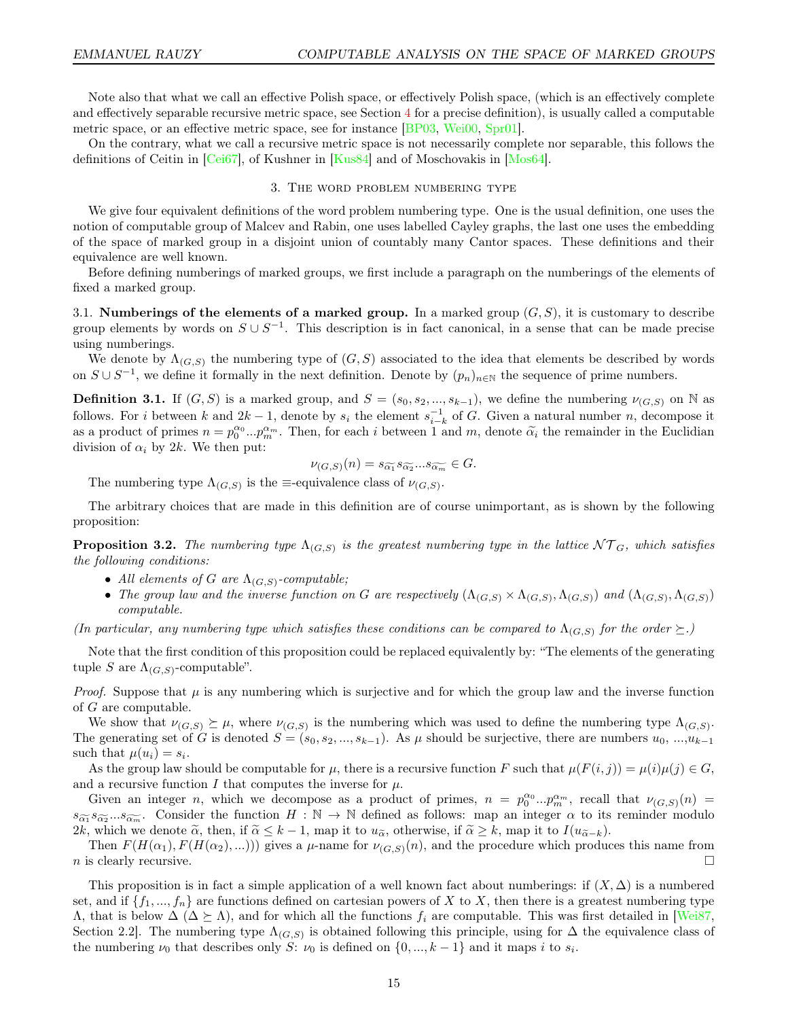Note also that what we call an effective Polish space, or effectively Polish space, (which is an effectively complete and effectively separable recursive metric space, see Section [4](#page-17-0) for a precise definition), is usually called a computable metric space, or an effective metric space, see for instance [\[BP03,](#page-43-14) [Wei00,](#page-45-2) [Spr01\]](#page-44-17).

<span id="page-14-0"></span>On the contrary, what we call a recursive metric space is not necessarily complete nor separable, this follows the definitions of Ceitin in [\[Cei67\]](#page-43-1), of Kushner in [\[Kus84\]](#page-44-13) and of Moschovakis in [\[Mos64\]](#page-44-6).

#### 3. The word problem numbering type

We give four equivalent definitions of the word problem numbering type. One is the usual definition, one uses the notion of computable group of Malcev and Rabin, one uses labelled Cayley graphs, the last one uses the embedding of the space of marked group in a disjoint union of countably many Cantor spaces. These definitions and their equivalence are well known.

Before defining numberings of marked groups, we first include a paragraph on the numberings of the elements of fixed a marked group.

<span id="page-14-2"></span>3.1. Numberings of the elements of a marked group. In a marked group  $(G, S)$ , it is customary to describe group elements by words on  $S \cup S^{-1}$ . This description is in fact canonical, in a sense that can be made precise using numberings.

We denote by  $\Lambda_{(G,S)}$  the numbering type of  $(G, S)$  associated to the idea that elements be described by words on  $S \cup S^{-1}$ , we define it formally in the next definition. Denote by  $(p_n)_{n \in \mathbb{N}}$  the sequence of prime numbers.

**Definition 3.1.** If  $(G, S)$  is a marked group, and  $S = (s_0, s_2, ..., s_{k-1})$ , we define the numbering  $\nu_{(G,S)}$  on N as follows. For i between k and  $2k-1$ , denote by  $s_i$  the element  $s_{i-k}^{-1}$  of G. Given a natural number n, decompose it as a product of primes  $n = p_0^{\alpha_0} ... p_m^{\alpha_m}$ . Then, for each i between 1 and m, denote  $\tilde{\alpha}_i$  the remainder in the Euclidian division of  $\alpha_i$  by 2k. We then put:

$$
\nu_{(G,S)}(n) = s_{\widetilde{\alpha_1}} s_{\widetilde{\alpha_2}}...s_{\widetilde{\alpha_m}} \in G.
$$

The numbering type  $\Lambda_{(G,S)}$  is the  $\equiv$ -equivalence class of  $\nu_{(G,S)}$ .

The arbitrary choices that are made in this definition are of course unimportant, as is shown by the following proposition:

<span id="page-14-1"></span>**Proposition 3.2.** The numbering type  $\Lambda_{(G,S)}$  is the greatest numbering type in the lattice  $\mathcal{NT}_G$ , which satisfies the following conditions:

- All elements of G are  $\Lambda_{(G,S)}$ -computable;
- The group law and the inverse function on G are respectively  $(\Lambda_{(G,S)} \times \Lambda_{(G,S)}, \Lambda_{(G,S)})$  and  $(\Lambda_{(G,S)}, \Lambda_{(G,S)})$ computable.

(In particular, any numbering type which satisfies these conditions can be compared to  $\Lambda_{(G,S)}$  for the order  $\succeq$ .)

Note that the first condition of this proposition could be replaced equivalently by: "The elements of the generating tuple S are  $\Lambda_{(G,S)}$ -computable".

*Proof.* Suppose that  $\mu$  is any numbering which is surjective and for which the group law and the inverse function of G are computable.

We show that  $\nu_{(G,S)} \succeq \mu$ , where  $\nu_{(G,S)}$  is the numbering which was used to define the numbering type  $\Lambda_{(G,S)}$ . The generating set of G is denoted  $S = (s_0, s_2, ..., s_{k-1})$ . As  $\mu$  should be surjective, there are numbers  $u_0, ..., u_{k-1}$ such that  $\mu(u_i) = s_i$ .

As the group law should be computable for  $\mu$ , there is a recursive function F such that  $\mu(F(i,j)) = \mu(i)\mu(j) \in G$ , and a recursive function I that computes the inverse for  $\mu$ .

Given an integer n, which we decompose as a product of primes,  $n = p_0^{\alpha_0} ... p_m^{\alpha_m}$ , recall that  $\nu_{(G,S)}(n)$  $s_{\widetilde{\alpha_1}} s_{\widetilde{\alpha_2}}...s_{\widetilde{\alpha_m}}$ . Consider the function  $H : \mathbb{N} \to \mathbb{N}$  defined as follows: map an integer  $\alpha$  to its reminder modulo 2k, which we denote  $\tilde{\alpha}$ , then, if  $\tilde{\alpha} \leq k - 1$ , map it to  $u_{\tilde{\alpha}}$ , otherwise, if  $\tilde{\alpha} \geq k$ , map it to  $I(u_{\tilde{\alpha}-k})$ .

Then  $F(H(\alpha_1), F(H(\alpha_2), ...)))$  gives a  $\mu$ -name for  $\nu_{(G,S)}(n)$ , and the procedure which produces this name from n is clearly recursive.

This proposition is in fact a simple application of a well known fact about numberings: if  $(X, \Delta)$  is a numbered set, and if  $\{f_1, ..., f_n\}$  are functions defined on cartesian powers of X to X, then there is a greatest numbering type  $Λ$ , that is below  $Δ (Δ ≥ Λ)$ , and for which all the functions  $f_i$  are computable. This was first detailed in [\[Wei87,](#page-45-1) Section 2.2. The numbering type  $\Lambda_{(G,S)}$  is obtained following this principle, using for  $\Delta$  the equivalence class of the numbering  $\nu_0$  that describes only S:  $\nu_0$  is defined on  $\{0, ..., k-1\}$  and it maps i to  $s_i$ .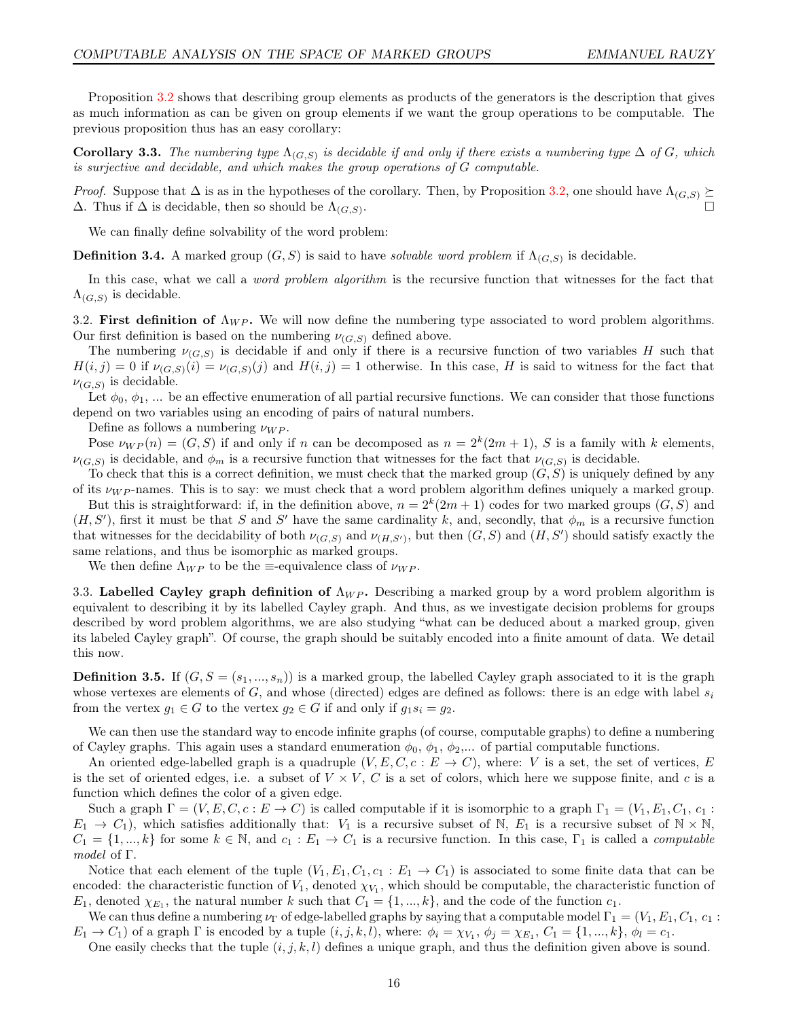Proposition [3.2](#page-14-1) shows that describing group elements as products of the generators is the description that gives as much information as can be given on group elements if we want the group operations to be computable. The previous proposition thus has an easy corollary:

**Corollary 3.3.** The numbering type  $\Lambda_{(G,S)}$  is decidable if and only if there exists a numbering type  $\Delta$  of G, which is surjective and decidable, and which makes the group operations of G computable.

*Proof.* Suppose that  $\Delta$  is as in the hypotheses of the corollary. Then, by Proposition [3.2,](#page-14-1) one should have  $\Lambda_{(G,S)} \succeq$  $\Delta$ . Thus if  $\Delta$  is decidable, then so should be  $\Lambda_{(G,S)}$ . . The contract of the contract of the contract of  $\Box$ 

We can finally define solvability of the word problem:

**Definition 3.4.** A marked group  $(G, S)$  is said to have *solvable word problem* if  $\Lambda_{(G,S)}$  is decidable.

In this case, what we call a *word problem algorithm* is the recursive function that witnesses for the fact that  $\Lambda_{(G,S)}$  is decidable.

3.2. First definition of  $\Lambda_{WP}$ . We will now define the numbering type associated to word problem algorithms. Our first definition is based on the numbering  $\nu_{(G,S)}$  defined above.

The numbering  $\nu_{(G,S)}$  is decidable if and only if there is a recursive function of two variables H such that  $H(i, j) = 0$  if  $\nu_{(G, S)}(i) = \nu_{(G, S)}(j)$  and  $H(i, j) = 1$  otherwise. In this case, H is said to witness for the fact that  $\nu_{(G,S)}$  is decidable.

Let  $\phi_0, \phi_1, \dots$  be an effective enumeration of all partial recursive functions. We can consider that those functions depend on two variables using an encoding of pairs of natural numbers.

Define as follows a numbering  $\nu_{WP}$ .

Pose  $\nu_{WP}(n) = (G, S)$  if and only if n can be decomposed as  $n = 2^k(2m + 1)$ , S is a family with k elements,  $\nu_{(G,S)}$  is decidable, and  $\phi_m$  is a recursive function that witnesses for the fact that  $\nu_{(G,S)}$  is decidable.

To check that this is a correct definition, we must check that the marked group  $(G, S)$  is uniquely defined by any of its  $\nu_{WP}$ -names. This is to say: we must check that a word problem algorithm defines uniquely a marked group.

But this is straightforward: if, in the definition above,  $n = 2<sup>k</sup>(2m + 1)$  codes for two marked groups  $(G, S)$  and  $(H, S')$ , first it must be that S and S' have the same cardinality k, and, secondly, that  $\phi_m$  is a recursive function that witnesses for the decidability of both  $\nu_{(G,S)}$  and  $\nu_{(H,S')}$ , but then  $(G, S)$  and  $(H, S')$  should satisfy exactly the same relations, and thus be isomorphic as marked groups.

We then define  $\Lambda_{WP}$  to be the  $\equiv$ -equivalence class of  $\nu_{WP}$ .

3.3. Labelled Cayley graph definition of  $\Lambda_{WP}$ . Describing a marked group by a word problem algorithm is equivalent to describing it by its labelled Cayley graph. And thus, as we investigate decision problems for groups described by word problem algorithms, we are also studying "what can be deduced about a marked group, given its labeled Cayley graph". Of course, the graph should be suitably encoded into a finite amount of data. We detail this now.

**Definition 3.5.** If  $(G, S = (s_1, ..., s_n))$  is a marked group, the labelled Cayley graph associated to it is the graph whose vertexes are elements of G, and whose (directed) edges are defined as follows: there is an edge with label  $s_i$ from the vertex  $g_1 \in G$  to the vertex  $g_2 \in G$  if and only if  $g_1s_i = g_2$ .

We can then use the standard way to encode infinite graphs (of course, computable graphs) to define a numbering of Cayley graphs. This again uses a standard enumeration  $\phi_0$ ,  $\phi_1$ ,  $\phi_2$ ,... of partial computable functions.

An oriented edge-labelled graph is a quadruple  $(V, E, C, c : E \to C)$ , where: V is a set, the set of vertices, E is the set of oriented edges, i.e. a subset of  $V \times V$ , C is a set of colors, which here we suppose finite, and c is a function which defines the color of a given edge.

Such a graph  $\Gamma = (V, E, C, c : E \to C)$  is called computable if it is isomorphic to a graph  $\Gamma_1 = (V_1, E_1, C_1, c_1)$ .  $E_1 \rightarrow C_1$ , which satisfies additionally that:  $V_1$  is a recursive subset of N,  $E_1$  is a recursive subset of N  $\times$  N,  $C_1 = \{1, ..., k\}$  for some  $k \in \mathbb{N}$ , and  $c_1 : E_1 \to C_1$  is a recursive function. In this case,  $\Gamma_1$  is called a *computable* model of Γ.

Notice that each element of the tuple  $(V_1, E_1, C_1, c_1 : E_1 \to C_1)$  is associated to some finite data that can be encoded: the characteristic function of  $V_1$ , denoted  $\chi_{V_1}$ , which should be computable, the characteristic function of  $E_1$ , denoted  $\chi_{E_1}$ , the natural number k such that  $C_1 = \{1, ..., k\}$ , and the code of the function  $c_1$ .

We can thus define a numbering  $\nu_{\Gamma}$  of edge-labelled graphs by saying that a computable model  $\Gamma_1 = (V_1, E_1, C_1, c_1)$  $E_1 \rightarrow C_1$ ) of a graph  $\Gamma$  is encoded by a tuple  $(i, j, k, l)$ , where:  $\phi_i = \chi_{V_1}, \phi_j = \chi_{E_1}, C_1 = \{1, ..., k\}, \phi_l = c_1$ .

One easily checks that the tuple  $(i, j, k, l)$  defines a unique graph, and thus the definition given above is sound.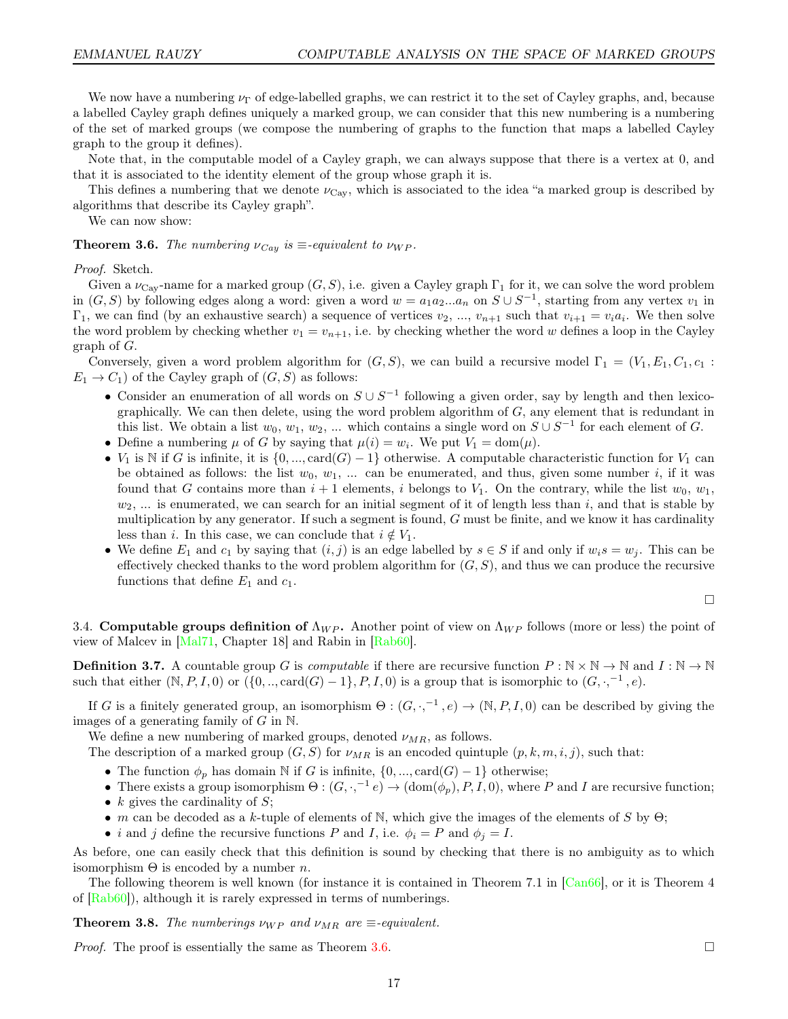We now have a numbering  $\nu_{\Gamma}$  of edge-labelled graphs, we can restrict it to the set of Cayley graphs, and, because a labelled Cayley graph defines uniquely a marked group, we can consider that this new numbering is a numbering of the set of marked groups (we compose the numbering of graphs to the function that maps a labelled Cayley graph to the group it defines).

Note that, in the computable model of a Cayley graph, we can always suppose that there is a vertex at 0, and that it is associated to the identity element of the group whose graph it is.

This defines a numbering that we denote  $\nu_{\text{Cay}}$ , which is associated to the idea "a marked group is described by algorithms that describe its Cayley graph".

We can now show:

<span id="page-16-0"></span>**Theorem 3.6.** The numbering  $\nu_{Cay}$  is  $\equiv$ -equivalent to  $\nu_{WP}$ .

Proof. Sketch.

Given a  $\nu_{\text{Cav}}$ -name for a marked group  $(G, S)$ , i.e. given a Cayley graph  $\Gamma_1$  for it, we can solve the word problem in  $(G, S)$  by following edges along a word: given a word  $w = a_1 a_2 ... a_n$  on  $S \cup S^{-1}$ , starting from any vertex  $v_1$  in  $\Gamma_1$ , we can find (by an exhaustive search) a sequence of vertices  $v_2, ..., v_{n+1}$  such that  $v_{i+1} = v_i a_i$ . We then solve the word problem by checking whether  $v_1 = v_{n+1}$ , i.e. by checking whether the word w defines a loop in the Cayley graph of G.

Conversely, given a word problem algorithm for  $(G, S)$ , we can build a recursive model  $\Gamma_1 = (V_1, E_1, C_1, c_1)$ .  $E_1 \rightarrow C_1$ ) of the Cayley graph of  $(G, S)$  as follows:

- Consider an enumeration of all words on  $S \cup S^{-1}$  following a given order, say by length and then lexicographically. We can then delete, using the word problem algorithm of  $G$ , any element that is redundant in this list. We obtain a list  $w_0, w_1, w_2, ...$  which contains a single word on  $S \cup S^{-1}$  for each element of G.
- Define a numbering  $\mu$  of G by saying that  $\mu(i) = w_i$ . We put  $V_1 = \text{dom}(\mu)$ .
- $V_1$  is N if G is infinite, it is  $\{0, ..., \text{card}(G) 1\}$  otherwise. A computable characteristic function for  $V_1$  can be obtained as follows: the list  $w_0, w_1, ...$  can be enumerated, and thus, given some number i, if it was found that G contains more than  $i + 1$  elements, i belongs to  $V_1$ . On the contrary, while the list  $w_0, w_1$ ,  $w_2, \ldots$  is enumerated, we can search for an initial segment of it of length less than i, and that is stable by multiplication by any generator. If such a segment is found, G must be finite, and we know it has cardinality less than i. In this case, we can conclude that  $i \notin V_1$ .
- We define  $E_1$  and  $c_1$  by saying that  $(i, j)$  is an edge labelled by  $s \in S$  if and only if  $w_i s = w_j$ . This can be effectively checked thanks to the word problem algorithm for  $(G, S)$ , and thus we can produce the recursive functions that define  $E_1$  and  $c_1$ .

$$
\qquad \qquad \Box
$$

3.4. Computable groups definition of  $\Lambda_{WP}$ . Another point of view on  $\Lambda_{WP}$  follows (more or less) the point of view of Malcev in [\[Mal71,](#page-44-2) Chapter 18] and Rabin in [\[Rab60\]](#page-44-3).

**Definition 3.7.** A countable group G is *computable* if there are recursive function  $P : \mathbb{N} \times \mathbb{N} \to \mathbb{N}$  and  $I : \mathbb{N} \to \mathbb{N}$ such that either  $(N, P, I, 0)$  or  $(\{0, ..., \text{card}(G) - 1\}, P, I, 0)$  is a group that is isomorphic to  $(G, \cdot, ^{-1}, e)$ .

If G is a finitely generated group, an isomorphism  $\Theta$ :  $(G, \cdot, ^{-1}, e) \to (\mathbb{N}, P, I, 0)$  can be described by giving the images of a generating family of  $G$  in  $\mathbb N$ .

We define a new numbering of marked groups, denoted  $\nu_{MR}$ , as follows.

The description of a marked group  $(G, S)$  for  $\nu_{MR}$  is an encoded quintuple  $(p, k, m, i, j)$ , such that:

- The function  $\phi_p$  has domain N if G is infinite,  $\{0, ..., \text{card}(G) 1\}$  otherwise;
- There exists a group isomorphism  $\Theta: (G, \cdot, ^{-1}e) \to (\text{dom}(\phi_p), P, I, 0)$ , where P and I are recursive function;
- $k$  gives the cardinality of  $S$ ;
- m can be decoded as a k-tuple of elements of N, which give the images of the elements of S by  $\Theta$ ;
- *i* and *j* define the recursive functions P and I, i.e.  $\phi_i = P$  and  $\phi_j = I$ .

As before, one can easily check that this definition is sound by checking that there is no ambiguity as to which isomorphism  $Θ$  is encoded by a number *n*.

The following theorem is well known (for instance it is contained in Theorem 7.1 in [\[Can66\]](#page-43-15), or it is Theorem 4 of  $[Rab60]$ , although it is rarely expressed in terms of numberings.

**Theorem 3.8.** The numberings  $\nu_{WP}$  and  $\nu_{MR}$  are  $\equiv$ -equivalent.

*Proof.* The proof is essentially the same as Theorem [3.6.](#page-16-0)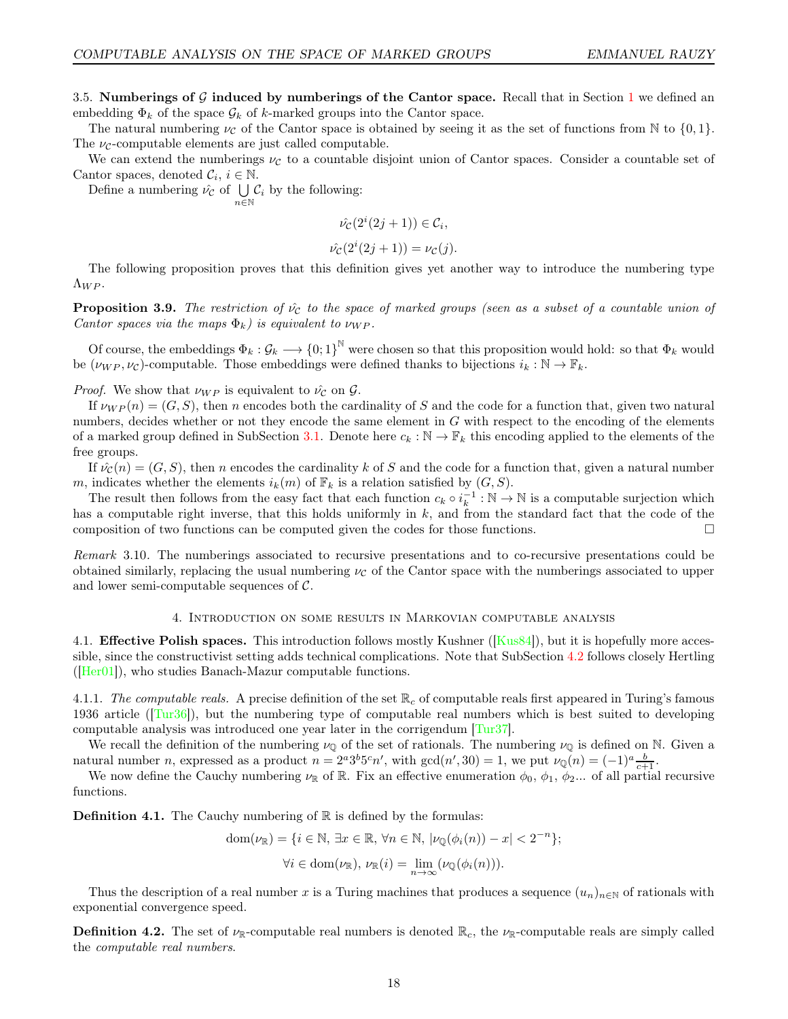<span id="page-17-1"></span>3.5. Numberings of  $\mathcal G$  induced by numberings of the Cantor space. Recall that in Section [1](#page-7-0) we defined an embedding  $\Phi_k$  of the space  $\mathcal{G}_k$  of k-marked groups into the Cantor space.

The natural numbering  $\nu_c$  of the Cantor space is obtained by seeing it as the set of functions from N to  $\{0, 1\}$ . The  $\nu_c$ -computable elements are just called computable.

We can extend the numberings  $\nu_c$  to a countable disjoint union of Cantor spaces. Consider a countable set of Cantor spaces, denoted  $C_i$ ,  $i \in \mathbb{N}$ .

Define a numbering  $\hat{\nu_c}$  of  $\bigcup \mathcal{C}_i$  by the following:

n∈N

$$
\hat{\nu_{\mathcal{C}}}(2^i(2j+1)) \in \mathcal{C}_i,
$$

$$
\hat{\nu_{\mathcal{C}}}(2^i(2j+1)) = \nu_{\mathcal{C}}(j).
$$

The following proposition proves that this definition gives yet another way to introduce the numbering type  $\Lambda_{WP}.$ 

**Proposition 3.9.** The restriction of  $\hat{v}_C$  to the space of marked groups (seen as a subset of a countable union of Cantor spaces via the maps  $\Phi_k$ ) is equivalent to  $\nu_{WP}$ .

Of course, the embeddings  $\Phi_k: \mathcal{G}_k \longrightarrow \{0,1\}^{\mathbb{N}}$  were chosen so that this proposition would hold: so that  $\Phi_k$  would be  $(\nu_{WP}, \nu_c)$ -computable. Those embeddings were defined thanks to bijections  $i_k : \mathbb{N} \to \mathbb{F}_k$ .

*Proof.* We show that  $\nu_{WP}$  is equivalent to  $\hat{\nu_c}$  on  $\hat{\mathcal{G}}$ .

If  $\nu_{WP}(n) = (G, S)$ , then n encodes both the cardinality of S and the code for a function that, given two natural numbers, decides whether or not they encode the same element in G with respect to the encoding of the elements of a marked group defined in SubSection [3.1.](#page-14-2) Denote here  $c_k : \mathbb{N} \to \mathbb{F}_k$  this encoding applied to the elements of the free groups.

If  $\hat{\nu}_c(n) = (G, S)$ , then n encodes the cardinality k of S and the code for a function that, given a natural number m, indicates whether the elements  $i_k(m)$  of  $\mathbb{F}_k$  is a relation satisfied by  $(G, S)$ .

The result then follows from the easy fact that each function  $c_k \circ i_k^{-1} : \mathbb{N} \to \mathbb{N}$  is a computable surjection which has a computable right inverse, that this holds uniformly in  $k$ , and from the standard fact that the code of the composition of two functions can be computed given the codes for those functions.

Remark 3.10. The numberings associated to recursive presentations and to co-recursive presentations could be obtained similarly, replacing the usual numbering  $\nu_c$  of the Cantor space with the numberings associated to upper and lower semi-computable sequences of  $\mathcal{C}$ .

#### 4. Introduction on some results in Markovian computable analysis

<span id="page-17-0"></span>4.1. **Effective Polish spaces.** This introduction follows mostly Kushner ([\[Kus84\]](#page-44-13)), but it is hopefully more accessible, since the constructivist setting adds technical complications. Note that SubSection [4.2](#page-21-2) follows closely Hertling  $(Her01)$ , who studies Banach-Mazur computable functions.

4.1.1. The computable reals. A precise definition of the set  $\mathbb{R}_c$  of computable reals first appeared in Turing's famous 1936 article ([\[Tur36\]](#page-45-0)), but the numbering type of computable real numbers which is best suited to developing computable analysis was introduced one year later in the corrigendum [\[Tur37\]](#page-45-3).

We recall the definition of the numbering  $\nu_{\mathbb{Q}}$  of the set of rationals. The numbering  $\nu_{\mathbb{Q}}$  is defined on N. Given a natural number n, expressed as a product  $n = 2^a 3^b 5^c n'$ , with  $gcd(n', 30) = 1$ , we put  $\nu_{\mathbb{Q}}(n) = (-1)^a \frac{b}{c+1}$ .

We now define the Cauchy numbering  $\nu_{\mathbb{R}}$  of  $\mathbb{R}$ . Fix an effective enumeration  $\phi_0$ ,  $\phi_1$ ,  $\phi_2$ ... of all partial recursive functions.

**Definition 4.1.** The Cauchy numbering of  $\mathbb{R}$  is defined by the formulas:

dom(
$$
\nu_{\mathbb{R}}
$$
) = { $i \in \mathbb{N}$ ,  $\exists x \in \mathbb{R}$ ,  $\forall n \in \mathbb{N}$ ,  $|\nu_{\mathbb{Q}}(\phi_i(n)) - x| < 2^{-n}$ };  
 $\forall i \in \text{dom}(\nu_{\mathbb{R}})$ ,  $\nu_{\mathbb{R}}(i) = \lim_{n \to \infty} (\nu_{\mathbb{Q}}(\phi_i(n))).$ 

Thus the description of a real number x is a Turing machines that produces a sequence  $(u_n)_{n\in\mathbb{N}}$  of rationals with exponential convergence speed.

**Definition 4.2.** The set of  $\nu_{\mathbb{R}}$ -computable real numbers is denoted  $\mathbb{R}_c$ , the  $\nu_{\mathbb{R}}$ -computable reals are simply called the computable real numbers.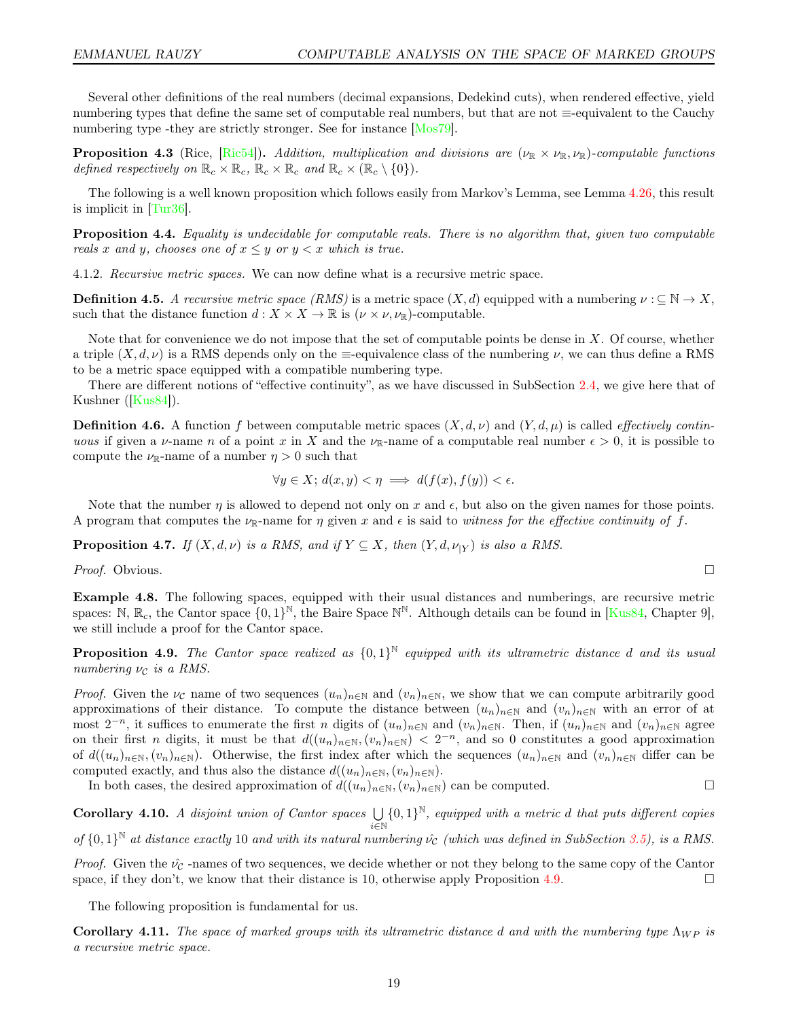Several other definitions of the real numbers (decimal expansions, Dedekind cuts), when rendered effective, yield numbering types that define the same set of computable real numbers, but that are not ≡-equivalent to the Cauchy numbering type -they are strictly stronger. See for instance [\[Mos79\]](#page-44-19).

**Proposition 4.3** (Rice, [\[Ric54\]](#page-44-20)). Addition, multiplication and divisions are  $(\nu_\mathbb{R} \times \nu_\mathbb{R}, \nu_\mathbb{R})$ -computable functions defined respectively on  $\mathbb{R}_c \times \mathbb{R}_c$ ,  $\mathbb{R}_c \times \mathbb{R}_c$  and  $\mathbb{R}_c \times (\mathbb{R}_c \setminus \{0\})$ .

The following is a well known proposition which follows easily from Markov's Lemma, see Lemma [4.26,](#page-21-3) this result is implicit in [\[Tur36\]](#page-45-0).

Proposition 4.4. Equality is undecidable for computable reals. There is no algorithm that, given two computable reals x and y, chooses one of  $x \leq y$  or  $y < x$  which is true.

4.1.2. Recursive metric spaces. We can now define what is a recursive metric space.

**Definition 4.5.** A recursive metric space (RMS) is a metric space  $(X, d)$  equipped with a numbering  $\nu : \subseteq \mathbb{N} \to X$ , such that the distance function  $d: X \times X \to \mathbb{R}$  is  $(\nu \times \nu, \nu_{\mathbb{R}})$ -computable.

Note that for convenience we do not impose that the set of computable points be dense in X. Of course, whether a triple  $(X, d, \nu)$  is a RMS depends only on the ≡-equivalence class of the numbering  $\nu$ , we can thus define a RMS to be a metric space equipped with a compatible numbering type.

There are different notions of "effective continuity", as we have discussed in SubSection [2.4,](#page-13-0) we give here that of Kushner ([\[Kus84\]](#page-44-13)).

**Definition 4.6.** A function f between computable metric spaces  $(X, d, \nu)$  and  $(Y, d, \mu)$  is called *effectively contin*uous if given a v-name n of a point x in X and the  $\nu_{\mathbb{R}}$ -name of a computable real number  $\epsilon > 0$ , it is possible to compute the  $\nu_{\mathbb{R}}$ -name of a number  $\eta > 0$  such that

$$
\forall y \in X; d(x, y) < \eta \implies d(f(x), f(y)) < \epsilon.
$$

Note that the number  $\eta$  is allowed to depend not only on x and  $\epsilon$ , but also on the given names for those points. A program that computes the  $\nu_{\mathbb{R}}$ -name for  $\eta$  given x and  $\epsilon$  is said to witness for the effective continuity of f.

<span id="page-18-2"></span>**Proposition 4.7.** If  $(X, d, \nu)$  is a RMS, and if  $Y \subseteq X$ , then  $(Y, d, \nu_{|Y})$  is also a RMS.

*Proof.* Obvious.  $\Box$ 

Example 4.8. The following spaces, equipped with their usual distances and numberings, are recursive metric spaces: N,  $\mathbb{R}_c$ , the Cantor space  $\{0,1\}^{\mathbb{N}}$ , the Baire Space  $\mathbb{N}^{\mathbb{N}}$ . Although details can be found in [\[Kus84,](#page-44-13) Chapter 9], we still include a proof for the Cantor space.

<span id="page-18-1"></span>**Proposition 4.9.** The Cantor space realized as  $\{0,1\}^{\mathbb{N}}$  equipped with its ultrametric distance d and its usual numbering  $\nu_c$  is a RMS.

*Proof.* Given the  $\nu_c$  name of two sequences  $(u_n)_{n\in\mathbb{N}}$  and  $(v_n)_{n\in\mathbb{N}}$ , we show that we can compute arbitrarily good approximations of their distance. To compute the distance between  $(u_n)_{n\in\mathbb{N}}$  and  $(v_n)_{n\in\mathbb{N}}$  with an error of at most  $2^{-n}$ , it suffices to enumerate the first n digits of  $(u_n)_{n\in\mathbb{N}}$  and  $(v_n)_{n\in\mathbb{N}}$ . Then, if  $(u_n)_{n\in\mathbb{N}}$  and  $(v_n)_{n\in\mathbb{N}}$  agree on their first *n* digits, it must be that  $d((u_n)_{n\in\mathbb{N}}, (v_n)_{n\in\mathbb{N}}) < 2^{-n}$ , and so 0 constitutes a good approximation of  $d((u_n)_{n\in\mathbb{N}},(v_n)_{n\in\mathbb{N}})$ . Otherwise, the first index after which the sequences  $(u_n)_{n\in\mathbb{N}}$  and  $(v_n)_{n\in\mathbb{N}}$  differ can be computed exactly, and thus also the distance  $d((u_n)_{n\in\mathbb{N}},(v_n)_{n\in\mathbb{N}})$ .

In both cases, the desired approximation of  $d((u_n)_{n\in\mathbb{N}},(v_n)_{n\in\mathbb{N}})$  can be computed.

Corollary 4.10. A disjoint union of Cantor spaces  $\bigcup$ i∈N  ${0,1}^{\mathbb{N}}$ , equipped with a metric d that puts different copies of  $\{0,1\}^{\mathbb{N}}$  at distance exactly 10 and with its natural numbering  $\hat{\nu}_\mathcal{C}$  (which was defined in SubSection [3.5\)](#page-17-1), is a RMS.

*Proof.* Given the  $\nu_c$ -names of two sequences, we decide whether or not they belong to the same copy of the Cantor space, if they don't, we know that their distance is 10, otherwise apply Proposition [4.9.](#page-18-1)

The following proposition is fundamental for us.

<span id="page-18-0"></span>Corollary 4.11. The space of marked groups with its ultrametric distance d and with the numbering type  $\Lambda_{WP}$  is a recursive metric space.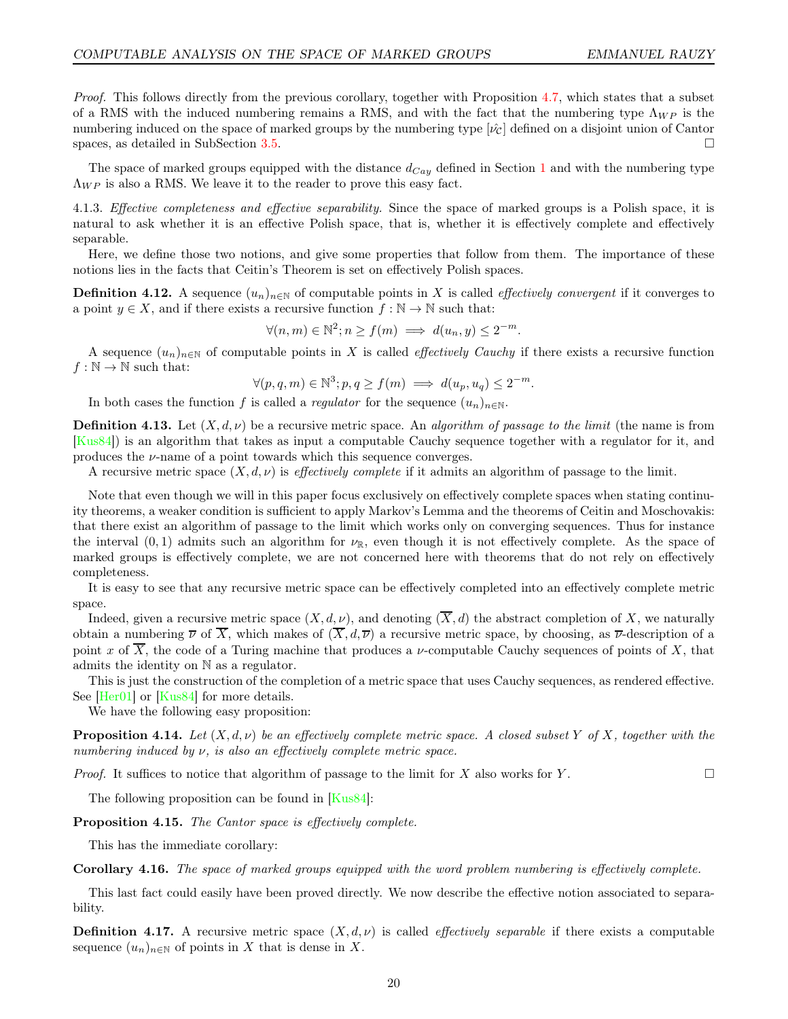Proof. This follows directly from the previous corollary, together with Proposition [4.7,](#page-18-2) which states that a subset of a RMS with the induced numbering remains a RMS, and with the fact that the numbering type  $\Lambda_{WP}$  is the numbering induced on the space of marked groups by the numbering type  $[\hat{\nu}_C]$  defined on a disjoint union of Cantor spaces, as detailed in SubSection [3.5.](#page-17-1)

The space of marked groups equipped with the distance  $d_{Cay}$  defined in Section [1](#page-7-0) and with the numbering type  $\Lambda_{WP}$  is also a RMS. We leave it to the reader to prove this easy fact.

4.1.3. Effective completeness and effective separability. Since the space of marked groups is a Polish space, it is natural to ask whether it is an effective Polish space, that is, whether it is effectively complete and effectively separable.

Here, we define those two notions, and give some properties that follow from them. The importance of these notions lies in the facts that Ceitin's Theorem is set on effectively Polish spaces.

**Definition 4.12.** A sequence  $(u_n)_{n\in\mathbb{N}}$  of computable points in X is called *effectively convergent* if it converges to a point  $y \in X$ , and if there exists a recursive function  $f : \mathbb{N} \to \mathbb{N}$  such that:

 $\forall (n,m) \in \mathbb{N}^2; n \ge f(m) \implies d(u_n, y) \le 2^{-m}.$ 

A sequence  $(u_n)_{n\in\mathbb{N}}$  of computable points in X is called *effectively Cauchy* if there exists a recursive function  $f : \mathbb{N} \to \mathbb{N}$  such that:

$$
\forall (p, q, m) \in \mathbb{N}^3; p, q \ge f(m) \implies d(u_p, u_q) \le 2^{-m}.
$$

In both cases the function f is called a regulator for the sequence  $(u_n)_{n\in\mathbb{N}}$ .

**Definition 4.13.** Let  $(X, d, \nu)$  be a recursive metric space. An algorithm of passage to the limit (the name is from [\[Kus84\]](#page-44-13)) is an algorithm that takes as input a computable Cauchy sequence together with a regulator for it, and produces the  $\nu$ -name of a point towards which this sequence converges.

A recursive metric space  $(X, d, \nu)$  is *effectively complete* if it admits an algorithm of passage to the limit.

Note that even though we will in this paper focus exclusively on effectively complete spaces when stating continuity theorems, a weaker condition is sufficient to apply Markov's Lemma and the theorems of Ceitin and Moschovakis: that there exist an algorithm of passage to the limit which works only on converging sequences. Thus for instance the interval  $(0, 1)$  admits such an algorithm for  $\nu_{\mathbb{R}}$ , even though it is not effectively complete. As the space of marked groups is effectively complete, we are not concerned here with theorems that do not rely on effectively completeness.

It is easy to see that any recursive metric space can be effectively completed into an effectively complete metric space.

Indeed, given a recursive metric space  $(X, d, \nu)$ , and denoting  $(\overline{X}, d)$  the abstract completion of X, we naturally obtain a numbering  $\overline{\nu}$  of  $\overline{X}$ , which makes of  $(\overline{X}, d, \overline{\nu})$  a recursive metric space, by choosing, as  $\overline{\nu}$ -description of a point x of  $\overline{X}$ , the code of a Turing machine that produces a v-computable Cauchy sequences of points of X, that admits the identity on N as a regulator.

This is just the construction of the completion of a metric space that uses Cauchy sequences, as rendered effective. See [\[Her01\]](#page-44-18) or [\[Kus84\]](#page-44-13) for more details.

We have the following easy proposition:

**Proposition 4.14.** Let  $(X, d, \nu)$  be an effectively complete metric space. A closed subset Y of X, together with the numbering induced by  $\nu$ , is also an effectively complete metric space.

*Proof.* It suffices to notice that algorithm of passage to the limit for X also works for Y.

The following proposition can be found in [\[Kus84\]](#page-44-13):

Proposition 4.15. The Cantor space is effectively complete.

This has the immediate corollary:

<span id="page-19-0"></span>Corollary 4.16. The space of marked groups equipped with the word problem numbering is effectively complete.

This last fact could easily have been proved directly. We now describe the effective notion associated to separability.

**Definition 4.17.** A recursive metric space  $(X, d, \nu)$  is called *effectively separable* if there exists a computable sequence  $(u_n)_{n\in\mathbb{N}}$  of points in X that is dense in X.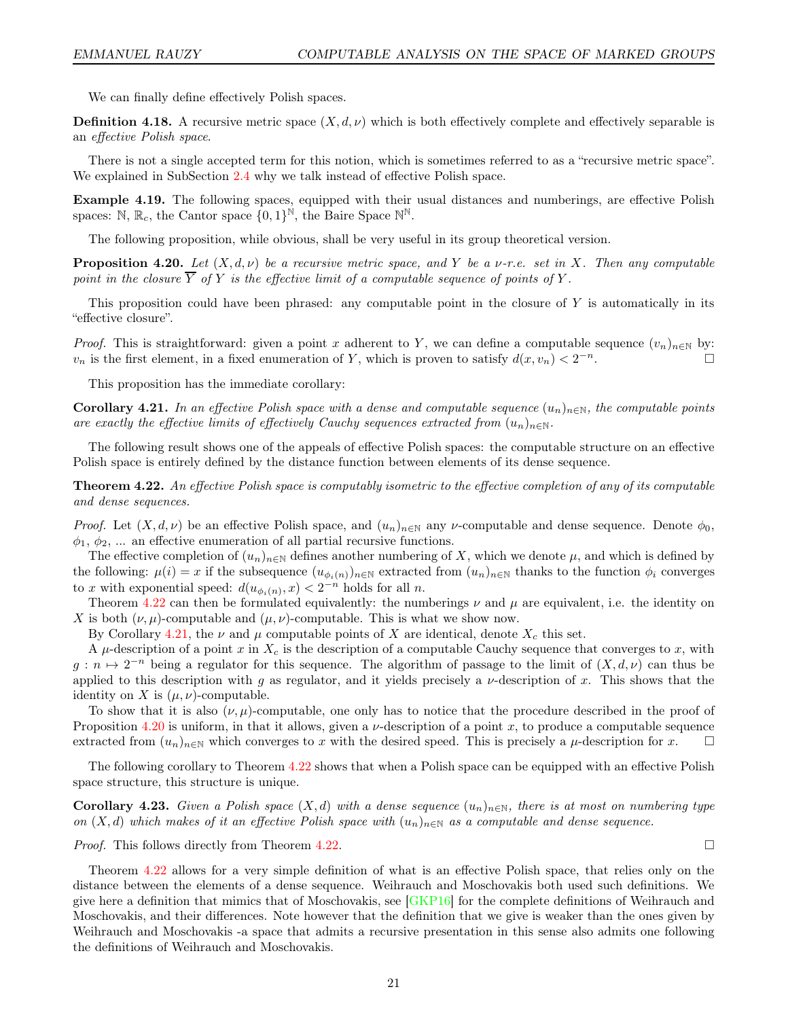We can finally define effectively Polish spaces.

**Definition 4.18.** A recursive metric space  $(X, d, \nu)$  which is both effectively complete and effectively separable is an effective Polish space.

There is not a single accepted term for this notion, which is sometimes referred to as a "recursive metric space". We explained in SubSection [2.4](#page-13-0) why we talk instead of effective Polish space.

Example 4.19. The following spaces, equipped with their usual distances and numberings, are effective Polish spaces:  $\mathbb{N}, \mathbb{R}_c$ , the Cantor space  $\{0, 1\}^{\mathbb{N}}$ , the Baire Space  $\mathbb{N}^{\mathbb{N}}$ .

The following proposition, while obvious, shall be very useful in its group theoretical version.

<span id="page-20-2"></span>**Proposition 4.20.** Let  $(X, d, \nu)$  be a recursive metric space, and Y be a  $\nu$ -r.e. set in X. Then any computable point in the closure  $\overline{Y}$  of Y is the effective limit of a computable sequence of points of Y.

This proposition could have been phrased: any computable point in the closure of Y is automatically in its "effective closure".

*Proof.* This is straightforward: given a point x adherent to Y, we can define a computable sequence  $(v_n)_{n\in\mathbb{N}}$  by:  $v_n$  is the first element, in a fixed enumeration of Y, which is proven to satisfy  $d(x, v_n) < 2^{-n}$ .

This proposition has the immediate corollary:

<span id="page-20-1"></span>Corollary 4.21. In an effective Polish space with a dense and computable sequence  $(u_n)_{n\in\mathbb{N}}$ , the computable points are exactly the effective limits of effectively Cauchy sequences extracted from  $(u_n)_{n\in\mathbb{N}}$ .

The following result shows one of the appeals of effective Polish spaces: the computable structure on an effective Polish space is entirely defined by the distance function between elements of its dense sequence.

<span id="page-20-0"></span>Theorem 4.22. An effective Polish space is computably isometric to the effective completion of any of its computable and dense sequences.

*Proof.* Let  $(X, d, \nu)$  be an effective Polish space, and  $(u_n)_{n\in\mathbb{N}}$  any  $\nu$ -computable and dense sequence. Denote  $\phi_0$ ,  $\phi_1, \phi_2, \dots$  an effective enumeration of all partial recursive functions.

The effective completion of  $(u_n)_{n\in\mathbb{N}}$  defines another numbering of X, which we denote  $\mu$ , and which is defined by the following:  $\mu(i) = x$  if the subsequence  $(u_{\phi_i(n)})_{n \in \mathbb{N}}$  extracted from  $(u_n)_{n \in \mathbb{N}}$  thanks to the function  $\phi_i$  converges to x with exponential speed:  $d(u_{\phi_i(n)}, x) < 2^{-n}$  holds for all n.

Theorem [4.22](#page-20-0) can then be formulated equivalently: the numberings  $\nu$  and  $\mu$  are equivalent, i.e. the identity on X is both  $(\nu, \mu)$ -computable and  $(\mu, \nu)$ -computable. This is what we show now.

By Corollary [4.21,](#page-20-1) the  $\nu$  and  $\mu$  computable points of X are identical, denote  $X_c$  this set.

A  $\mu$ -description of a point x in  $X_c$  is the description of a computable Cauchy sequence that converges to x, with  $g: n \mapsto 2^{-n}$  being a regulator for this sequence. The algorithm of passage to the limit of  $(X, d, \nu)$  can thus be applied to this description with g as regulator, and it yields precisely a  $\nu$ -description of x. This shows that the identity on X is  $(\mu, \nu)$ -computable.

To show that it is also  $(\nu, \mu)$ -computable, one only has to notice that the procedure described in the proof of Proposition [4.20](#page-20-2) is uniform, in that it allows, given a  $\nu$ -description of a point x, to produce a computable sequence extracted from  $(u_n)_{n\in\mathbb{N}}$  which converges to x with the desired speed. This is precisely a  $\mu$ -description for x.  $\Box$ 

The following corollary to Theorem [4.22](#page-20-0) shows that when a Polish space can be equipped with an effective Polish space structure, this structure is unique.

**Corollary 4.23.** Given a Polish space  $(X, d)$  with a dense sequence  $(u_n)_{n \in \mathbb{N}}$ , there is at most on numbering type on  $(X, d)$  which makes of it an effective Polish space with  $(u_n)_{n \in \mathbb{N}}$  as a computable and dense sequence.

*Proof.* This follows directly from Theorem [4.22.](#page-20-0)

Theorem [4.22](#page-20-0) allows for a very simple definition of what is an effective Polish space, that relies only on the distance between the elements of a dense sequence. Weihrauch and Moschovakis both used such definitions. We give here a definition that mimics that of Moschovakis, see [\[GKP16\]](#page-43-16) for the complete definitions of Weihrauch and Moschovakis, and their differences. Note however that the definition that we give is weaker than the ones given by Weihrauch and Moschovakis -a space that admits a recursive presentation in this sense also admits one following the definitions of Weihrauch and Moschovakis.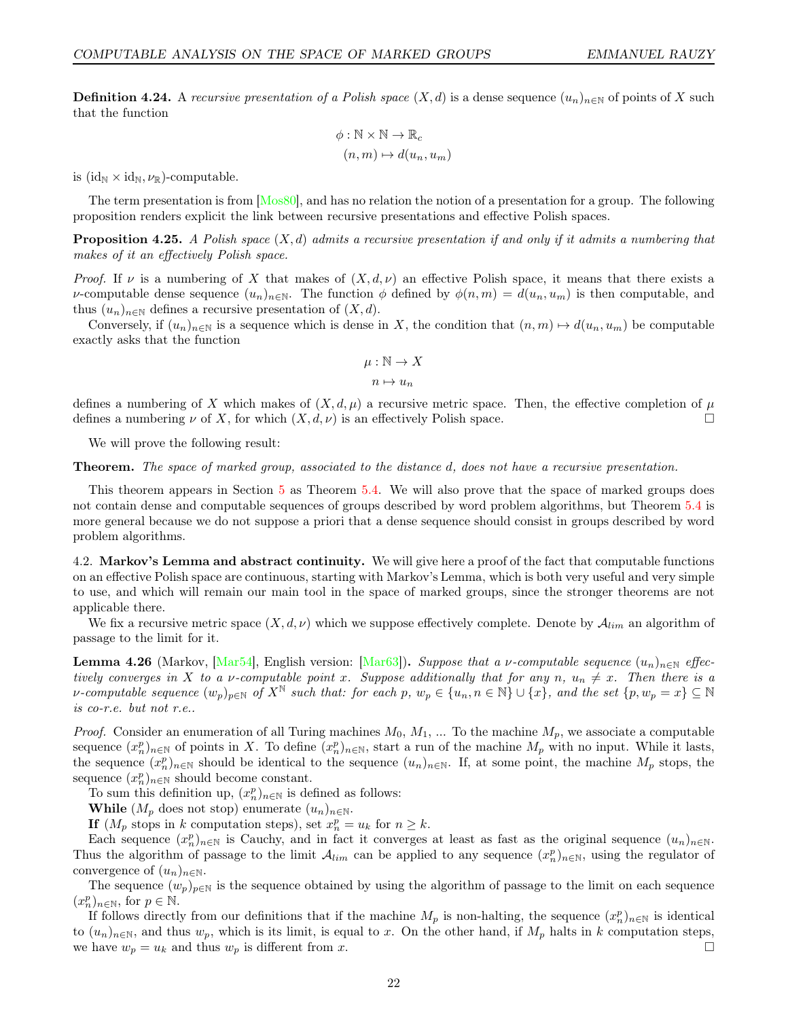<span id="page-21-0"></span>**Definition 4.24.** A recursive presentation of a Polish space  $(X, d)$  is a dense sequence  $(u_n)_{n \in \mathbb{N}}$  of points of X such that the function

$$
\phi : \mathbb{N} \times \mathbb{N} \to \mathbb{R}_c
$$

$$
(n, m) \mapsto d(u_n, u_m)
$$

is  $(id_N \times id_N, \nu_\mathbb{R})$ -computable.

The term presentation is from [\[Mos80\]](#page-44-10), and has no relation the notion of a presentation for a group. The following proposition renders explicit the link between recursive presentations and effective Polish spaces.

<span id="page-21-1"></span>**Proposition 4.25.** A Polish space  $(X, d)$  admits a recursive presentation if and only if it admits a numbering that makes of it an effectively Polish space.

Proof. If v is a numbering of X that makes of  $(X, d, \nu)$  an effective Polish space, it means that there exists a v-computable dense sequence  $(u_n)_{n\in\mathbb{N}}$ . The function  $\phi$  defined by  $\phi(n,m) = d(u_n, u_m)$  is then computable, and thus  $(u_n)_{n\in\mathbb{N}}$  defines a recursive presentation of  $(X, d)$ .

Conversely, if  $(u_n)_{n\in\mathbb{N}}$  is a sequence which is dense in X, the condition that  $(n,m)\mapsto d(u_n, u_m)$  be computable exactly asks that the function

$$
\mu : \mathbb{N} \to X
$$

$$
n \mapsto u_n
$$

defines a numbering of X which makes of  $(X, d, \mu)$  a recursive metric space. Then, the effective completion of  $\mu$ defines a numbering  $\nu$  of X, for which  $(X, d, \nu)$  is an effectively Polish space.

We will prove the following result:

**Theorem.** The space of marked group, associated to the distance d, does not have a recursive presentation.

This theorem appears in Section [5](#page-25-0) as Theorem [5.4.](#page-25-3) We will also prove that the space of marked groups does not contain dense and computable sequences of groups described by word problem algorithms, but Theorem [5.4](#page-25-3) is more general because we do not suppose a priori that a dense sequence should consist in groups described by word problem algorithms.

<span id="page-21-2"></span>4.2. Markov's Lemma and abstract continuity. We will give here a proof of the fact that computable functions on an effective Polish space are continuous, starting with Markov's Lemma, which is both very useful and very simple to use, and which will remain our main tool in the space of marked groups, since the stronger theorems are not applicable there.

We fix a recursive metric space  $(X, d, \nu)$  which we suppose effectively complete. Denote by  $\mathcal{A}_{lim}$  an algorithm of passage to the limit for it.

<span id="page-21-3"></span>**Lemma 4.26** (Markov, [\[Mar54\]](#page-44-7), English version: [\[Mar63\]](#page-44-8)). Suppose that a v-computable sequence  $(u_n)_{n\in\mathbb{N}}$  effectively converges in X to a v-computable point x. Suppose additionally that for any n,  $u_n \neq x$ . Then there is a v-computable sequence  $(w_p)_{p\in\mathbb{N}}$  of  $X^{\mathbb{N}}$  such that: for each p,  $w_p \in \{u_n, n \in \mathbb{N}\}\cup\{x\}$ , and the set  $\{p, w_p = x\} \subseteq \mathbb{N}$ is co-r.e. but not r.e..

*Proof.* Consider an enumeration of all Turing machines  $M_0, M_1, ...$  To the machine  $M_p$ , we associate a computable sequence  $(x_n^p)_{n\in\mathbb{N}}$  of points in X. To define  $(x_n^p)_{n\in\mathbb{N}}$ , start a run of the machine  $M_p$  with no input. While it lasts, the sequence  $(x_n^p)_{n\in\mathbb{N}}$  should be identical to the sequence  $(u_n)_{n\in\mathbb{N}}$ . If, at some point, the machine  $M_p$  stops, the sequence  $(x_n^p)_{n \in \mathbb{N}}$  should become constant.

To sum this definition up,  $(x_n^p)_{n \in \mathbb{N}}$  is defined as follows:

While  $(M_p \text{ does not stop})$  enumerate  $(u_n)_{n \in \mathbb{N}}$ .

If  $(M_p$  stops in k computation steps), set  $x_n^p = u_k$  for  $n \geq k$ .

Each sequence  $(x_n^p)_{n\in\mathbb{N}}$  is Cauchy, and in fact it converges at least as fast as the original sequence  $(u_n)_{n\in\mathbb{N}}$ . Thus the algorithm of passage to the limit  $\mathcal{A}_{lim}$  can be applied to any sequence  $(x_n^p)_{n\in\mathbb{N}}$ , using the regulator of convergence of  $(u_n)_{n\in\mathbb{N}}$ .

The sequence  $(w_p)_{p \in \mathbb{N}}$  is the sequence obtained by using the algorithm of passage to the limit on each sequence  $(x_n^p)_{n \in \mathbb{N}}$ , for  $p \in \mathbb{N}$ .

If follows directly from our definitions that if the machine  $M_p$  is non-halting, the sequence  $(x_n^p)_{n\in\mathbb{N}}$  is identical to  $(u_n)_{n\in\mathbb{N}}$ , and thus  $w_p$ , which is its limit, is equal to x. On the other hand, if  $M_p$  halts in k computation steps, we have  $w_p = u_k$  and thus  $w_p$  is different from x.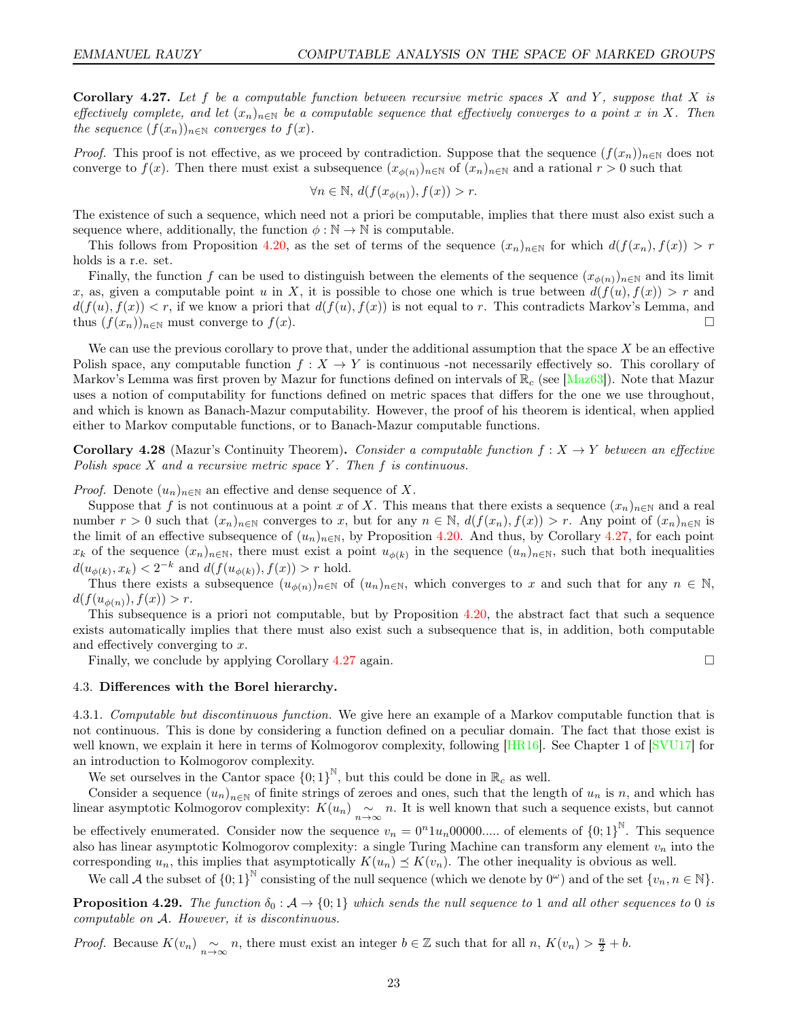<span id="page-22-2"></span>**Corollary 4.27.** Let f be a computable function between recursive metric spaces X and Y, suppose that X is effectively complete, and let  $(x_n)_{n\in\mathbb{N}}$  be a computable sequence that effectively converges to a point x in X. Then the sequence  $(f(x_n))_{n\in\mathbb{N}}$  converges to  $f(x)$ .

*Proof.* This proof is not effective, as we proceed by contradiction. Suppose that the sequence  $(f(x_n))_{n\in\mathbb{N}}$  does not converge to  $f(x)$ . Then there must exist a subsequence  $(x_{\phi(n)})_{n\in\mathbb{N}}$  of  $(x_n)_{n\in\mathbb{N}}$  and a rational  $r>0$  such that

$$
\forall n \in \mathbb{N}, d(f(x_{\phi(n)}), f(x)) > r.
$$

The existence of such a sequence, which need not a priori be computable, implies that there must also exist such a sequence where, additionally, the function  $\phi : \mathbb{N} \to \mathbb{N}$  is computable.

This follows from Proposition [4.20,](#page-20-2) as the set of terms of the sequence  $(x_n)_{n\in\mathbb{N}}$  for which  $d(f(x_n), f(x)) > r$ holds is a r.e. set.

Finally, the function f can be used to distinguish between the elements of the sequence  $(x_{\phi(n)})_{n\in\mathbb{N}}$  and its limit x, as, given a computable point u in X, it is possible to chose one which is true between  $d(f(u), f(x)) > r$  and  $d(f(u), f(x)) < r$ , if we know a priori that  $d(f(u), f(x))$  is not equal to r. This contradicts Markov's Lemma, and thus  $(f(x_n))_{n\in\mathbb{N}}$  must converge to  $f(x)$ .

We can use the previous corollary to prove that, under the additional assumption that the space  $X$  be an effective Polish space, any computable function  $f : X \to Y$  is continuous -not necessarily effectively so. This corollary of Markov's Lemma was first proven by Mazur for functions defined on intervals of  $\mathbb{R}_c$  (see [\[Maz63\]](#page-44-4)). Note that Mazur uses a notion of computability for functions defined on metric spaces that differs for the one we use throughout, and which is known as Banach-Mazur computability. However, the proof of his theorem is identical, when applied either to Markov computable functions, or to Banach-Mazur computable functions.

<span id="page-22-3"></span>**Corollary 4.28** (Mazur's Continuity Theorem). Consider a computable function  $f: X \to Y$  between an effective Polish space  $X$  and a recursive metric space  $Y$ . Then  $f$  is continuous.

*Proof.* Denote  $(u_n)_{n\in\mathbb{N}}$  an effective and dense sequence of X.

Suppose that f is not continuous at a point x of X. This means that there exists a sequence  $(x_n)_{n\in\mathbb{N}}$  and a real number  $r > 0$  such that  $(x_n)_{n \in \mathbb{N}}$  converges to x, but for any  $n \in \mathbb{N}$ ,  $d(f(x_n), f(x)) > r$ . Any point of  $(x_n)_{n \in \mathbb{N}}$  is the limit of an effective subsequence of  $(u_n)_{n\in\mathbb{N}}$ , by Proposition [4.20.](#page-20-2) And thus, by Corollary [4.27,](#page-22-2) for each point  $x_k$  of the sequence  $(x_n)_{n\in\mathbb{N}}$ , there must exist a point  $u_{\phi(k)}$  in the sequence  $(u_n)_{n\in\mathbb{N}}$ , such that both inequalities  $d(u_{\phi(k)}, x_k) < 2^{-k}$  and  $d(f(u_{\phi(k)}), f(x)) > r$  hold.

Thus there exists a subsequence  $(u_{\phi(n)})_{n\in\mathbb{N}}$  of  $(u_n)_{n\in\mathbb{N}}$ , which converges to x and such that for any  $n \in \mathbb{N}$ ,  $d(f(u_{\phi(n)}), f(x)) > r.$ 

This subsequence is a priori not computable, but by Proposition [4.20,](#page-20-2) the abstract fact that such a sequence exists automatically implies that there must also exist such a subsequence that is, in addition, both computable and effectively converging to x.

Finally, we conclude by applying Corollary [4.27](#page-22-2) again.  $\square$ 

# <span id="page-22-1"></span>4.3. Differences with the Borel hierarchy.

<span id="page-22-0"></span>4.3.1. Computable but discontinuous function. We give here an example of a Markov computable function that is not continuous. This is done by considering a function defined on a peculiar domain. The fact that those exist is well known, we explain it here in terms of Kolmogorov complexity, following [\[HR16\]](#page-44-21). See Chapter 1 of [\[SVU17\]](#page-45-4) for an introduction to Kolmogorov complexity.

We set ourselves in the Cantor space  ${0,1}^{\mathbb{N}}$ , but this could be done in  $\mathbb{R}_c$  as well.

Consider a sequence  $(u_n)_{n\in\mathbb{N}}$  of finite strings of zeroes and ones, such that the length of  $u_n$  is n, and which has linear asymptotic Kolmogorov complexity:  $K(u_n) \underset{n\to\infty}{\sim} n$ . It is well known that such a sequence exists, but cannot

be effectively enumerated. Consider now the sequence  $v_n = 0^n 1 u_n 00000...$  of elements of  ${0;1}^{\mathbb{N}}$ . This sequence also has linear asymptotic Kolmogorov complexity: a single Turing Machine can transform any element  $v_n$  into the corresponding  $u_n$ , this implies that asymptotically  $K(u_n) \preceq K(v_n)$ . The other inequality is obvious as well.

We call A the subset of  ${0;1}^{\mathbb{N}}$  consisting of the null sequence (which we denote by  $0^{\omega}$ ) and of the set  ${v_n, n \in \mathbb{N}}$ .

**Proposition 4.29.** The function  $\delta_0 : A \to \{0, 1\}$  which sends the null sequence to 1 and all other sequences to 0 is computable on A. However, it is discontinuous.

*Proof.* Because  $K(v_n) \sim_{n \to \infty} n$ , there must exist an integer  $b \in \mathbb{Z}$  such that for all  $n, K(v_n) > \frac{n}{2} + b$ .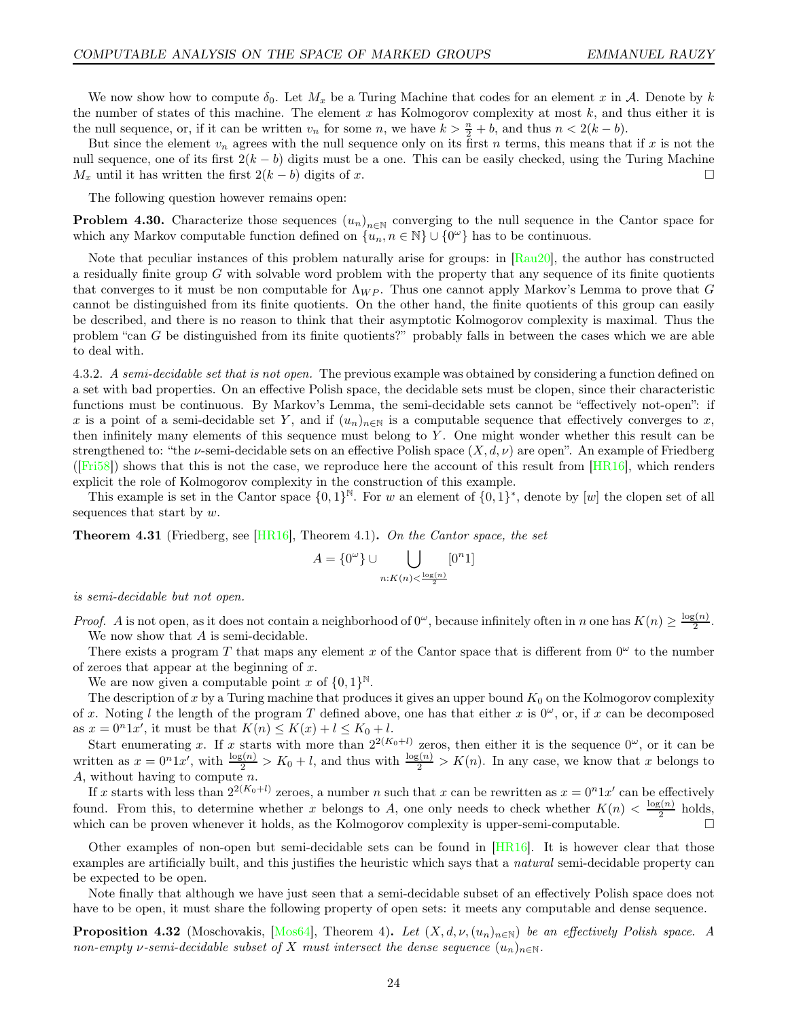We now show how to compute  $\delta_0$ . Let  $M_x$  be a Turing Machine that codes for an element x in A. Denote by k the number of states of this machine. The element x has Kolmogorov complexity at most  $k$ , and thus either it is the null sequence, or, if it can be written  $v_n$  for some n, we have  $k > \frac{n}{2} + b$ , and thus  $n < 2(k - b)$ .

But since the element  $v_n$  agrees with the null sequence only on its first n terms, this means that if x is not the null sequence, one of its first  $2(k - b)$  digits must be a one. This can be easily checked, using the Turing Machine  $M_x$  until it has written the first  $2(k - b)$  digits of x.

The following question however remains open:

**Problem 4.30.** Characterize those sequences  $(u_n)_{n\in\mathbb{N}}$  converging to the null sequence in the Cantor space for which any Markov computable function defined on  $\{u_n, n \in \mathbb{N}\} \cup \{0^\omega\}$  has to be continuous.

Note that peculiar instances of this problem naturally arise for groups: in [\[Rau20\]](#page-44-22), the author has constructed a residually finite group  $G$  with solvable word problem with the property that any sequence of its finite quotients that converges to it must be non computable for  $\Lambda_{WP}$ . Thus one cannot apply Markov's Lemma to prove that G cannot be distinguished from its finite quotients. On the other hand, the finite quotients of this group can easily be described, and there is no reason to think that their asymptotic Kolmogorov complexity is maximal. Thus the problem "can G be distinguished from its finite quotients?" probably falls in between the cases which we are able to deal with.

4.3.2. A semi-decidable set that is not open. The previous example was obtained by considering a function defined on a set with bad properties. On an effective Polish space, the decidable sets must be clopen, since their characteristic functions must be continuous. By Markov's Lemma, the semi-decidable sets cannot be "effectively not-open": if x is a point of a semi-decidable set Y, and if  $(u_n)_{n\in\mathbb{N}}$  is a computable sequence that effectively converges to x, then infinitely many elements of this sequence must belong to Y . One might wonder whether this result can be strengthened to: "the v-semi-decidable sets on an effective Polish space  $(X, d, \nu)$  are open". An example of Friedberg ( $[Fit58]$ ) shows that this is not the case, we reproduce here the account of this result from  $[HR16]$ , which renders explicit the role of Kolmogorov complexity in the construction of this example.

This example is set in the Cantor space  $\{0,1\}^{\mathbb{N}}$ . For w an element of  $\{0,1\}^*$ , denote by [w] the clopen set of all sequences that start by w.

**Theorem 4.31** (Friedberg, see  $[HRI6]$ , Theorem 4.1). On the Cantor space, the set

$$
A = \{0^{\omega}\} \cup \bigcup_{n: K(n) < \frac{\log(n)}{2}} [0^n 1]
$$

is semi-decidable but not open.

*Proof.* A is not open, as it does not contain a neighborhood of  $0^\omega$ , because infinitely often in n one has  $K(n) \geq \frac{\log(n)}{2}$  $\frac{2^{(n)}}{2}$ . We now show that A is semi-decidable.

There exists a program T that maps any element x of the Cantor space that is different from  $0^{\omega}$  to the number of zeroes that appear at the beginning of  $x$ .

We are now given a computable point x of  $\{0,1\}^{\mathbb{N}}$ .

The description of x by a Turing machine that produces it gives an upper bound  $K_0$  on the Kolmogorov complexity of x. Noting l the length of the program T defined above, one has that either x is  $0^{\omega}$ , or, if x can be decomposed as  $x = 0<sup>n</sup>1x'$ , it must be that  $K(n) \le K(x) + l \le K_0 + l$ .

Start enumerating x. If x starts with more than  $2^{2(K_0+l)}$  zeros, then either it is the sequence  $0^\omega$ , or it can be written as  $x = 0^n 1x'$ , with  $\frac{\log(n)}{2} > K_0 + l$ , and thus with  $\frac{\log(n)}{2} > K(n)$ . In any case, we know that x belongs to A, without having to compute  $n$ .

If x starts with less than  $2^{2(K_0+1)}$  zeroes, a number n such that x can be rewritten as  $x = 0^n 1x'$  can be effectively found. From this, to determine whether x belongs to A, one only needs to check whether  $K(n) < \frac{\log(n)}{2}$  $\frac{2^{(n)}}{2}$  holds, which can be proven whenever it holds, as the Kolmogorov complexity is upper-semi-computable.  $\Box$ 

Other examples of non-open but semi-decidable sets can be found in  $[HR16]$ . It is however clear that those examples are artificially built, and this justifies the heuristic which says that a *natural* semi-decidable property can be expected to be open.

Note finally that although we have just seen that a semi-decidable subset of an effectively Polish space does not have to be open, it must share the following property of open sets: it meets any computable and dense sequence.

<span id="page-23-0"></span>**Proposition 4.32** (Moschovakis, [\[Mos64\]](#page-44-6), Theorem 4). Let  $(X, d, \nu, (u_n)_{n\in\mathbb{N}})$  be an effectively Polish space. A non-empty v-semi-decidable subset of X must intersect the dense sequence  $(u_n)_{n\in\mathbb{N}}$ .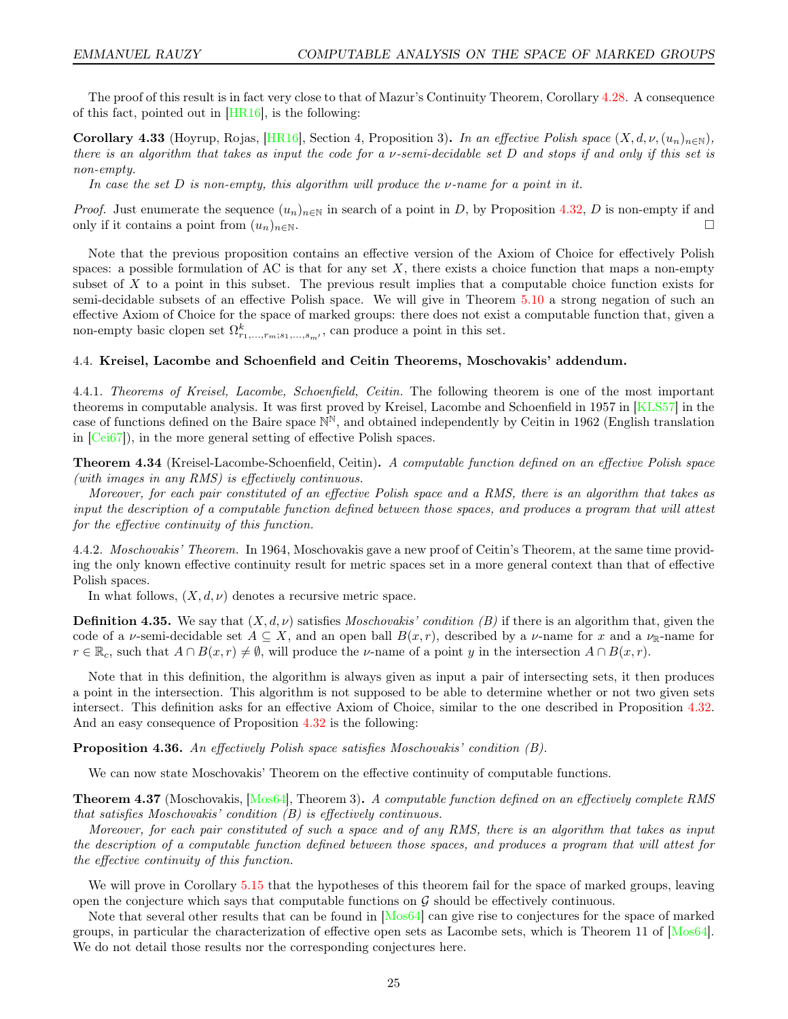The proof of this result is in fact very close to that of Mazur's Continuity Theorem, Corollary [4.28.](#page-22-3) A consequence of this fact, pointed out in [\[HR16\]](#page-44-21), is the following:

<span id="page-24-1"></span>**Corollary 4.33** (Hoyrup, Rojas,  $|HR16|$ , Section 4, Proposition 3). In an effective Polish space  $(X, d, \nu, (u_n)_{n\in\mathbb{N}})$ , there is an algorithm that takes as input the code for a ν-semi-decidable set D and stops if and only if this set is non-empty.

In case the set D is non-empty, this algorithm will produce the  $\nu$ -name for a point in it.

*Proof.* Just enumerate the sequence  $(u_n)_{n\in\mathbb{N}}$  in search of a point in D, by Proposition [4.32,](#page-23-0) D is non-empty if and only if it contains a point from  $(u_n)_{n\in\mathbb{N}}$ .

Note that the previous proposition contains an effective version of the Axiom of Choice for effectively Polish spaces: a possible formulation of AC is that for any set  $X$ , there exists a choice function that maps a non-empty subset of X to a point in this subset. The previous result implies that a computable choice function exists for semi-decidable subsets of an effective Polish space. We will give in Theorem [5.10](#page-27-0) a strong negation of such an effective Axiom of Choice for the space of marked groups: there does not exist a computable function that, given a non-empty basic clopen set  $\Omega^k_{r_1,\ldots,r_m;s_1,\ldots,s_{m'}}$ , can produce a point in this set.

# <span id="page-24-0"></span>4.4. Kreisel, Lacombe and Schoenfield and Ceitin Theorems, Moschovakis' addendum.

4.4.1. Theorems of Kreisel, Lacombe, Schoenfield, Ceitin. The following theorem is one of the most important theorems in computable analysis. It was first proved by Kreisel, Lacombe and Schoenfield in 1957 in [\[KLS57\]](#page-44-5) in the case of functions defined on the Baire space  $\mathbb{N}^{\mathbb{N}}$ , and obtained independently by Ceitin in 1962 (English translation in [\[Cei67\]](#page-43-1)), in the more general setting of effective Polish spaces.

Theorem 4.34 (Kreisel-Lacombe-Schoenfield, Ceitin). A computable function defined on an effective Polish space (with images in any RMS) is effectively continuous.

Moreover, for each pair constituted of an effective Polish space and a RMS, there is an algorithm that takes as input the description of a computable function defined between those spaces, and produces a program that will attest for the effective continuity of this function.

4.4.2. Moschovakis' Theorem. In 1964, Moschovakis gave a new proof of Ceitin's Theorem, at the same time providing the only known effective continuity result for metric spaces set in a more general context than that of effective Polish spaces.

In what follows,  $(X, d, \nu)$  denotes a recursive metric space.

**Definition 4.35.** We say that  $(X, d, \nu)$  satisfies *Moschovakis' condition (B)* if there is an algorithm that, given the code of a v-semi-decidable set  $A \subseteq X$ , and an open ball  $B(x, r)$ , described by a v-name for x and a  $\nu_{\mathbb{R}}$ -name for  $r \in \mathbb{R}_c$ , such that  $A \cap B(x,r) \neq \emptyset$ , will produce the *v*-name of a point y in the intersection  $A \cap B(x,r)$ .

Note that in this definition, the algorithm is always given as input a pair of intersecting sets, it then produces a point in the intersection. This algorithm is not supposed to be able to determine whether or not two given sets intersect. This definition asks for an effective Axiom of Choice, similar to the one described in Proposition [4.32.](#page-23-0) And an easy consequence of Proposition [4.32](#page-23-0) is the following:

Proposition 4.36. An effectively Polish space satisfies Moschovakis' condition (B).

We can now state Moschovakis' Theorem on the effective continuity of computable functions.

<span id="page-24-2"></span>Theorem 4.37 (Moschovakis, [\[Mos64\]](#page-44-6), Theorem 3). A computable function defined on an effectively complete RMS that satisfies Moschovakis' condition (B) is effectively continuous.

Moreover, for each pair constituted of such a space and of any RMS, there is an algorithm that takes as input the description of a computable function defined between those spaces, and produces a program that will attest for the effective continuity of this function.

We will prove in Corollary [5.15](#page-31-1) that the hypotheses of this theorem fail for the space of marked groups, leaving open the conjecture which says that computable functions on  $\mathcal G$  should be effectively continuous.

Note that several other results that can be found in [\[Mos64\]](#page-44-6) can give rise to conjectures for the space of marked groups, in particular the characterization of effective open sets as Lacombe sets, which is Theorem 11 of [\[Mos64\]](#page-44-6). We do not detail those results nor the corresponding conjectures here.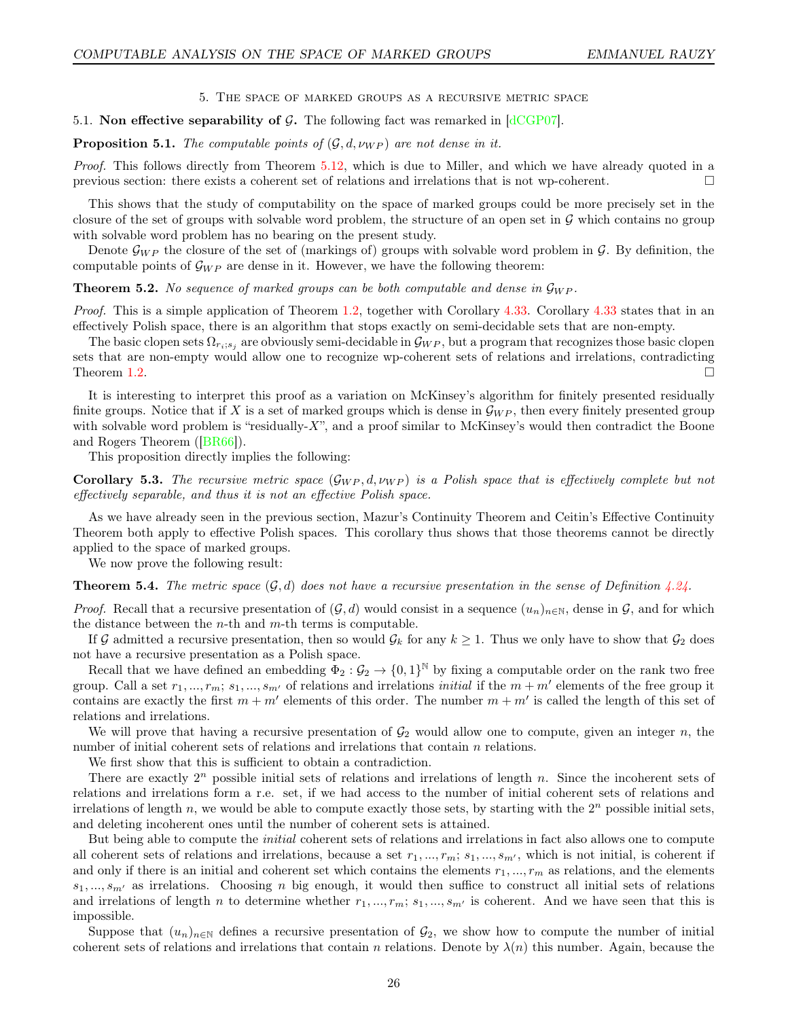5. The space of marked groups as a recursive metric space

# <span id="page-25-0"></span>5.1. Non effective separability of G. The following fact was remarked in  $\left[\frac{\text{dCGPO7}}{\text{dCG}}\right]$ .

<span id="page-25-1"></span>**Proposition 5.1.** The computable points of  $(G, d, \nu_{WP})$  are not dense in it.

Proof. This follows directly from Theorem [5.12,](#page-29-0) which is due to Miller, and which we have already quoted in a previous section: there exists a coherent set of relations and irrelations that is not wp-coherent.  $\Box$ 

This shows that the study of computability on the space of marked groups could be more precisely set in the closure of the set of groups with solvable word problem, the structure of an open set in  $\mathcal G$  which contains no group with solvable word problem has no bearing on the present study.

Denote  $\mathcal{G}_{WP}$  the closure of the set of (markings of) groups with solvable word problem in  $\mathcal{G}$ . By definition, the computable points of  $\mathcal{G}_{WP}$  are dense in it. However, we have the following theorem:

<span id="page-25-2"></span>**Theorem 5.2.** No sequence of marked groups can be both computable and dense in  $\mathcal{G}_{WP}$ .

Proof. This is a simple application of Theorem [1.2,](#page-8-2) together with Corollary [4.33.](#page-24-1) Corollary [4.33](#page-24-1) states that in an effectively Polish space, there is an algorithm that stops exactly on semi-decidable sets that are non-empty.

The basic clopen sets  $\Omega_{r_i;s_j}$  are obviously semi-decidable in  $\mathcal{G}_{WP}$ , but a program that recognizes those basic clopen sets that are non-empty would allow one to recognize wp-coherent sets of relations and irrelations, contradicting Theorem [1.2.](#page-8-2)

It is interesting to interpret this proof as a variation on McKinsey's algorithm for finitely presented residually finite groups. Notice that if X is a set of marked groups which is dense in  $\mathcal{G}_{WP}$ , then every finitely presented group with solvable word problem is "residually-X", and a proof similar to McKinsey's would then contradict the Boone and Rogers Theorem ([\[BR66\]](#page-43-4)).

This proposition directly implies the following:

Corollary 5.3. The recursive metric space  $(G_{WP}, d, \nu_{WP})$  is a Polish space that is effectively complete but not effectively separable, and thus it is not an effective Polish space.

As we have already seen in the previous section, Mazur's Continuity Theorem and Ceitin's Effective Continuity Theorem both apply to effective Polish spaces. This corollary thus shows that those theorems cannot be directly applied to the space of marked groups.

We now prove the following result:

<span id="page-25-3"></span>**Theorem 5.4.** The metric space  $(G, d)$  does not have a recursive presentation in the sense of Definition [4.24.](#page-21-0)

*Proof.* Recall that a recursive presentation of  $(G, d)$  would consist in a sequence  $(u_n)_{n\in\mathbb{N}}$ , dense in G, and for which the distance between the *n*-th and  $m$ -th terms is computable.

If G admitted a recursive presentation, then so would  $\mathcal{G}_k$  for any  $k \geq 1$ . Thus we only have to show that  $\mathcal{G}_2$  does not have a recursive presentation as a Polish space.

Recall that we have defined an embedding  $\Phi_2: \mathcal{G}_2 \to \{0,1\}^{\mathbb{N}}$  by fixing a computable order on the rank two free group. Call a set  $r_1, ..., r_m$ ;  $s_1, ..., s_{m'}$  of relations and irrelations *initial* if the  $m + m'$  elements of the free group it contains are exactly the first  $m + m'$  elements of this order. The number  $m + m'$  is called the length of this set of relations and irrelations.

We will prove that having a recursive presentation of  $\mathcal{G}_2$  would allow one to compute, given an integer n, the number of initial coherent sets of relations and irrelations that contain n relations.

We first show that this is sufficient to obtain a contradiction.

There are exactly  $2^n$  possible initial sets of relations and irrelations of length n. Since the incoherent sets of relations and irrelations form a r.e. set, if we had access to the number of initial coherent sets of relations and irrelations of length n, we would be able to compute exactly those sets, by starting with the  $2<sup>n</sup>$  possible initial sets, and deleting incoherent ones until the number of coherent sets is attained.

But being able to compute the initial coherent sets of relations and irrelations in fact also allows one to compute all coherent sets of relations and irrelations, because a set  $r_1, ..., r_m$ ;  $s_1, ..., s_{m'}$ , which is not initial, is coherent if and only if there is an initial and coherent set which contains the elements  $r_1, ..., r_m$  as relations, and the elements  $s_1, ..., s_{m'}$  as irrelations. Choosing n big enough, it would then suffice to construct all initial sets of relations and irrelations of length n to determine whether  $r_1, ..., r_m; s_1, ..., s_{m'}$  is coherent. And we have seen that this is impossible.

Suppose that  $(u_n)_{n\in\mathbb{N}}$  defines a recursive presentation of  $\mathcal{G}_2$ , we show how to compute the number of initial coherent sets of relations and irrelations that contain n relations. Denote by  $\lambda(n)$  this number. Again, because the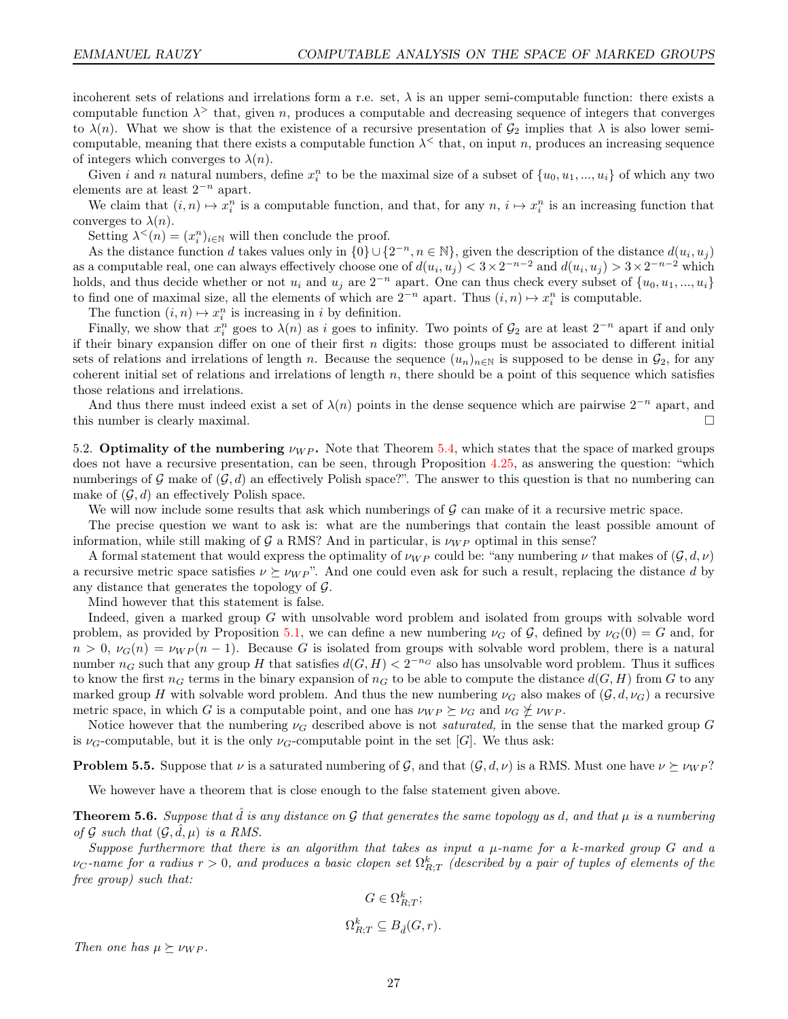incoherent sets of relations and irrelations form a r.e. set,  $\lambda$  is an upper semi-computable function: there exists a computable function  $\lambda^>$  that, given n, produces a computable and decreasing sequence of integers that converges to  $\lambda(n)$ . What we show is that the existence of a recursive presentation of  $\mathcal{G}_2$  implies that  $\lambda$  is also lower semicomputable, meaning that there exists a computable function  $\lambda^{\lt}$  that, on input n, produces an increasing sequence of integers which converges to  $\lambda(n)$ .

Given i and n natural numbers, define  $x_i^n$  to be the maximal size of a subset of  $\{u_0, u_1, ..., u_i\}$  of which any two elements are at least  $2^{-n}$  apart.

We claim that  $(i, n) \mapsto x_i^n$  is a computable function, and that, for any  $n, i \mapsto x_i^n$  is an increasing function that converges to  $\lambda(n)$ .

Setting  $\lambda^<(n) = (x_i^n)_{i \in \mathbb{N}}$  will then conclude the proof.

As the distance function d takes values only in  $\{0\} \cup \{2^{-n}, n \in \mathbb{N}\}$ , given the description of the distance  $d(u_i, u_j)$ as a computable real, one can always effectively choose one of  $d(u_i, u_j) < 3 \times 2^{-n-2}$  and  $d(u_i, u_j) > 3 \times 2^{-n-2}$  which holds, and thus decide whether or not  $u_i$  and  $u_j$  are  $2^{-n}$  apart. One can thus check every subset of  $\{u_0, u_1, ..., u_i\}$ to find one of maximal size, all the elements of which are  $2^{-n}$  apart. Thus  $(i, n) \mapsto x_i^n$  is computable.

The function  $(i, n) \mapsto x_i^n$  is increasing in i by definition.

Finally, we show that  $x_i^n$  goes to  $\lambda(n)$  as i goes to infinity. Two points of  $\mathcal{G}_2$  are at least  $2^{-n}$  apart if and only if their binary expansion differ on one of their first  $n$  digits: those groups must be associated to different initial sets of relations and irrelations of length n. Because the sequence  $(u_n)_{n\in\mathbb{N}}$  is supposed to be dense in  $\mathcal{G}_2$ , for any coherent initial set of relations and irrelations of length  $n$ , there should be a point of this sequence which satisfies those relations and irrelations.

And thus there must indeed exist a set of  $\lambda(n)$  points in the dense sequence which are pairwise  $2^{-n}$  apart, and this number is clearly maximal.

5.2. Optimality of the numbering  $\nu_{WP}$ . Note that Theorem [5.4,](#page-25-3) which states that the space of marked groups does not have a recursive presentation, can be seen, through Proposition [4.25,](#page-21-1) as answering the question: "which numberings of  $\mathcal G$  make of  $(\mathcal G, d)$  an effectively Polish space?". The answer to this question is that no numbering can make of  $(\mathcal{G}, d)$  an effectively Polish space.

We will now include some results that ask which numberings of  $\mathcal G$  can make of it a recursive metric space.

The precise question we want to ask is: what are the numberings that contain the least possible amount of information, while still making of  $\mathcal{G}$  a RMS? And in particular, is  $\nu_{WP}$  optimal in this sense?

A formal statement that would express the optimality of  $\nu_{WP}$  could be: "any numbering  $\nu$  that makes of  $(\mathcal{G}, d, \nu)$ a recursive metric space satisfies  $\nu \succeq \nu_W p$ ". And one could even ask for such a result, replacing the distance d by any distance that generates the topology of  $\mathcal{G}$ .

Mind however that this statement is false.

Indeed, given a marked group G with unsolvable word problem and isolated from groups with solvable word problem, as provided by Proposition [5.1,](#page-25-1) we can define a new numbering  $\nu_G$  of G, defined by  $\nu_G(0) = G$  and, for  $n > 0$ ,  $\nu_G(n) = \nu_W P(n-1)$ . Because G is isolated from groups with solvable word problem, there is a natural number  $n_G$  such that any group H that satisfies  $d(G, H) < 2^{-n_G}$  also has unsolvable word problem. Thus it suffices to know the first  $n_G$  terms in the binary expansion of  $n_G$  to be able to compute the distance  $d(G, H)$  from G to any marked group H with solvable word problem. And thus the new numbering  $\nu_G$  also makes of  $(\mathcal{G}, d, \nu_G)$  a recursive metric space, in which G is a computable point, and one has  $\nu_{WP} \succeq \nu_G$  and  $\nu_G \npreceq \nu_{WP}$ .

Notice however that the numbering  $\nu_G$  described above is not *saturated*, in the sense that the marked group G is  $\nu_G$ -computable, but it is the only  $\nu_G$ -computable point in the set [G]. We thus ask:

**Problem 5.5.** Suppose that  $\nu$  is a saturated numbering of G, and that  $(\mathcal{G}, d, \nu)$  is a RMS. Must one have  $\nu \succeq \nu_{WP}$ ?

We however have a theorem that is close enough to the false statement given above.

<span id="page-26-0"></span>**Theorem 5.6.** Suppose that  $\tilde{d}$  is any distance on  $\mathcal G$  that generates the same topology as  $d$ , and that  $\mu$  is a numbering of G such that  $(\mathcal{G}, \hat{d}, \mu)$  is a RMS.

Suppose furthermore that there is an algorithm that takes as input a  $\mu$ -name for a k-marked group G and a  $\nu_C$ -name for a radius  $r > 0$ , and produces a basic clopen set  $\Omega^k_{R;T}$  (described by a pair of tuples of elements of the free group) such that:

$$
G \in \Omega_{R;T}^k;
$$
  

$$
\Omega_{R;T}^k \subseteq B_{\hat{d}}(G,r).
$$

Then one has  $\mu \succeq \nu_{WP}$ .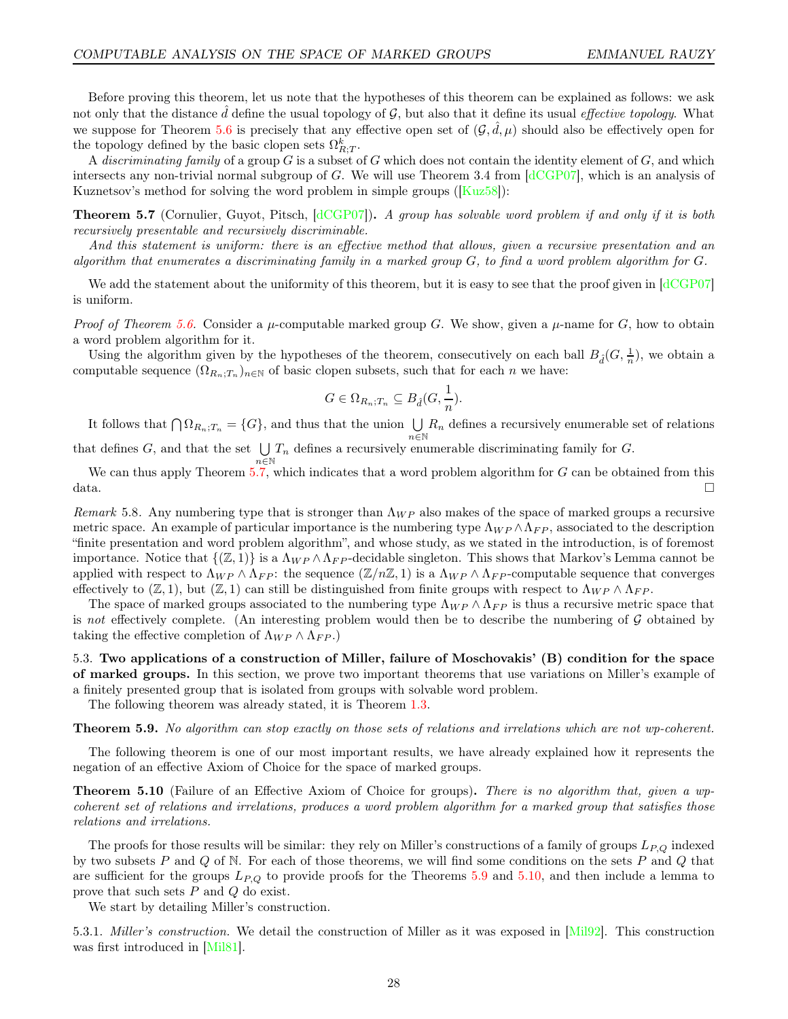Before proving this theorem, let us note that the hypotheses of this theorem can be explained as follows: we ask not only that the distance  $\tilde{d}$  define the usual topology of  $\mathcal{G}$ , but also that it define its usual *effective topology*. What we suppose for Theorem [5.6](#page-26-0) is precisely that any effective open set of  $(G, \hat{d}, \mu)$  should also be effectively open for the topology defined by the basic clopen sets  $\Omega_{R;T}^k$ .

A discriminating family of a group  $G$  is a subset of  $G$  which does not contain the identity element of  $G$ , and which intersects any non-trivial normal subgroup of G. We will use Theorem 3.4 from  $\left[\frac{\text{dCGP07}}{\text{dCGP07}}\right]$ , which is an analysis of Kuznetsov's method for solving the word problem in simple groups ([\[Kuz58\]](#page-44-23)):

<span id="page-27-2"></span>**Theorem 5.7** (Cornulier, Guyot, Pitsch, [\[dCGP07\]](#page-43-3)). A group has solvable word problem if and only if it is both recursively presentable and recursively discriminable.

And this statement is uniform: there is an effective method that allows, given a recursive presentation and an algorithm that enumerates a discriminating family in a marked group G, to find a word problem algorithm for G.

We add the statement about the uniformity of this theorem, but it is easy to see that the proof given in  $\left[ \frac{dCGPO7}{dt} \right]$ is uniform.

Proof of Theorem [5.6.](#page-26-0) Consider a  $\mu$ -computable marked group G. We show, given a  $\mu$ -name for G, how to obtain a word problem algorithm for it.

Using the algorithm given by the hypotheses of the theorem, consecutively on each ball  $B_{\hat{d}}(G, \frac{1}{n})$ , we obtain a computable sequence  $(\Omega_{R_n;T_n})_{n\in\mathbb{N}}$  of basic clopen subsets, such that for each n we have:

$$
G \in \Omega_{R_n;T_n} \subseteq B_{\hat{d}}(G, \frac{1}{n}).
$$

It follows that  $\bigcap \Omega_{R_n;T_n} = \{G\}$ , and thus that the union  $\bigcup R_n$  defines a recursively enumerable set of relations that defines G, and that the set  $\bigcup T_n$  defines a recursively env

 $\bigcup_{n\in\mathbb{N}}T_n$  defines a recursively enumerable discriminating family for G.

We can thus apply Theorem  $5.7$ , which indicates that a word problem algorithm for  $G$  can be obtained from this  $data.$ 

Remark 5.8. Any numbering type that is stronger than  $\Lambda_{WP}$  also makes of the space of marked groups a recursive metric space. An example of particular importance is the numbering type  $\Lambda_{WP} \wedge \Lambda_{FP}$ , associated to the description "finite presentation and word problem algorithm", and whose study, as we stated in the introduction, is of foremost importance. Notice that  $\{(\mathbb{Z},1)\}\$ is a  $\Lambda_{WP}\wedge\Lambda_{FP}$ -decidable singleton. This shows that Markov's Lemma cannot be applied with respect to  $\Lambda_{WP} \wedge \Lambda_{FP}$ : the sequence  $(\mathbb{Z}/n\mathbb{Z}, 1)$  is a  $\Lambda_{WP} \wedge \Lambda_{FP}$ -computable sequence that converges effectively to  $(\mathbb{Z}, 1)$ , but  $(\mathbb{Z}, 1)$  can still be distinguished from finite groups with respect to  $\Lambda_{WP} \wedge \Lambda_{FP}$ .

The space of marked groups associated to the numbering type  $\Lambda_{WP} \wedge \Lambda_{FP}$  is thus a recursive metric space that is not effectively complete. (An interesting problem would then be to describe the numbering of  $G$  obtained by taking the effective completion of  $\Lambda_{WP} \wedge \Lambda_{FP}$ .)

<span id="page-27-1"></span>5.3. Two applications of a construction of Miller, failure of Moschovakis' (B) condition for the space of marked groups. In this section, we prove two important theorems that use variations on Miller's example of a finitely presented group that is isolated from groups with solvable word problem.

The following theorem was already stated, it is Theorem [1.3.](#page-8-1)

<span id="page-27-3"></span>Theorem 5.9. No algorithm can stop exactly on those sets of relations and irrelations which are not wp-coherent.

The following theorem is one of our most important results, we have already explained how it represents the negation of an effective Axiom of Choice for the space of marked groups.

<span id="page-27-0"></span>**Theorem 5.10** (Failure of an Effective Axiom of Choice for groups). There is no algorithm that, given a wpcoherent set of relations and irrelations, produces a word problem algorithm for a marked group that satisfies those relations and irrelations.

The proofs for those results will be similar: they rely on Miller's constructions of a family of groups  $L_{P,Q}$  indexed by two subsets  $P$  and  $Q$  of N. For each of those theorems, we will find some conditions on the sets  $P$  and  $Q$  that are sufficient for the groups  $L_{P,Q}$  to provide proofs for the Theorems [5.9](#page-27-3) and [5.10,](#page-27-0) and then include a lemma to prove that such sets P and Q do exist.

We start by detailing Miller's construction.

5.3.1. Miller's construction. We detail the construction of Miller as it was exposed in [\[Mil92\]](#page-44-15). This construction was first introduced in [\[Mil81\]](#page-44-9).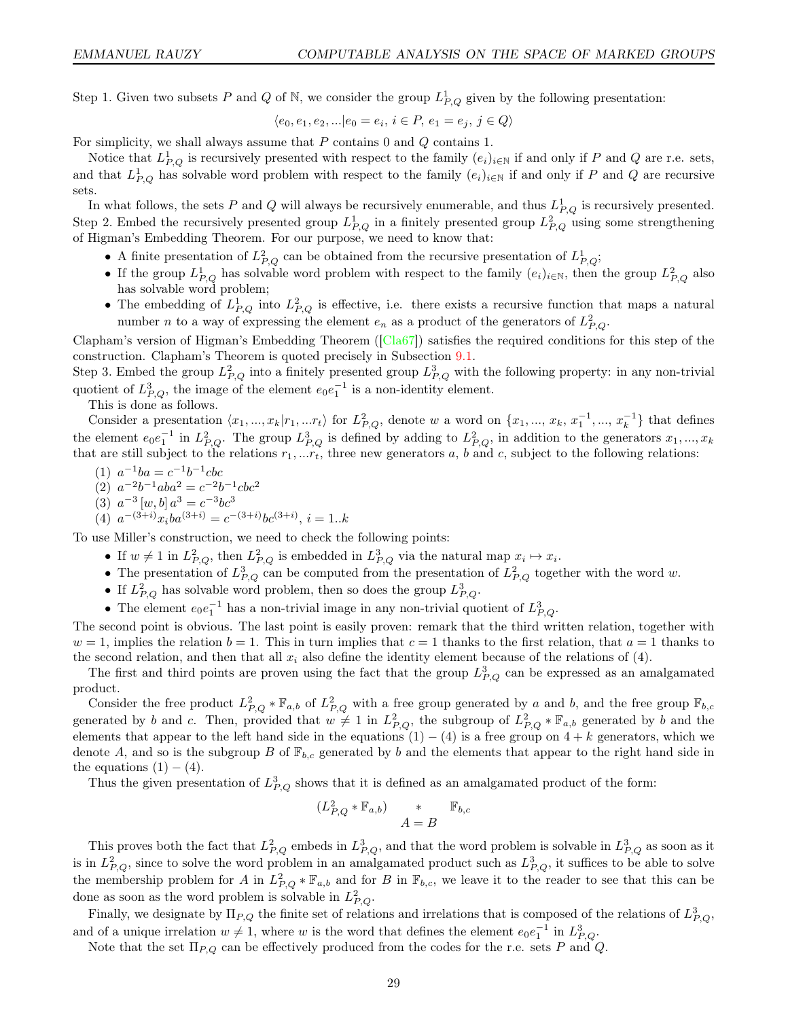Step 1. Given two subsets P and Q of N, we consider the group  $L_{P,Q}^1$  given by the following presentation:

$$
\langle e_0, e_1, e_2, \ldots | e_0 = e_i, i \in P, e_1 = e_j, j \in Q \rangle
$$

For simplicity, we shall always assume that  $P$  contains  $0$  and  $Q$  contains  $1$ .

Notice that  $L_{P,Q}^1$  is recursively presented with respect to the family  $(e_i)_{i\in\mathbb{N}}$  if and only if P and Q are r.e. sets, and that  $L_{P,Q}^1$  has solvable word problem with respect to the family  $(e_i)_{i\in\mathbb{N}}$  if and only if P and Q are recursive sets.

In what follows, the sets P and Q will always be recursively enumerable, and thus  $L_{P,Q}^1$  is recursively presented. Step 2. Embed the recursively presented group  $L_{P,Q}^1$  in a finitely presented group  $L_{P,Q}^2$  using some strengthening of Higman's Embedding Theorem. For our purpose, we need to know that:

- A finite presentation of  $L_{P,Q}^2$  can be obtained from the recursive presentation of  $L_{P,Q}^1$ ;
- If the group  $L_{P,Q}^1$  has solvable word problem with respect to the family  $(e_i)_{i\in\mathbb{N}}$ , then the group  $L_{P,Q}^2$  also has solvable word problem;
- The embedding of  $L_{P,Q}^1$  into  $L_{P,Q}^2$  is effective, i.e. there exists a recursive function that maps a natural number *n* to a way of expressing the element  $e_n$  as a product of the generators of  $L_{P,Q}^2$ .

Clapham's version of Higman's Embedding Theorem ( $\lceil \text{Cla67} \rceil$ ) satisfies the required conditions for this step of the construction. Clapham's Theorem is quoted precisely in Subsection [9.1.](#page-42-2)

Step 3. Embed the group  $L_{P,Q}^2$  into a finitely presented group  $L_{P,Q}^3$  with the following property: in any non-trivial quotient of  $L^3_{P,Q}$ , the image of the element  $e_0e_1^{-1}$  is a non-identity element.

This is done as follows.

Consider a presentation  $\langle x_1, ..., x_k | r_1, ... r_t \rangle$  for  $L^2_{P,Q}$ , denote w a word on  $\{x_1, ..., x_k, x_1^{-1}, ..., x_k^{-1}\}$  that defines the element  $e_0e_1^{-1}$  in  $L_{P,Q}^2$ . The group  $L_{P,Q}^3$  is defined by adding to  $L_{P,Q}^2$ , in addition to the generators  $x_1, ..., x_k$ that are still subject to the relations  $r_1, \ldots, r_t$ , three new generators a, b and c, subject to the following relations:

- (1)  $a^{-1}ba = c^{-1}b^{-1}cbc$
- (2)  $a^{-2}b^{-1}aba^2 = c^{-2}b^{-1}cbc^2$
- (3)  $a^{-3}[w,b]a^{3} = c^{-3}bc^{3}$
- (4)  $a^{-(3+i)}x_iba^{(3+i)} = c^{-(3+i)}bc^{(3+i)}, i = 1..k$

To use Miller's construction, we need to check the following points:

- If  $w \neq 1$  in  $L^2_{P,Q}$ , then  $L^2_{P,Q}$  is embedded in  $L^3_{P,Q}$  via the natural map  $x_i \mapsto x_i$ .
- The presentation of  $L_{P,Q}^3$  can be computed from the presentation of  $L_{P,Q}^2$  together with the word w.
- If  $L_{P,Q}^2$  has solvable word problem, then so does the group  $L_{P,Q}^3$ .
- The element  $e_0e_1^{-1}$  has a non-trivial image in any non-trivial quotient of  $L_{P,Q}^3$ .

The second point is obvious. The last point is easily proven: remark that the third written relation, together with  $w = 1$ , implies the relation  $b = 1$ . This in turn implies that  $c = 1$  thanks to the first relation, that  $a = 1$  thanks to the second relation, and then that all  $x_i$  also define the identity element because of the relations of (4).

The first and third points are proven using the fact that the group  $L_{P,Q}^3$  can be expressed as an amalgamated product.

Consider the free product  $L_{P,Q}^2 * \mathbb{F}_{a,b}$  of  $L_{P,Q}^2$  with a free group generated by a and b, and the free group  $\mathbb{F}_{b,c}$ generated by b and c. Then, provided that  $w \neq 1$  in  $L_{P,Q}^2$ , the subgroup of  $L_{P,Q}^2 * \mathbb{F}_{a,b}$  generated by b and the elements that appear to the left hand side in the equations  $(1) - (4)$  is a free group on  $4 + k$  generators, which we denote A, and so is the subgroup B of  $\mathbb{F}_{b,c}$  generated by b and the elements that appear to the right hand side in the equations  $(1) - (4)$ .

Thus the given presentation of  $L_{P,Q}^3$  shows that it is defined as an amalgamated product of the form:

$$
(L_{P,Q}^2 * \mathbb{F}_{a,b}) \qquad * \qquad \mathbb{F}_{b,c}
$$

$$
A = B
$$

This proves both the fact that  $L_{P,Q}^2$  embeds in  $L_{P,Q}^3$ , and that the word problem is solvable in  $L_{P,Q}^3$  as soon as it is in  $L_{P,Q}^2$ , since to solve the word problem in an amalgamated product such as  $L_{P,Q}^3$ , it suffices to be able to solve the membership problem for A in  $L_{P,Q}^2 * \mathbb{F}_{a,b}$  and for B in  $\mathbb{F}_{b,c}$ , we leave it to the reader to see that this can be done as soon as the word problem is solvable in  $L_{P,Q}^2$ .

Finally, we designate by  $\Pi_{P,Q}$  the finite set of relations and irrelations that is composed of the relations of  $L_{P,Q}^3$ , and of a unique irrelation  $w \neq 1$ , where w is the word that defines the element  $e_0e_1^{-1}$  in  $L_{P,Q}^3$ .

Note that the set  $\Pi_{P,Q}$  can be effectively produced from the codes for the r.e. sets P and Q.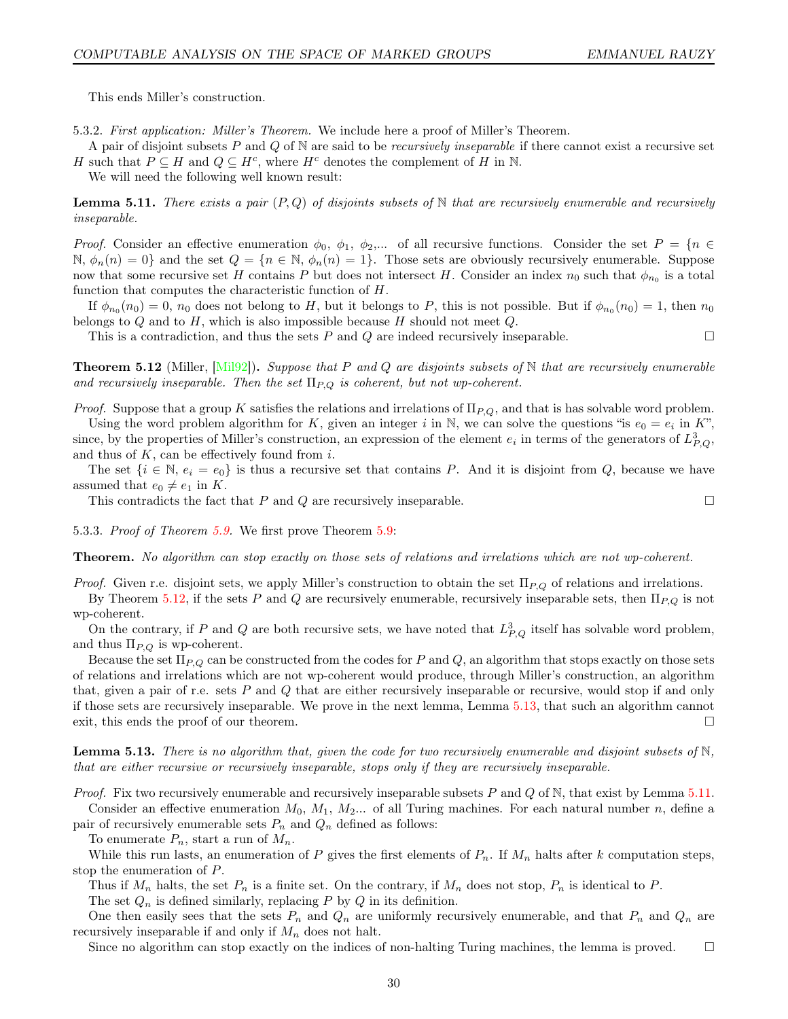This ends Miller's construction.

5.3.2. First application: Miller's Theorem. We include here a proof of Miller's Theorem.

A pair of disjoint subsets P and Q of N are said to be *recursively inseparable* if there cannot exist a recursive set H such that  $P \subseteq H$  and  $Q \subseteq H^c$ , where  $H^c$  denotes the complement of H in N.

We will need the following well known result:

<span id="page-29-2"></span>**Lemma 5.11.** There exists a pair  $(P,Q)$  of disjoints subsets of N that are recursively enumerable and recursively inseparable.

Proof. Consider an effective enumeration  $\phi_0, \phi_1, \phi_2,...$  of all recursive functions. Consider the set  $P = \{n \in$  $\mathbb{N}, \phi_n(n) = 0$  and the set  $Q = \{n \in \mathbb{N}, \phi_n(n) = 1\}$ . Those sets are obviously recursively enumerable. Suppose now that some recursive set H contains P but does not intersect H. Consider an index  $n_0$  such that  $\phi_{n_0}$  is a total function that computes the characteristic function of H.

If  $\phi_{n_0}(n_0) = 0$ ,  $n_0$  does not belong to H, but it belongs to P, this is not possible. But if  $\phi_{n_0}(n_0) = 1$ , then  $n_0$ belongs to  $Q$  and to  $H$ , which is also impossible because  $H$  should not meet  $Q$ .

This is a contradiction, and thus the sets P and Q are indeed recursively inseparable.  $\Box$ 

<span id="page-29-0"></span>**Theorem 5.12** (Miller, [\[Mil92\]](#page-44-15)). Suppose that P and Q are disjoints subsets of  $\mathbb N$  that are recursively enumerable and recursively inseparable. Then the set  $\Pi_{P,Q}$  is coherent, but not wp-coherent.

*Proof.* Suppose that a group K satisfies the relations and irrelations of  $\Pi_{P,Q}$ , and that is has solvable word problem.

Using the word problem algorithm for K, given an integer i in N, we can solve the questions "is  $e_0 = e_i$  in K", since, by the properties of Miller's construction, an expression of the element  $e_i$  in terms of the generators of  $L_{P,Q}^3$ , and thus of  $K$ , can be effectively found from  $i$ .

The set  $\{i \in \mathbb{N}, e_i = e_0\}$  is thus a recursive set that contains P. And it is disjoint from Q, because we have assumed that  $e_0 \neq e_1$  in K.

This contradicts the fact that P and Q are recursively inseparable.  $\Box$ 

5.3.3. Proof of Theorem [5.9.](#page-27-3) We first prove Theorem [5.9:](#page-27-3)

Theorem. No algorithm can stop exactly on those sets of relations and irrelations which are not wp-coherent.

*Proof.* Given r.e. disjoint sets, we apply Miller's construction to obtain the set  $\Pi_{P,Q}$  of relations and irrelations.

By Theorem [5.12,](#page-29-0) if the sets P and Q are recursively enumerable, recursively inseparable sets, then  $\Pi_{P,Q}$  is not wp-coherent.

On the contrary, if P and Q are both recursive sets, we have noted that  $L_{P,Q}^3$  itself has solvable word problem, and thus  $\Pi_{P,Q}$  is wp-coherent.

Because the set  $\Pi_{P,Q}$  can be constructed from the codes for P and Q, an algorithm that stops exactly on those sets of relations and irrelations which are not wp-coherent would produce, through Miller's construction, an algorithm that, given a pair of r.e. sets  $P$  and  $Q$  that are either recursively inseparable or recursive, would stop if and only if those sets are recursively inseparable. We prove in the next lemma, Lemma [5.13,](#page-29-1) that such an algorithm cannot exit, this ends the proof of our theorem.

<span id="page-29-1"></span>**Lemma 5.13.** There is no algorithm that, given the code for two recursively enumerable and disjoint subsets of  $\mathbb{N}$ , that are either recursive or recursively inseparable, stops only if they are recursively inseparable.

*Proof.* Fix two recursively enumerable and recursively inseparable subsets P and Q of N, that exist by Lemma  $5.11$ .

Consider an effective enumeration  $M_0, M_1, M_2...$  of all Turing machines. For each natural number n, define a pair of recursively enumerable sets  $P_n$  and  $Q_n$  defined as follows:

To enumerate  $P_n$ , start a run of  $M_n$ .

While this run lasts, an enumeration of P gives the first elements of  $P_n$ . If  $M_n$  halts after k computation steps, stop the enumeration of P.

Thus if  $M_n$  halts, the set  $P_n$  is a finite set. On the contrary, if  $M_n$  does not stop,  $P_n$  is identical to P.

The set  $Q_n$  is defined similarly, replacing P by Q in its definition.

One then easily sees that the sets  $P_n$  and  $Q_n$  are uniformly recursively enumerable, and that  $P_n$  and  $Q_n$  are recursively inseparable if and only if  $M_n$  does not halt.

Since no algorithm can stop exactly on the indices of non-halting Turing machines, the lemma is proved.  $\square$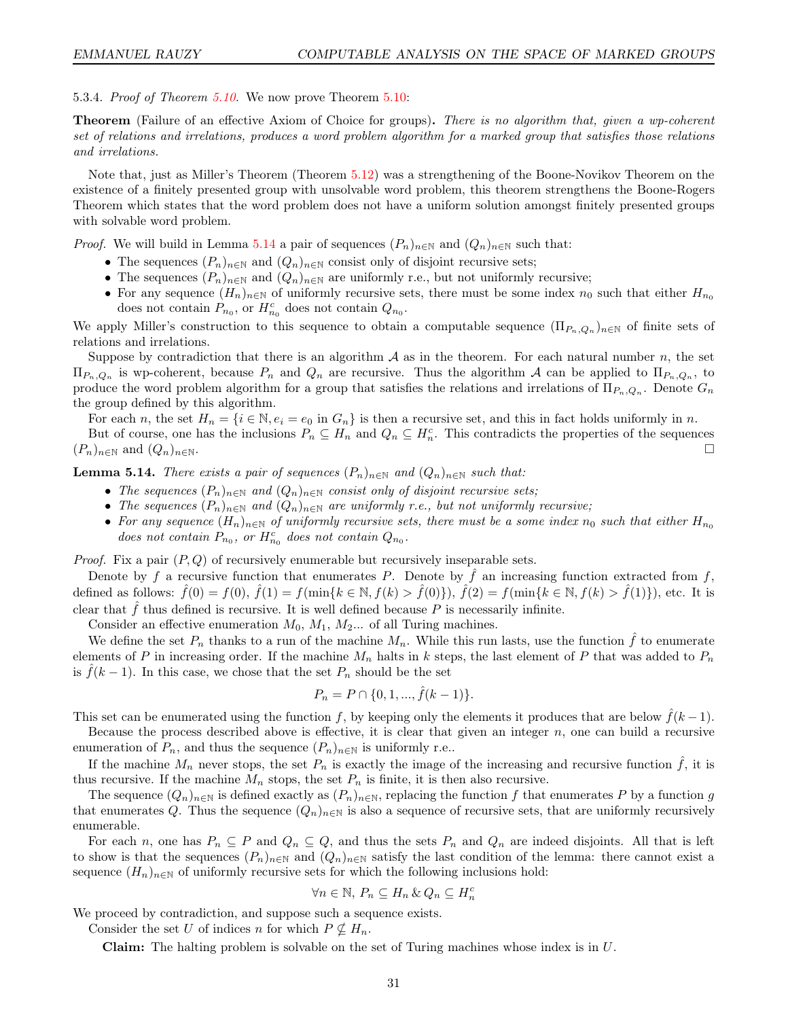5.3.4. Proof of Theorem [5.10.](#page-27-0) We now prove Theorem [5.10:](#page-27-0)

**Theorem** (Failure of an effective Axiom of Choice for groups). There is no algorithm that, given a wp-coherent set of relations and irrelations, produces a word problem algorithm for a marked group that satisfies those relations and irrelations.

Note that, just as Miller's Theorem (Theorem [5.12\)](#page-29-0) was a strengthening of the Boone-Novikov Theorem on the existence of a finitely presented group with unsolvable word problem, this theorem strengthens the Boone-Rogers Theorem which states that the word problem does not have a uniform solution amongst finitely presented groups with solvable word problem.

*Proof.* We will build in Lemma [5.14](#page-30-0) a pair of sequences  $(P_n)_{n\in\mathbb{N}}$  and  $(Q_n)_{n\in\mathbb{N}}$  such that:

- The sequences  $(P_n)_{n\in\mathbb{N}}$  and  $(Q_n)_{n\in\mathbb{N}}$  consist only of disjoint recursive sets;
- The sequences  $(P_n)_{n\in\mathbb{N}}$  and  $(Q_n)_{n\in\mathbb{N}}$  are uniformly r.e., but not uniformly recursive;
- For any sequence  $(H_n)_{n\in\mathbb{N}}$  of uniformly recursive sets, there must be some index  $n_0$  such that either  $H_{n_0}$ does not contain  $P_{n_0}$ , or  $H_{n_0}^c$  does not contain  $Q_{n_0}$ .

We apply Miller's construction to this sequence to obtain a computable sequence  $(\Pi_{P_n,Q_n})_{n\in\mathbb{N}}$  of finite sets of relations and irrelations.

Suppose by contradiction that there is an algorithm  $A$  as in the theorem. For each natural number  $n$ , the set  $\Pi_{P_n,Q_n}$  is wp-coherent, because  $P_n$  and  $Q_n$  are recursive. Thus the algorithm A can be applied to  $\Pi_{P_n,Q_n}$ , to produce the word problem algorithm for a group that satisfies the relations and irrelations of  $\Pi_{P_n,Q_n}$ . Denote  $G_n$ the group defined by this algorithm.

For each n, the set  $H_n = \{i \in \mathbb{N}, e_i = e_0 \text{ in } G_n\}$  is then a recursive set, and this in fact holds uniformly in n.

But of course, one has the inclusions  $P_n \subseteq H_n$  and  $Q_n \subseteq H_n^c$ . This contradicts the properties of the sequences  $(P_n)_{n \in \mathbb{N}}$  and  $(Q_n)_{n \in \mathbb{N}}$ .

<span id="page-30-0"></span>**Lemma 5.14.** There exists a pair of sequences  $(P_n)_{n\in\mathbb{N}}$  and  $(Q_n)_{n\in\mathbb{N}}$  such that:

- The sequences  $(P_n)_{n\in\mathbb{N}}$  and  $(Q_n)_{n\in\mathbb{N}}$  consist only of disjoint recursive sets;
- The sequences  $(P_n)_{n\in\mathbb{N}}$  and  $(Q_n)_{n\in\mathbb{N}}$  are uniformly r.e., but not uniformly recursive;
- For any sequence  $(H_n)_{n\in\mathbb{N}}$  of uniformly recursive sets, there must be a some index  $n_0$  such that either  $H_{n_0}$ does not contain  $P_{n_0}$ , or  $H_{n_0}^c$  does not contain  $Q_{n_0}$ .

*Proof.* Fix a pair  $(P,Q)$  of recursively enumerable but recursively inseparable sets.

Denote by f a recursive function that enumerates P. Denote by  $\hat{f}$  an increasing function extracted from f, defined as follows:  $\hat{f}(0) = f(0), \hat{f}(1) = f(\min\{k \in \mathbb{N}, f(k) > \hat{f}(0)\}), \hat{f}(2) = f(\min\{k \in \mathbb{N}, f(k) > \hat{f}(1)\}),$  etc. It is clear that  $\hat{f}$  thus defined is recursive. It is well defined because P is necessarily infinite.

Consider an effective enumeration  $M_0$ ,  $M_1$ ,  $M_2$ ... of all Turing machines.

We define the set  $P_n$  thanks to a run of the machine  $M_n$ . While this run lasts, use the function  $\hat{f}$  to enumerate elements of P in increasing order. If the machine  $M_n$  halts in k steps, the last element of P that was added to  $P_n$ is  $\tilde{f}(k-1)$ . In this case, we chose that the set  $P_n$  should be the set

$$
P_n = P \cap \{0, 1, ..., \hat{f}(k-1)\}.
$$

This set can be enumerated using the function f, by keeping only the elements it produces that are below  $f(k-1)$ .

Because the process described above is effective, it is clear that given an integer  $n$ , one can build a recursive enumeration of  $P_n$ , and thus the sequence  $(P_n)_{n\in\mathbb{N}}$  is uniformly r.e..

If the machine  $M_n$  never stops, the set  $P_n$  is exactly the image of the increasing and recursive function  $\hat{f}$ , it is thus recursive. If the machine  $M_n$  stops, the set  $P_n$  is finite, it is then also recursive.

The sequence  $(Q_n)_{n\in\mathbb{N}}$  is defined exactly as  $(P_n)_{n\in\mathbb{N}}$ , replacing the function f that enumerates P by a function g that enumerates Q. Thus the sequence  $(Q_n)_{n\in\mathbb{N}}$  is also a sequence of recursive sets, that are uniformly recursively enumerable.

For each n, one has  $P_n \subseteq P$  and  $Q_n \subseteq Q$ , and thus the sets  $P_n$  and  $Q_n$  are indeed disjoints. All that is left to show is that the sequences  $(P_n)_{n\in\mathbb{N}}$  and  $(Q_n)_{n\in\mathbb{N}}$  satisfy the last condition of the lemma: there cannot exist a sequence  $(H_n)_{n\in\mathbb{N}}$  of uniformly recursive sets for which the following inclusions hold:

$$
\forall n \in \mathbb{N}, P_n \subseteq H_n \& Q_n \subseteq H_n^c
$$

We proceed by contradiction, and suppose such a sequence exists.

Consider the set U of indices n for which  $P \nsubseteq H_n$ .

**Claim:** The halting problem is solvable on the set of Turing machines whose index is in  $U$ .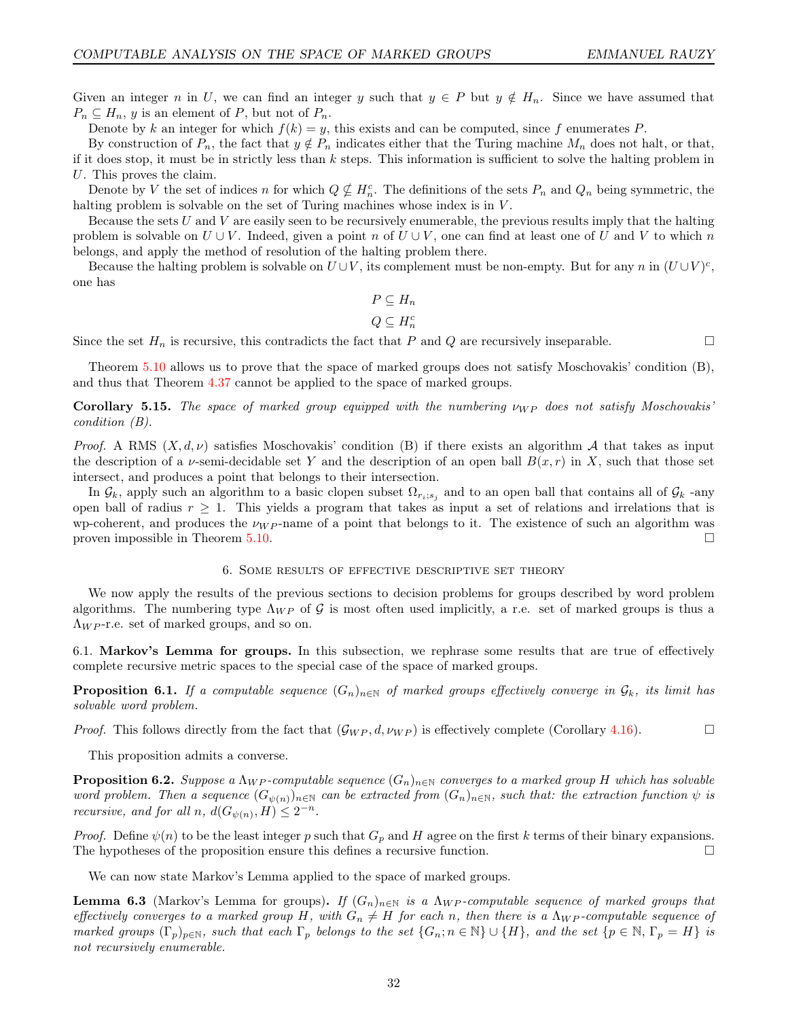Given an integer n in U, we can find an integer y such that  $y \in P$  but  $y \notin H_n$ . Since we have assumed that  $P_n \subseteq H_n$ , y is an element of P, but not of  $P_n$ .

Denote by k an integer for which  $f(k) = y$ , this exists and can be computed, since f enumerates P.

By construction of  $P_n$ , the fact that  $y \notin P_n$  indicates either that the Turing machine  $M_n$  does not halt, or that, if it does stop, it must be in strictly less than  $k$  steps. This information is sufficient to solve the halting problem in U. This proves the claim.

Denote by V the set of indices n for which  $Q \nsubseteq H_n^c$ . The definitions of the sets  $P_n$  and  $Q_n$  being symmetric, the halting problem is solvable on the set of Turing machines whose index is in  $V$ .

Because the sets U and V are easily seen to be recursively enumerable, the previous results imply that the halting problem is solvable on  $U \cup V$ . Indeed, given a point n of  $U \cup V$ , one can find at least one of U and V to which n belongs, and apply the method of resolution of the halting problem there.

Because the halting problem is solvable on  $U\cup V$ , its complement must be non-empty. But for any n in  $(U\cup V)^c$ , one has

$$
P \subseteq H_n
$$

$$
Q \subseteq H_n^c
$$

Since the set  $H_n$  is recursive, this contradicts the fact that P and Q are recursively inseparable.

Theorem [5.10](#page-27-0) allows us to prove that the space of marked groups does not satisfy Moschovakis' condition (B), and thus that Theorem [4.37](#page-24-2) cannot be applied to the space of marked groups.

<span id="page-31-1"></span>**Corollary 5.15.** The space of marked group equipped with the numbering  $\nu_{WP}$  does not satisfy Moschovakis' condition (B).

Proof. A RMS  $(X, d, \nu)$  satisfies Moschovakis' condition (B) if there exists an algorithm A that takes as input the description of a *v*-semi-decidable set Y and the description of an open ball  $B(x, r)$  in X, such that those set intersect, and produces a point that belongs to their intersection.

In  $\mathcal{G}_k$ , apply such an algorithm to a basic clopen subset  $\Omega_{r_i;s_j}$  and to an open ball that contains all of  $\mathcal{G}_k$  -any open ball of radius  $r \geq 1$ . This yields a program that takes as input a set of relations and irrelations that is wp-coherent, and produces the  $\nu_{WP}$ -name of a point that belongs to it. The existence of such an algorithm was proven impossible in Theorem [5.10.](#page-27-0)

#### 6. Some results of effective descriptive set theory

<span id="page-31-0"></span>We now apply the results of the previous sections to decision problems for groups described by word problem algorithms. The numbering type  $\Lambda_{WP}$  of G is most often used implicitly, a r.e. set of marked groups is thus a  $\Lambda_{WP}$ -r.e. set of marked groups, and so on.

6.1. Markov's Lemma for groups. In this subsection, we rephrase some results that are true of effectively complete recursive metric spaces to the special case of the space of marked groups.

<span id="page-31-3"></span>**Proposition 6.1.** If a computable sequence  $(G_n)_{n\in\mathbb{N}}$  of marked groups effectively converge in  $\mathcal{G}_k$ , its limit has solvable word problem.

*Proof.* This follows directly from the fact that  $(\mathcal{G}_{WP}, d, \nu_{WP})$  is effectively complete (Corollary [4.16\)](#page-19-0).

This proposition admits a converse.

**Proposition 6.2.** Suppose a  $\Lambda_{WP}$ -computable sequence  $(G_n)_{n\in\mathbb{N}}$  converges to a marked group H which has solvable word problem. Then a sequence  $(G_{\psi(n)})_{n\in\mathbb{N}}$  can be extracted from  $(G_n)_{n\in\mathbb{N}}$ , such that: the extraction function  $\psi$  is recursive, and for all n,  $d(G_{\psi(n)}, H) \leq 2^{-n}$ .

*Proof.* Define  $\psi(n)$  to be the least integer p such that  $G_p$  and H agree on the first k terms of their binary expansions. The hypotheses of the proposition ensure this defines a recursive function.

We can now state Markov's Lemma applied to the space of marked groups.

<span id="page-31-2"></span>**Lemma 6.3** (Markov's Lemma for groups). If  $(G_n)_{n\in\mathbb{N}}$  is a  $\Lambda_{WP}$ -computable sequence of marked groups that effectively converges to a marked group H, with  $G_n \neq H$  for each n, then there is a  $\Lambda_{WP}$ -computable sequence of marked groups  $(\Gamma_p)_{p \in \mathbb{N}}$ , such that each  $\Gamma_p$  belongs to the set  $\{G_n; n \in \mathbb{N}\} \cup \{H\}$ , and the set  $\{p \in \mathbb{N}, \Gamma_p = H\}$  is not recursively enumerable.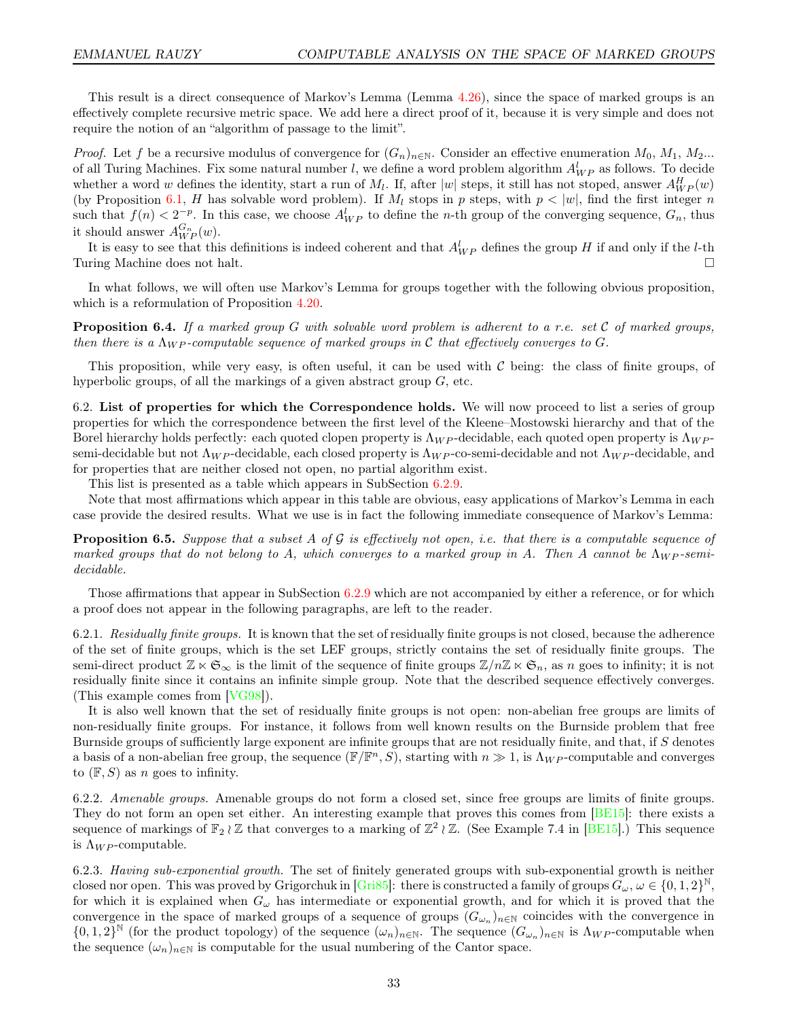This result is a direct consequence of Markov's Lemma (Lemma [4.26\)](#page-21-3), since the space of marked groups is an effectively complete recursive metric space. We add here a direct proof of it, because it is very simple and does not require the notion of an "algorithm of passage to the limit".

*Proof.* Let f be a recursive modulus of convergence for  $(G_n)_{n\in\mathbb{N}}$ . Consider an effective enumeration  $M_0, M_1, M_2...$ of all Turing Machines. Fix some natural number l, we define a word problem algorithm  $A_{WP}^l$  as follows. To decide whether a word w defines the identity, start a run of  $M_l$ . If, after  $|w|$  steps, it still has not stoped, answer  $A_{WP}^H(w)$ (by Proposition [6.1,](#page-31-3) H has solvable word problem). If  $M_l$  stops in p steps, with  $p < |w|$ , find the first integer n such that  $f(n) < 2^{-p}$ . In this case, we choose  $A_{WP}^l$  to define the *n*-th group of the converging sequence,  $G_n$ , thus it should answer  $A_{WP}^{G_n}(w)$ .

It is easy to see that this definitions is indeed coherent and that  $A_{WP}^l$  defines the group H if and only if the *l*-th Turing Machine does not halt.

In what follows, we will often use Markov's Lemma for groups together with the following obvious proposition, which is a reformulation of Proposition [4.20.](#page-20-2)

<span id="page-32-2"></span>**Proposition 6.4.** If a marked group G with solvable word problem is adherent to a r.e. set C of marked groups, then there is a  $\Lambda_{WP}$ -computable sequence of marked groups in C that effectively converges to G.

This proposition, while very easy, is often useful, it can be used with  $\mathcal C$  being: the class of finite groups, of hyperbolic groups, of all the markings of a given abstract group  $G$ , etc.

<span id="page-32-1"></span>6.2. List of properties for which the Correspondence holds. We will now proceed to list a series of group properties for which the correspondence between the first level of the Kleene–Mostowski hierarchy and that of the Borel hierarchy holds perfectly: each quoted clopen property is  $\Lambda_{WP}$ -decidable, each quoted open property is  $\Lambda_{WP}$ semi-decidable but not  $\Lambda_{WP}$ -decidable, each closed property is  $\Lambda_{WP}$ -co-semi-decidable and not  $\Lambda_{WP}$ -decidable, and for properties that are neither closed not open, no partial algorithm exist.

This list is presented as a table which appears in SubSection [6.2.9.](#page-34-0)

Note that most affirmations which appear in this table are obvious, easy applications of Markov's Lemma in each case provide the desired results. What we use is in fact the following immediate consequence of Markov's Lemma:

<span id="page-32-0"></span>**Proposition 6.5.** Suppose that a subset A of G is effectively not open, i.e. that there is a computable sequence of marked groups that do not belong to A, which converges to a marked group in A. Then A cannot be  $\Lambda_{WP}$ -semidecidable.

Those affirmations that appear in SubSection [6.2.9](#page-34-0) which are not accompanied by either a reference, or for which a proof does not appear in the following paragraphs, are left to the reader.

6.2.1. Residually finite groups. It is known that the set of residually finite groups is not closed, because the adherence of the set of finite groups, which is the set LEF groups, strictly contains the set of residually finite groups. The semi-direct product  $\mathbb{Z} \ltimes \mathfrak{S}_{\infty}$  is the limit of the sequence of finite groups  $\mathbb{Z}/n\mathbb{Z} \ltimes \mathfrak{S}_n$ , as n goes to infinity; it is not residually finite since it contains an infinite simple group. Note that the described sequence effectively converges. (This example comes from [\[VG98\]](#page-45-5)).

It is also well known that the set of residually finite groups is not open: non-abelian free groups are limits of non-residually finite groups. For instance, it follows from well known results on the Burnside problem that free Burnside groups of sufficiently large exponent are infinite groups that are not residually finite, and that, if  $S$  denotes a basis of a non-abelian free group, the sequence  $(\mathbb{F}/\mathbb{F}^n, S)$ , starting with  $n \gg 1$ , is  $\Lambda_{WP}$ -computable and converges to  $(F, S)$  as n goes to infinity.

6.2.2. Amenable groups. Amenable groups do not form a closed set, since free groups are limits of finite groups. They do not form an open set either. An interesting example that proves this comes from [\[BE15\]](#page-43-7): there exists a sequence of markings of  $\mathbb{F}_2 \wr \mathbb{Z}$  that converges to a marking of  $\mathbb{Z}^2 \wr \mathbb{Z}$ . (See Example 7.4 in [\[BE15\]](#page-43-7).) This sequence is  $\Lambda_{WP}$ -computable.

6.2.3. Having sub-exponential growth. The set of finitely generated groups with sub-exponential growth is neither closed nor open. This was proved by Grigorchuk in [\[Gri85\]](#page-43-2): there is constructed a family of groups  $G_\omega,$   $\omega\in\{0,1,2\}^\mathbb{N},$ for which it is explained when  $G_{\omega}$  has intermediate or exponential growth, and for which it is proved that the convergence in the space of marked groups of a sequence of groups  $(G_{\omega_n})_{n\in\mathbb{N}}$  coincides with the convergence in  $\{0,1,2\}^{\mathbb{N}}$  (for the product topology) of the sequence  $(\omega_n)_{n\in\mathbb{N}}$ . The sequence  $(G_{\omega_n})_{n\in\mathbb{N}}$  is  $\Lambda_{WP}$ -computable when the sequence  $(\omega_n)_{n\in\mathbb{N}}$  is computable for the usual numbering of the Cantor space.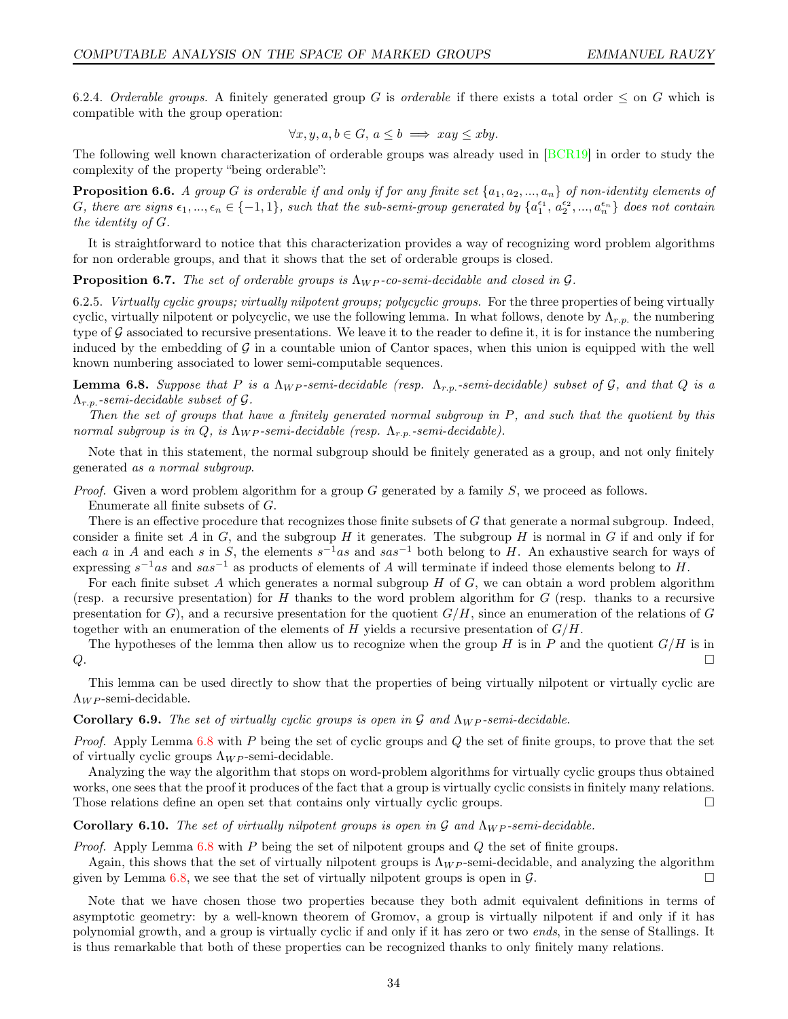6.2.4. Orderable groups. A finitely generated group G is orderable if there exists a total order  $\leq$  on G which is compatible with the group operation:

$$
\forall x, y, a, b \in G, a \le b \implies xay \le xby.
$$

The following well known characterization of orderable groups was already used in [\[BCR19\]](#page-43-19) in order to study the complexity of the property "being orderable":

**Proposition 6.6.** A group G is orderable if and only if for any finite set  $\{a_1, a_2, ..., a_n\}$  of non-identity elements of G, there are signs  $\epsilon_1, ..., \epsilon_n \in \{-1, 1\}$ , such that the sub-semi-group generated by  $\{a_1^{\epsilon_1}, a_2^{\epsilon_2}, ..., a_n^{\epsilon_n}\}$  does not contain the identity of G.

It is straightforward to notice that this characterization provides a way of recognizing word problem algorithms for non orderable groups, and that it shows that the set of orderable groups is closed.

**Proposition 6.7.** The set of orderable groups is  $\Lambda_{WP}$ -co-semi-decidable and closed in  $\mathcal{G}$ .

6.2.5. Virtually cyclic groups; virtually nilpotent groups; polycyclic groups. For the three properties of being virtually cyclic, virtually nilpotent or polycyclic, we use the following lemma. In what follows, denote by  $\Lambda_{r.p.}$  the numbering type of  $G$  associated to recursive presentations. We leave it to the reader to define it, it is for instance the numbering induced by the embedding of  $\mathcal G$  in a countable union of Cantor spaces, when this union is equipped with the well known numbering associated to lower semi-computable sequences.

<span id="page-33-0"></span>**Lemma 6.8.** Suppose that P is a  $\Lambda_{WP}$ -semi-decidable (resp.  $\Lambda_{r.p.}$ -semi-decidable) subset of G, and that Q is a  $\Lambda_{r.p.}$ -semi-decidable subset of  $\mathcal G$ .

Then the set of groups that have a finitely generated normal subgroup in P, and such that the quotient by this normal subgroup is in Q, is  $\Lambda_{WP}$ -semi-decidable (resp.  $\Lambda_{r.p.}$ -semi-decidable).

Note that in this statement, the normal subgroup should be finitely generated as a group, and not only finitely generated as a normal subgroup.

*Proof.* Given a word problem algorithm for a group G generated by a family  $S$ , we proceed as follows.

Enumerate all finite subsets of G.

There is an effective procedure that recognizes those finite subsets of G that generate a normal subgroup. Indeed, consider a finite set A in G, and the subgroup H it generates. The subgroup H is normal in G if and only if for each a in A and each s in S, the elements  $s^{-1}$ as and  $sas^{-1}$  both belong to H. An exhaustive search for ways of expressing  $s^{-1}as$  and  $sas^{-1}$  as products of elements of A will terminate if indeed those elements belong to H.

For each finite subset A which generates a normal subgroup  $H$  of  $G$ , we can obtain a word problem algorithm (resp. a recursive presentation) for H thanks to the word problem algorithm for  $G$  (resp. thanks to a recursive presentation for G), and a recursive presentation for the quotient  $G/H$ , since an enumeration of the relations of G together with an enumeration of the elements of H yields a recursive presentation of  $G/H$ .

The hypotheses of the lemma then allow us to recognize when the group H is in P and the quotient  $G/H$  is in  $Q$ .

This lemma can be used directly to show that the properties of being virtually nilpotent or virtually cyclic are  $\Lambda_{WP}$ -semi-decidable.

Corollary 6.9. The set of virtually cyclic groups is open in G and  $\Lambda_{WP}$ -semi-decidable.

*Proof.* Apply Lemma  $6.8$  with P being the set of cyclic groups and Q the set of finite groups, to prove that the set of virtually cyclic groups  $\Lambda_{WP}$ -semi-decidable.

Analyzing the way the algorithm that stops on word-problem algorithms for virtually cyclic groups thus obtained works, one sees that the proof it produces of the fact that a group is virtually cyclic consists in finitely many relations. Those relations define an open set that contains only virtually cyclic groups.

Corollary 6.10. The set of virtually nilpotent groups is open in  $\mathcal G$  and  $\Lambda_{WP}$ -semi-decidable.

*Proof.* Apply Lemma  $6.8$  with P being the set of nilpotent groups and Q the set of finite groups.

Again, this shows that the set of virtually nilpotent groups is  $\Lambda_{WP}$ -semi-decidable, and analyzing the algorithm given by Lemma [6.8,](#page-33-0) we see that the set of virtually nilpotent groups is open in  $\mathcal{G}$ .

Note that we have chosen those two properties because they both admit equivalent definitions in terms of asymptotic geometry: by a well-known theorem of Gromov, a group is virtually nilpotent if and only if it has polynomial growth, and a group is virtually cyclic if and only if it has zero or two ends, in the sense of Stallings. It is thus remarkable that both of these properties can be recognized thanks to only finitely many relations.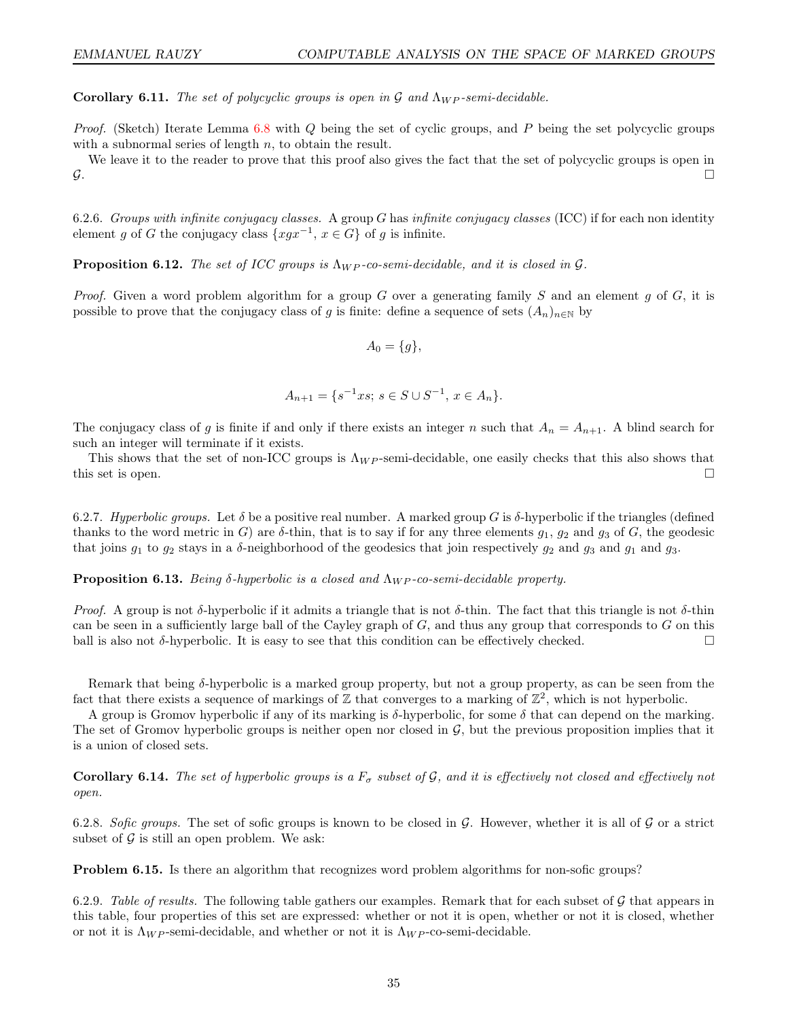**Corollary 6.11.** The set of polycyclic groups is open in G and  $\Lambda_{WP}$ -semi-decidable.

Proof. (Sketch) Iterate Lemma [6.8](#page-33-0) with Q being the set of cyclic groups, and P being the set polycyclic groups with a subnormal series of length n, to obtain the result.

We leave it to the reader to prove that this proof also gives the fact that the set of polycyclic groups is open in  $\mathcal{G}.$ 

6.2.6. Groups with infinite conjugacy classes. A group G has infinite conjugacy classes (ICC) if for each non identity element g of G the conjugacy class  $\{xgx^{-1}, x \in G\}$  of g is infinite.

**Proposition 6.12.** The set of ICC groups is  $\Lambda_{WP}$ -co-semi-decidable, and it is closed in G.

*Proof.* Given a word problem algorithm for a group G over a generating family S and an element g of G, it is possible to prove that the conjugacy class of g is finite: define a sequence of sets  $(A_n)_{n\in\mathbb{N}}$  by

$$
A_0 = \{g\},\
$$

$$
A_{n+1} = \{ s^{-1}xs; \ s \in S \cup S^{-1}, \ x \in A_n \}.
$$

The conjugacy class of g is finite if and only if there exists an integer n such that  $A_n = A_{n+1}$ . A blind search for such an integer will terminate if it exists.

This shows that the set of non-ICC groups is  $\Lambda_{WP}$ -semi-decidable, one easily checks that this also shows that this set is open.

6.2.7. Hyperbolic groups. Let  $\delta$  be a positive real number. A marked group G is  $\delta$ -hyperbolic if the triangles (defined thanks to the word metric in G) are  $\delta$ -thin, that is to say if for any three elements  $g_1, g_2$  and  $g_3$  of G, the geodesic that joins  $g_1$  to  $g_2$  stays in a  $\delta$ -neighborhood of the geodesics that join respectively  $g_2$  and  $g_3$  and  $g_1$  and  $g_3$ .

**Proposition 6.13.** Being δ-hyperbolic is a closed and  $\Lambda_{WP}$ -co-semi-decidable property.

*Proof.* A group is not δ-hyperbolic if it admits a triangle that is not δ-thin. The fact that this triangle is not δ-thin can be seen in a sufficiently large ball of the Cayley graph of  $G$ , and thus any group that corresponds to  $G$  on this ball is also not  $\delta$ -hyperbolic. It is easy to see that this condition can be effectively checked.

Remark that being  $\delta$ -hyperbolic is a marked group property, but not a group property, as can be seen from the fact that there exists a sequence of markings of  $\mathbb Z$  that converges to a marking of  $\mathbb Z^2$ , which is not hyperbolic.

A group is Gromov hyperbolic if any of its marking is  $\delta$ -hyperbolic, for some  $\delta$  that can depend on the marking. The set of Gromov hyperbolic groups is neither open nor closed in  $\mathcal{G}$ , but the previous proposition implies that it is a union of closed sets.

**Corollary 6.14.** The set of hyperbolic groups is a  $F_{\sigma}$  subset of G, and it is effectively not closed and effectively not open.

6.2.8. Sofic groups. The set of sofic groups is known to be closed in G. However, whether it is all of G or a strict subset of  $\mathcal G$  is still an open problem. We ask:

**Problem 6.15.** Is there an algorithm that recognizes word problem algorithms for non-sofic groups?

<span id="page-34-0"></span>6.2.9. Table of results. The following table gathers our examples. Remark that for each subset of  $\mathcal G$  that appears in this table, four properties of this set are expressed: whether or not it is open, whether or not it is closed, whether or not it is  $\Lambda_{WP}$ -semi-decidable, and whether or not it is  $\Lambda_{WP}$ -co-semi-decidable.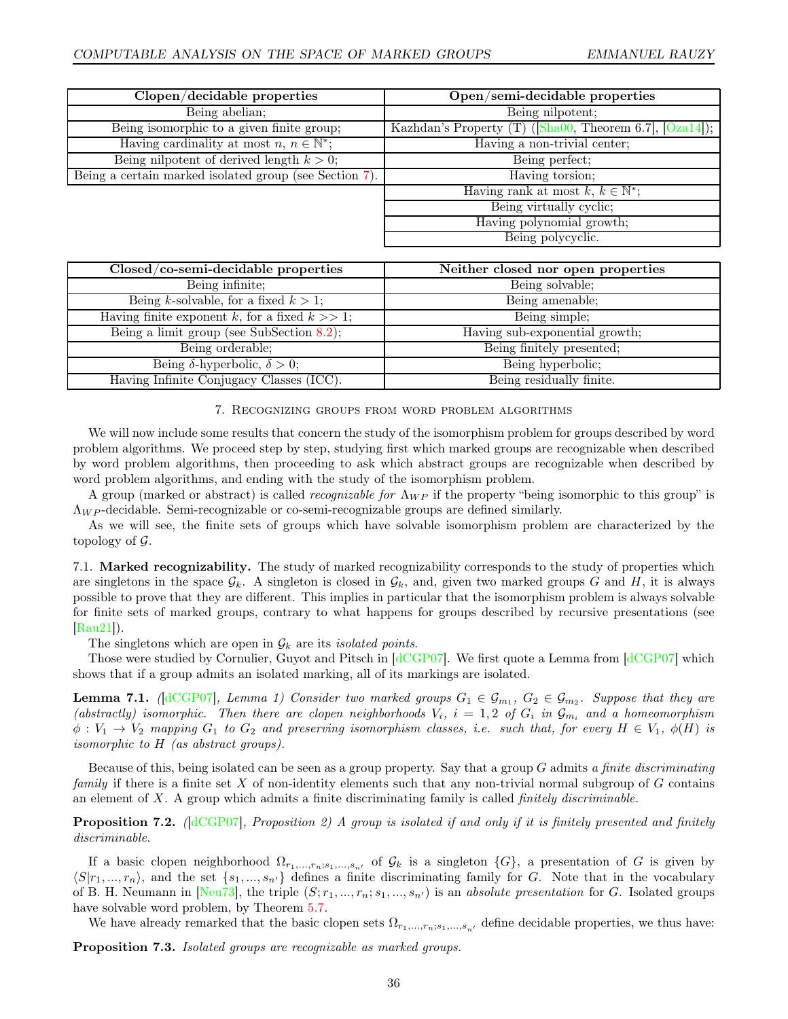| Clopen/decidable properties                            | Open/semi-decidable properties                                                                        |
|--------------------------------------------------------|-------------------------------------------------------------------------------------------------------|
| Being abelian;                                         | Being nilpotent;                                                                                      |
| Being isomorphic to a given finite group;              | Kazhdan's Property (T) ( $\lceil \text{Sha} 00 \rceil$ , Theorem 6.7, $\lceil \text{Oza14} \rceil$ ); |
| Having cardinality at most $n, n \in \mathbb{N}^*$ ;   | Having a non-trivial center;                                                                          |
| Being nilpotent of derived length $k > 0$ ;            | Being perfect;                                                                                        |
| Being a certain marked isolated group (see Section 7). | Having torsion;                                                                                       |
|                                                        | Having rank at most $k, k \in \mathbb{N}^*$ ;                                                         |
|                                                        | Being virtually cyclic;                                                                               |
|                                                        | Having polynomial growth;                                                                             |
|                                                        | Being polycyclic.                                                                                     |

| Closed/co-semi-decidable properties               | Neither closed nor open properties |
|---------------------------------------------------|------------------------------------|
| Being infinite;                                   | Being solvable;                    |
| Being k-solvable, for a fixed $k > 1$ ;           | Being amenable;                    |
| Having finite exponent k, for a fixed $k \gg 1$ ; | Being simple;                      |
| Being a limit group (see SubSection $8.2$ );      | Having sub-exponential growth;     |
| Being orderable;                                  | Being finitely presented;          |
| Being $\delta$ -hyperbolic, $\delta > 0$ ;        | Being hyperbolic;                  |
| Having Infinite Conjugacy Classes (ICC).          | Being residually finite.           |

#### 7. Recognizing groups from word problem algorithms

<span id="page-35-0"></span>We will now include some results that concern the study of the isomorphism problem for groups described by word problem algorithms. We proceed step by step, studying first which marked groups are recognizable when described by word problem algorithms, then proceeding to ask which abstract groups are recognizable when described by word problem algorithms, and ending with the study of the isomorphism problem.

A group (marked or abstract) is called *recognizable for*  $\Lambda_{WP}$  if the property "being isomorphic to this group" is  $\Lambda_{WP}$ -decidable. Semi-recognizable or co-semi-recognizable groups are defined similarly.

As we will see, the finite sets of groups which have solvable isomorphism problem are characterized by the topology of  $\mathcal{G}$ .

7.1. Marked recognizability. The study of marked recognizability corresponds to the study of properties which are singletons in the space  $\mathcal{G}_k$ . A singleton is closed in  $\mathcal{G}_k$ , and, given two marked groups G and H, it is always possible to prove that they are different. This implies in particular that the isomorphism problem is always solvable for finite sets of marked groups, contrary to what happens for groups described by recursive presentations (see [\[Rau21\]](#page-44-0)).

The singletons which are open in  $\mathcal{G}_k$  are its *isolated points*.

Those were studied by Cornulier, Guyot and Pitsch in [\[dCGP07\]](#page-43-3). We first quote a Lemma from [\[dCGP07\]](#page-43-3) which shows that if a group admits an isolated marking, all of its markings are isolated.

<span id="page-35-1"></span>**Lemma 7.1.** ([\[dCGP07\]](#page-43-3), Lemma 1) Consider two marked groups  $G_1 \in \mathcal{G}_{m_1}$ ,  $G_2 \in \mathcal{G}_{m_2}$ . Suppose that they are (abstractly) isomorphic. Then there are clopen neighborhoods  $V_i$ ,  $i = 1, 2$  of  $G_i$  in  $\mathcal{G}_{m_i}$  and a homeomorphism  $\phi: V_1 \to V_2$  mapping  $G_1$  to  $G_2$  and preserving isomorphism classes, i.e. such that, for every  $H \in V_1$ ,  $\phi(H)$  is isomorphic to H (as abstract groups).

Because of this, being isolated can be seen as a group property. Say that a group G admits a finite discriminating family if there is a finite set  $X$  of non-identity elements such that any non-trivial normal subgroup of  $G$  contains an element of  $X$ . A group which admits a finite discriminating family is called *finitely discriminable*.

**Proposition 7.2.** ( $\text{dCGPO7}$ ), Proposition 2) A group is isolated if and only if it is finitely presented and finitely discriminable.

If a basic clopen neighborhood  $\Omega_{r_1,\ldots,r_n;s_1,\ldots,s_{n'}}$  of  $\mathcal{G}_k$  is a singleton  $\{G\}$ , a presentation of G is given by  $\langle S|r_1, ..., r_n\rangle$ , and the set  $\{s_1, ..., s_{n'}\}$  defines a finite discriminating family for G. Note that in the vocabulary of B. H. Neumann in [\[Neu73\]](#page-44-26), the triple  $(S; r_1, ..., r_n; s_1, ..., s_{n'})$  is an absolute presentation for G. Isolated groups have solvable word problem, by Theorem [5.7.](#page-27-2)

We have already remarked that the basic clopen sets  $\Omega_{r_1,\ldots,r_n;s_1,\ldots,s_n}$  define decidable properties, we thus have:

Proposition 7.3. Isolated groups are recognizable as marked groups.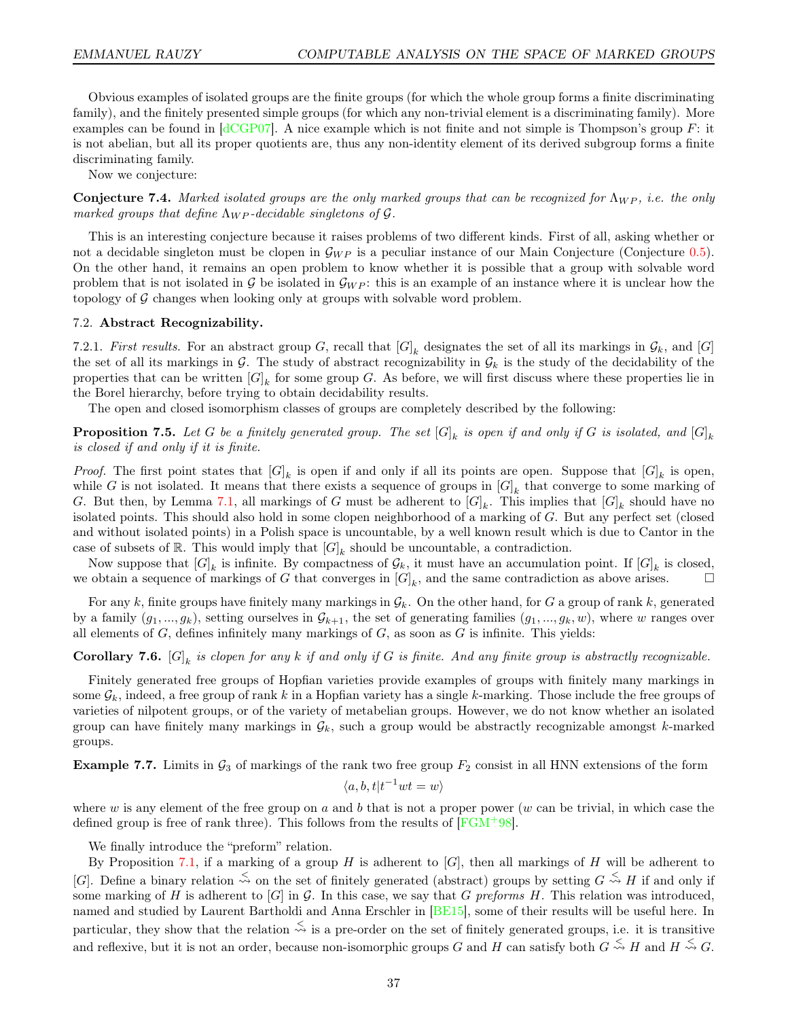Obvious examples of isolated groups are the finite groups (for which the whole group forms a finite discriminating family), and the finitely presented simple groups (for which any non-trivial element is a discriminating family). More examples can be found in  $\left[ \frac{dCGP07}{d} \right]$ . A nice example which is not finite and not simple is Thompson's group F: it is not abelian, but all its proper quotients are, thus any non-identity element of its derived subgroup forms a finite discriminating family.

Now we conjecture:

<span id="page-36-0"></span>**Conjecture 7.4.** Marked isolated groups are the only marked groups that can be recognized for  $\Lambda_{WP}$ , i.e. the only marked groups that define  $\Lambda_{WP}$ -decidable singletons of  $\mathcal G$ .

This is an interesting conjecture because it raises problems of two different kinds. First of all, asking whether or not a decidable singleton must be clopen in  $\mathcal{G}_{WP}$  is a peculiar instance of our Main Conjecture (Conjecture [0.5\)](#page-3-0). On the other hand, it remains an open problem to know whether it is possible that a group with solvable word problem that is not isolated in  $\mathcal{G}_{W}$  be isolated in  $\mathcal{G}_{W}$ . this is an example of an instance where it is unclear how the topology of  $\mathcal G$  changes when looking only at groups with solvable word problem.

### 7.2. Abstract Recognizability.

7.2.1. First results. For an abstract group G, recall that  $[G]_k$  designates the set of all its markings in  $\mathcal{G}_k$ , and  $[G]$ the set of all its markings in G. The study of abstract recognizability in  $\mathcal{G}_k$  is the study of the decidability of the properties that can be written  $[G]_k$  for some group G. As before, we will first discuss where these properties lie in the Borel hierarchy, before trying to obtain decidability results.

The open and closed isomorphism classes of groups are completely described by the following:

**Proposition 7.5.** Let G be a finitely generated group. The set  $[G]_k$  is open if and only if G is isolated, and  $[G]_k$ is closed if and only if it is finite.

*Proof.* The first point states that  $[G]_k$  is open if and only if all its points are open. Suppose that  $[G]_k$  is open, while G is not isolated. It means that there exists a sequence of groups in  $[G]_k$  that converge to some marking of G. But then, by Lemma [7.1,](#page-35-1) all markings of G must be adherent to  $[G]_k$ . This implies that  $[G]_k$  should have no isolated points. This should also hold in some clopen neighborhood of a marking of G. But any perfect set (closed and without isolated points) in a Polish space is uncountable, by a well known result which is due to Cantor in the case of subsets of R. This would imply that  $[G]_k$  should be uncountable, a contradiction.

Now suppose that  $[G]_k$  is infinite. By compactness of  $\mathcal{G}_k$ , it must have an accumulation point. If  $[G]_k$  is closed, we obtain a sequence of markings of G that converges in  $[G]_k$ , and the same contradiction as above arises.  $\Box$ 

For any k, finite groups have finitely many markings in  $\mathcal{G}_k$ . On the other hand, for G a group of rank k, generated by a family  $(g_1, ..., g_k)$ , setting ourselves in  $\mathcal{G}_{k+1}$ , the set of generating families  $(g_1, ..., g_k, w)$ , where w ranges over all elements of  $G$ , defines infinitely many markings of  $G$ , as soon as  $G$  is infinite. This yields:

**Corollary 7.6.**  $[G]_k$  is clopen for any k if and only if G is finite. And any finite group is abstractly recognizable.

Finitely generated free groups of Hopfian varieties provide examples of groups with finitely many markings in some  $\mathcal{G}_k$ , indeed, a free group of rank k in a Hopfian variety has a single k-marking. Those include the free groups of varieties of nilpotent groups, or of the variety of metabelian groups. However, we do not know whether an isolated group can have finitely many markings in  $\mathcal{G}_k$ , such a group would be abstractly recognizable amongst k-marked groups.

**Example 7.7.** Limits in  $\mathcal{G}_3$  of markings of the rank two free group  $F_2$  consist in all HNN extensions of the form

$$
\langle a, b, t | t^{-1}wt = w \rangle
$$

where w is any element of the free group on a and b that is not a proper power (w can be trivial, in which case the defined group is free of rank three). This follows from the results of  $[FGM+98]$ .

We finally introduce the "preform" relation.

By Proposition [7.1,](#page-35-1) if a marking of a group H is adherent to  $[G]$ , then all markings of H will be adherent to [G]. Define a binary relation  $\stackrel{\leq}{\sim}$  on the set of finitely generated (abstract) groups by setting  $G \stackrel{\leq}{\sim} H$  if and only if some marking of H is adherent to  $[G]$  in G. In this case, we say that G preforms H. This relation was introduced, named and studied by Laurent Bartholdi and Anna Erschler in [\[BE15\]](#page-43-7), some of their results will be useful here. In particular, they show that the relation  $\stackrel{\leq}{\leadsto}$  is a pre-order on the set of finitely generated groups, i.e. it is transitive and reflexive, but it is not an order, because non-isomorphic groups G and H can satisfy both  $G \stackrel{\leq}{\leadsto} H$  and  $H \stackrel{\leq}{\leadsto} G$ .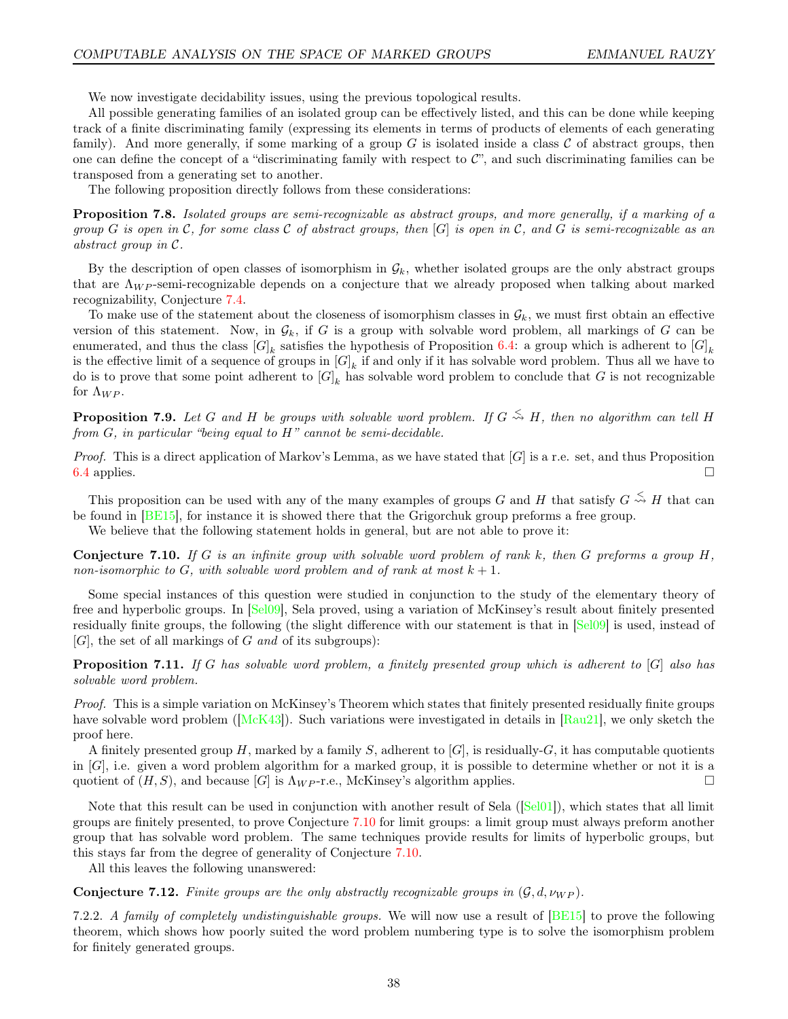We now investigate decidability issues, using the previous topological results.

All possible generating families of an isolated group can be effectively listed, and this can be done while keeping track of a finite discriminating family (expressing its elements in terms of products of elements of each generating family). And more generally, if some marking of a group  $G$  is isolated inside a class  $C$  of abstract groups, then one can define the concept of a "discriminating family with respect to C", and such discriminating families can be transposed from a generating set to another.

The following proposition directly follows from these considerations:

<span id="page-37-1"></span>Proposition 7.8. Isolated groups are semi-recognizable as abstract groups, and more generally, if a marking of a group G is open in C, for some class C of abstract groups, then  $[G]$  is open in C, and G is semi-recognizable as an abstract group in C.

By the description of open classes of isomorphism in  $\mathcal{G}_k$ , whether isolated groups are the only abstract groups that are  $\Lambda_{WP}$ -semi-recognizable depends on a conjecture that we already proposed when talking about marked recognizability, Conjecture [7.4.](#page-36-0)

To make use of the statement about the closeness of isomorphism classes in  $\mathcal{G}_k$ , we must first obtain an effective version of this statement. Now, in  $\mathcal{G}_k$ , if G is a group with solvable word problem, all markings of G can be enumerated, and thus the class  $[G]_k$  satisfies the hypothesis of Proposition [6.4:](#page-32-2) a group which is adherent to  $[G]_k$ is the effective limit of a sequence of groups in  $[G]_k$  if and only if it has solvable word problem. Thus all we have to do is to prove that some point adherent to  $[G]_k$  has solvable word problem to conclude that G is not recognizable for  $\Lambda_{WP}$ .

<span id="page-37-2"></span>**Proposition 7.9.** Let G and H be groups with solvable word problem. If  $G \stackrel{\leq}{\sim} H$ , then no algorithm can tell H from  $G$ , in particular "being equal to  $H$ " cannot be semi-decidable.

*Proof.* This is a direct application of Markov's Lemma, as we have stated that  $[G]$  is a r.e. set, and thus Proposition [6.4](#page-32-2) applies.  $\Box$ 

This proposition can be used with any of the many examples of groups G and H that satisfy  $G \stackrel{\leq}{\leadsto} H$  that can be found in [\[BE15\]](#page-43-7), for instance it is showed there that the Grigorchuk group preforms a free group.

We believe that the following statement holds in general, but are not able to prove it:

<span id="page-37-0"></span>**Conjecture 7.10.** If G is an infinite group with solvable word problem of rank k, then G preforms a group H, non-isomorphic to G, with solvable word problem and of rank at most  $k + 1$ .

Some special instances of this question were studied in conjunction to the study of the elementary theory of free and hyperbolic groups. In [\[Sel09\]](#page-44-27), Sela proved, using a variation of McKinsey's result about finitely presented residually finite groups, the following (the slight difference with our statement is that in [\[Sel09\]](#page-44-27) is used, instead of  $[G]$ , the set of all markings of G and of its subgroups):

**Proposition 7.11.** If G has solvable word problem, a finitely presented group which is adherent to [G] also has solvable word problem.

Proof. This is a simple variation on McKinsey's Theorem which states that finitely presented residually finite groups have solvable word problem ( $[McK43]$ ). Such variations were investigated in details in [\[Rau21\]](#page-44-0), we only sketch the proof here.

A finitely presented group H, marked by a family S, adherent to  $[G]$ , is residually-G, it has computable quotients in [G], i.e. given a word problem algorithm for a marked group, it is possible to determine whether or not it is a quotient of  $(H, S)$ , and because  $[G]$  is  $\Lambda_{WP}$ -r.e., McKinsey's algorithm applies.

Note that this result can be used in conjunction with another result of Sela ([\[Sel01\]](#page-44-29)), which states that all limit groups are finitely presented, to prove Conjecture [7.10](#page-37-0) for limit groups: a limit group must always preform another group that has solvable word problem. The same techniques provide results for limits of hyperbolic groups, but this stays far from the degree of generality of Conjecture [7.10.](#page-37-0)

All this leaves the following unanswered:

**Conjecture 7.12.** Finite groups are the only abstractly recognizable groups in  $(G, d, \nu_{WP})$ .

7.2.2. A family of completely undistinguishable groups. We will now use a result of  $[BE15]$  to prove the following theorem, which shows how poorly suited the word problem numbering type is to solve the isomorphism problem for finitely generated groups.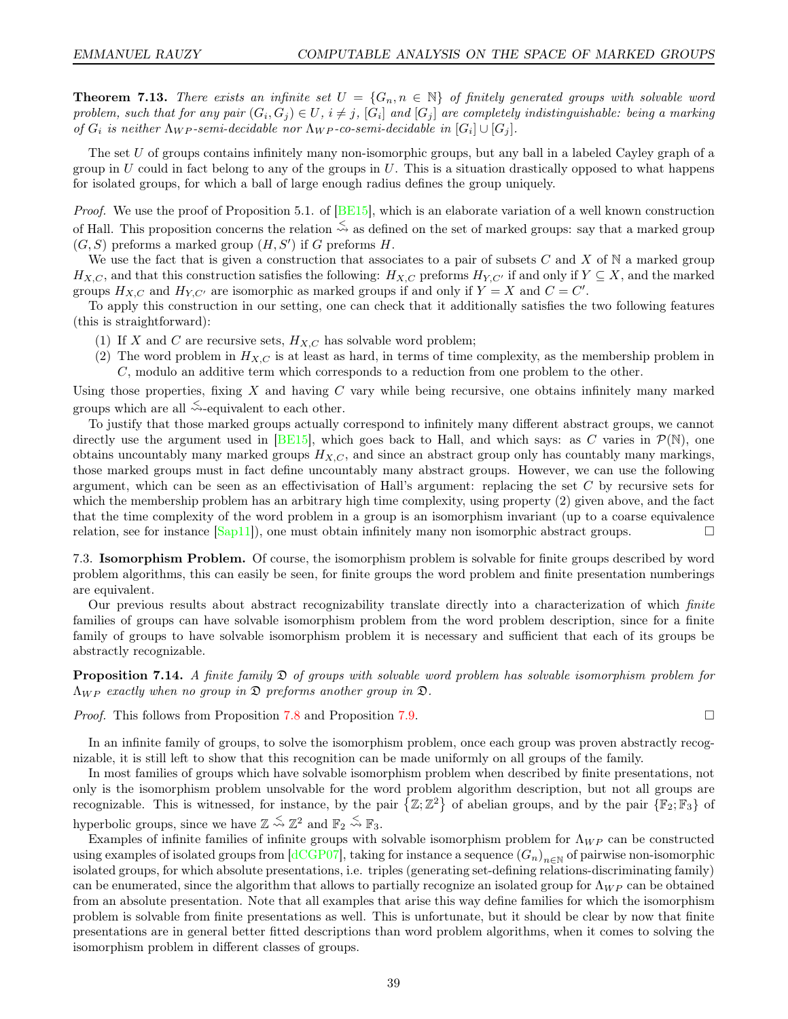<span id="page-38-1"></span>**Theorem 7.13.** There exists an infinite set  $U = \{G_n, n \in \mathbb{N}\}\$  of finitely generated groups with solvable word problem, such that for any pair  $(G_i, G_j) \in U$ ,  $i \neq j$ ,  $[G_i]$  and  $[G_j]$  are completely indistinguishable: being a marking of  $G_i$  is neither  $\Lambda_{WP}$ -semi-decidable nor  $\Lambda_{WP}$ -co-semi-decidable in  $[G_i] \cup [G_j]$ .

The set U of groups contains infinitely many non-isomorphic groups, but any ball in a labeled Cayley graph of a group in  $U$  could in fact belong to any of the groups in  $U$ . This is a situation drastically opposed to what happens for isolated groups, for which a ball of large enough radius defines the group uniquely.

*Proof.* We use the proof of Proposition 5.1. of  $[BE15]$ , which is an elaborate variation of a well known construction of Hall. This proposition concerns the relation  $\leq$  as defined on the set of marked groups: say that a marked group  $(G, S)$  preforms a marked group  $(H, S')$  if G preforms H.

We use the fact that is given a construction that associates to a pair of subsets  $C$  and  $X$  of  $N$  a marked group  $H_{X,C}$ , and that this construction satisfies the following:  $H_{X,C}$  preforms  $H_{Y,C'}$  if and only if  $Y \subseteq X$ , and the marked groups  $H_{X,C}$  and  $H_{Y,C'}$  are isomorphic as marked groups if and only if  $Y = X$  and  $C = C'$ .

To apply this construction in our setting, one can check that it additionally satisfies the two following features (this is straightforward):

- (1) If X and C are recursive sets,  $H_{X,C}$  has solvable word problem;
- (2) The word problem in  $H_{X,C}$  is at least as hard, in terms of time complexity, as the membership problem in C, modulo an additive term which corresponds to a reduction from one problem to the other.

Using those properties, fixing  $X$  and having  $C$  vary while being recursive, one obtains infinitely many marked groups which are all  $\stackrel{\leq}{\leadsto}$ -equivalent to each other.

To justify that those marked groups actually correspond to infinitely many different abstract groups, we cannot directly use the argument used in [\[BE15\]](#page-43-7), which goes back to Hall, and which says: as C varies in  $\mathcal{P}(\mathbb{N})$ , one obtains uncountably many marked groups  $H_{X,C}$ , and since an abstract group only has countably many markings, those marked groups must in fact define uncountably many abstract groups. However, we can use the following argument, which can be seen as an effectivisation of Hall's argument: replacing the set  $C$  by recursive sets for which the membership problem has an arbitrary high time complexity, using property (2) given above, and the fact that the time complexity of the word problem in a group is an isomorphism invariant (up to a coarse equivalence relation, see for instance  $[\text{Sap11}]$ , one must obtain infinitely many non isomorphic abstract groups.

7.3. Isomorphism Problem. Of course, the isomorphism problem is solvable for finite groups described by word problem algorithms, this can easily be seen, for finite groups the word problem and finite presentation numberings are equivalent.

Our previous results about abstract recognizability translate directly into a characterization of which finite families of groups can have solvable isomorphism problem from the word problem description, since for a finite family of groups to have solvable isomorphism problem it is necessary and sufficient that each of its groups be abstractly recognizable.

<span id="page-38-0"></span>**Proposition 7.14.** A finite family  $\mathfrak{D}$  of groups with solvable word problem has solvable isomorphism problem for  $\Lambda_{WP}$  exactly when no group in  $\mathfrak D$  preforms another group in  $\mathfrak D$ .

*Proof.* This follows from Proposition [7.8](#page-37-1) and Proposition [7.9.](#page-37-2)

In an infinite family of groups, to solve the isomorphism problem, once each group was proven abstractly recognizable, it is still left to show that this recognition can be made uniformly on all groups of the family.

In most families of groups which have solvable isomorphism problem when described by finite presentations, not only is the isomorphism problem unsolvable for the word problem algorithm description, but not all groups are recognizable. This is witnessed, for instance, by the pair  $\{Z;\Z^2\}$  of abelian groups, and by the pair  $\{\mathbb{F}_2;\mathbb{F}_3\}$  of hyperbolic groups, since we have  $\mathbb{Z} \stackrel{\leq}{\leadsto} \mathbb{Z}^2$  and  $\mathbb{F}_2 \stackrel{\leq}{\leadsto} \mathbb{F}_3$ .

Examples of infinite families of infinite groups with solvable isomorphism problem for  $\Lambda_{WP}$  can be constructed using examples of isolated groups from [\[dCGP07\]](#page-43-3), taking for instance a sequence  $(G_n)_{n\in\mathbb{N}}$  of pairwise non-isomorphic isolated groups, for which absolute presentations, i.e. triples (generating set-defining relations-discriminating family) can be enumerated, since the algorithm that allows to partially recognize an isolated group for  $\Lambda_{WP}$  can be obtained from an absolute presentation. Note that all examples that arise this way define families for which the isomorphism problem is solvable from finite presentations as well. This is unfortunate, but it should be clear by now that finite presentations are in general better fitted descriptions than word problem algorithms, when it comes to solving the isomorphism problem in different classes of groups.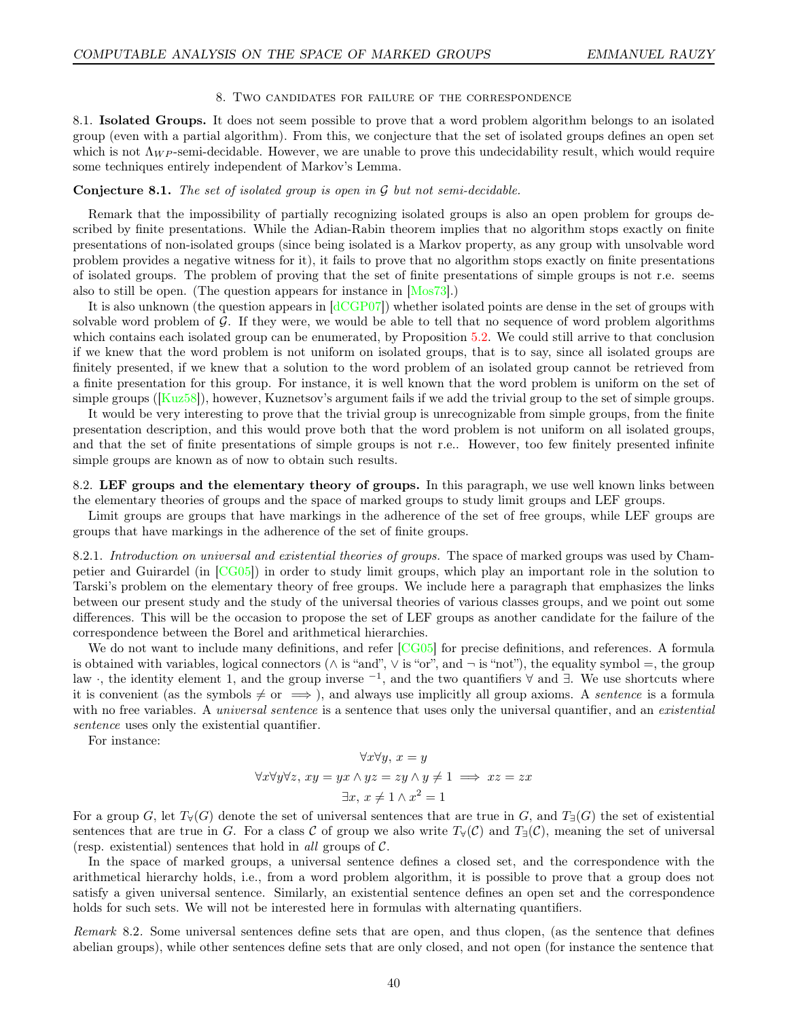#### 8. Two candidates for failure of the correspondence

<span id="page-39-0"></span>8.1. Isolated Groups. It does not seem possible to prove that a word problem algorithm belongs to an isolated group (even with a partial algorithm). From this, we conjecture that the set of isolated groups defines an open set which is not  $\Lambda_{WP}$ -semi-decidable. However, we are unable to prove this undecidability result, which would require some techniques entirely independent of Markov's Lemma.

# **Conjecture 8.1.** The set of isolated group is open in  $\mathcal G$  but not semi-decidable.

Remark that the impossibility of partially recognizing isolated groups is also an open problem for groups described by finite presentations. While the Adian-Rabin theorem implies that no algorithm stops exactly on finite presentations of non-isolated groups (since being isolated is a Markov property, as any group with unsolvable word problem provides a negative witness for it), it fails to prove that no algorithm stops exactly on finite presentations of isolated groups. The problem of proving that the set of finite presentations of simple groups is not r.e. seems also to still be open. (The question appears for instance in [\[Mos73\]](#page-44-31).)

It is also unknown (the question appears in  $\left[ \frac{dCGP07}{d} \right]$ ) whether isolated points are dense in the set of groups with solvable word problem of  $G$ . If they were, we would be able to tell that no sequence of word problem algorithms which contains each isolated group can be enumerated, by Proposition [5.2.](#page-25-2) We could still arrive to that conclusion if we knew that the word problem is not uniform on isolated groups, that is to say, since all isolated groups are finitely presented, if we knew that a solution to the word problem of an isolated group cannot be retrieved from a finite presentation for this group. For instance, it is well known that the word problem is uniform on the set of simple groups ( $[Kuz58]$ ), however, Kuznetsov's argument fails if we add the trivial group to the set of simple groups.

It would be very interesting to prove that the trivial group is unrecognizable from simple groups, from the finite presentation description, and this would prove both that the word problem is not uniform on all isolated groups, and that the set of finite presentations of simple groups is not r.e.. However, too few finitely presented infinite simple groups are known as of now to obtain such results.

<span id="page-39-1"></span>8.2. LEF groups and the elementary theory of groups. In this paragraph, we use well known links between the elementary theories of groups and the space of marked groups to study limit groups and LEF groups.

Limit groups are groups that have markings in the adherence of the set of free groups, while LEF groups are groups that have markings in the adherence of the set of finite groups.

8.2.1. Introduction on universal and existential theories of groups. The space of marked groups was used by Champetier and Guirardel (in [\[CG05\]](#page-43-12)) in order to study limit groups, which play an important role in the solution to Tarski's problem on the elementary theory of free groups. We include here a paragraph that emphasizes the links between our present study and the study of the universal theories of various classes groups, and we point out some differences. This will be the occasion to propose the set of LEF groups as another candidate for the failure of the correspondence between the Borel and arithmetical hierarchies.

We do not want to include many definitions, and refer [\[CG05\]](#page-43-12) for precise definitions, and references. A formula is obtained with variables, logical connectors ( $\wedge$  is "and",  $\vee$  is "or", and  $\neg$  is "not"), the equality symbol =, the group law, the identity element 1, and the group inverse <sup>-1</sup>, and the two quantifiers  $\forall$  and  $\exists$ . We use shortcuts where it is convenient (as the symbols  $\neq$  or  $\implies$  ), and always use implicitly all group axioms. A *sentence* is a formula with no free variables. A *universal sentence* is a sentence that uses only the universal quantifier, and an *existential* sentence uses only the existential quantifier.

For instance:

$$
\forall x \forall y, x = y
$$
  

$$
\forall x \forall y \forall z, xy = yx \land yz = zy \land y \neq 1 \implies xz = zx
$$
  

$$
\exists x, x \neq 1 \land x^2 = 1
$$

For a group G, let  $T_Y(G)$  denote the set of universal sentences that are true in G, and  $T_{\exists}(G)$  the set of existential sentences that are true in G. For a class C of group we also write  $T_\forall(\mathcal{C})$  and  $T_\exists(\mathcal{C})$ , meaning the set of universal (resp. existential) sentences that hold in all groups of  $\mathcal{C}$ .

In the space of marked groups, a universal sentence defines a closed set, and the correspondence with the arithmetical hierarchy holds, i.e., from a word problem algorithm, it is possible to prove that a group does not satisfy a given universal sentence. Similarly, an existential sentence defines an open set and the correspondence holds for such sets. We will not be interested here in formulas with alternating quantifiers.

Remark 8.2. Some universal sentences define sets that are open, and thus clopen, (as the sentence that defines abelian groups), while other sentences define sets that are only closed, and not open (for instance the sentence that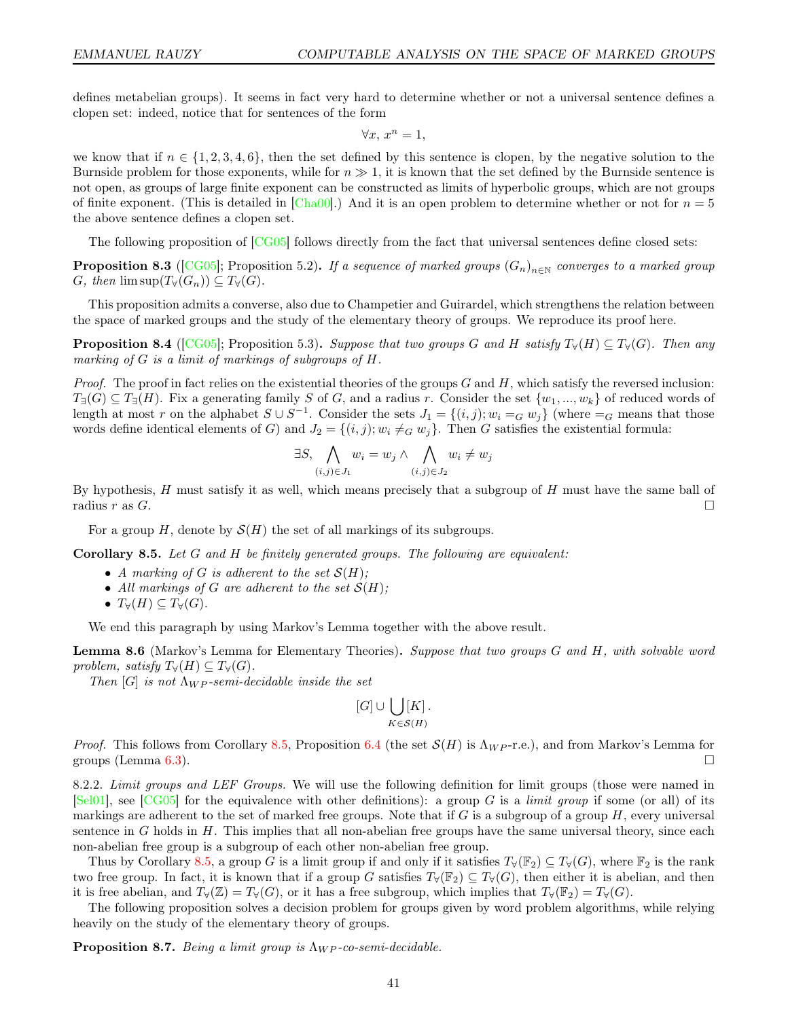defines metabelian groups). It seems in fact very hard to determine whether or not a universal sentence defines a clopen set: indeed, notice that for sentences of the form

$$
\forall x, \, x^n = 1,
$$

we know that if  $n \in \{1, 2, 3, 4, 6\}$ , then the set defined by this sentence is clopen, by the negative solution to the Burnside problem for those exponents, while for  $n \gg 1$ , it is known that the set defined by the Burnside sentence is not open, as groups of large finite exponent can be constructed as limits of hyperbolic groups, which are not groups of finite exponent. (This is detailed in [\[Cha00\]](#page-43-21).) And it is an open problem to determine whether or not for  $n = 5$ the above sentence defines a clopen set.

The following proposition of  $[CG05]$  follows directly from the fact that universal sentences define closed sets:

**Proposition 8.3** ([\[CG05\]](#page-43-12); Proposition 5.2). If a sequence of marked groups  $(G_n)_{n\in\mathbb{N}}$  converges to a marked group G, then  $\limsup(T_{\forall}(G_n)) \subseteq T_{\forall}(G)$ .

This proposition admits a converse, also due to Champetier and Guirardel, which strengthens the relation between the space of marked groups and the study of the elementary theory of groups. We reproduce its proof here.

<span id="page-40-2"></span>**Proposition 8.4** ([\[CG05\]](#page-43-12); Proposition 5.3). Suppose that two groups G and H satisfy  $T_\forall(H) \subseteq T_\forall(G)$ . Then any marking of G is a limit of markings of subgroups of H.

*Proof.* The proof in fact relies on the existential theories of the groups  $G$  and  $H$ , which satisfy the reversed inclusion:  $T_{\exists}(G) \subseteq T_{\exists}(H)$ . Fix a generating family S of G, and a radius r. Consider the set  $\{w_1, ..., w_k\}$  of reduced words of length at most r on the alphabet  $S \cup S^{-1}$ . Consider the sets  $J_1 = \{(i, j); w_i =_G w_j\}$  (where  $=_G$  means that those words define identical elements of G) and  $J_2 = \{(i, j); w_i \neq_G w_j\}$ . Then G satisfies the existential formula:

$$
\exists S, \bigwedge_{(i,j)\in J_1} w_i = w_j \land \bigwedge_{(i,j)\in J_2} w_i \neq w_j
$$

By hypothesis, H must satisfy it as well, which means precisely that a subgroup of H must have the same ball of radius  $r$  as  $G$ .

For a group H, denote by  $\mathcal{S}(H)$  the set of all markings of its subgroups.

<span id="page-40-0"></span>**Corollary 8.5.** Let  $G$  and  $H$  be finitely generated groups. The following are equivalent:

- A marking of G is adherent to the set  $\mathcal{S}(H)$ ;
- All markings of G are adherent to the set  $\mathcal{S}(H)$ ;
- $T_\forall(H) \subseteq T_\forall(G)$ .

We end this paragraph by using Markov's Lemma together with the above result.

Lemma 8.6 (Markov's Lemma for Elementary Theories). Suppose that two groups G and H, with solvable word problem, satisfy  $T_\forall(H) \subseteq T_\forall(G)$ .

Then [G] is not  $\Lambda_{WP}$ -semi-decidable inside the set

$$
[G]\cup\bigcup_{K\in\mathcal{S}(H)}[K]\,.
$$

*Proof.* This follows from Corollary [8.5,](#page-40-0) Proposition [6.4](#page-32-2) (the set  $\mathcal{S}(H)$  is  $\Lambda_{WP}$ -r.e.), and from Markov's Lemma for groups (Lemma [6.3\)](#page-31-2).

8.2.2. Limit groups and LEF Groups. We will use the following definition for limit groups (those were named in  $[Sel01]$ , see  $[CG05]$  for the equivalence with other definitions): a group G is a *limit group* if some (or all) of its markings are adherent to the set of marked free groups. Note that if G is a subgroup of a group  $H$ , every universal sentence in G holds in  $H$ . This implies that all non-abelian free groups have the same universal theory, since each non-abelian free group is a subgroup of each other non-abelian free group.

Thus by Corollary [8.5,](#page-40-0) a group G is a limit group if and only if it satisfies  $T_\forall(\mathbb{F}_2) \subseteq T_\forall(G)$ , where  $\mathbb{F}_2$  is the rank two free group. In fact, it is known that if a group G satisfies  $T_{\forall}(\mathbb{F}_2) \subseteq T_{\forall}(G)$ , then either it is abelian, and then it is free abelian, and  $T_{\forall}(\mathbb{Z}) = T_{\forall}(G)$ , or it has a free subgroup, which implies that  $T_{\forall}(\mathbb{F}_2) = T_{\forall}(G)$ .

The following proposition solves a decision problem for groups given by word problem algorithms, while relying heavily on the study of the elementary theory of groups.

<span id="page-40-1"></span>**Proposition 8.7.** Being a limit group is  $\Lambda_{WP}$ -co-semi-decidable.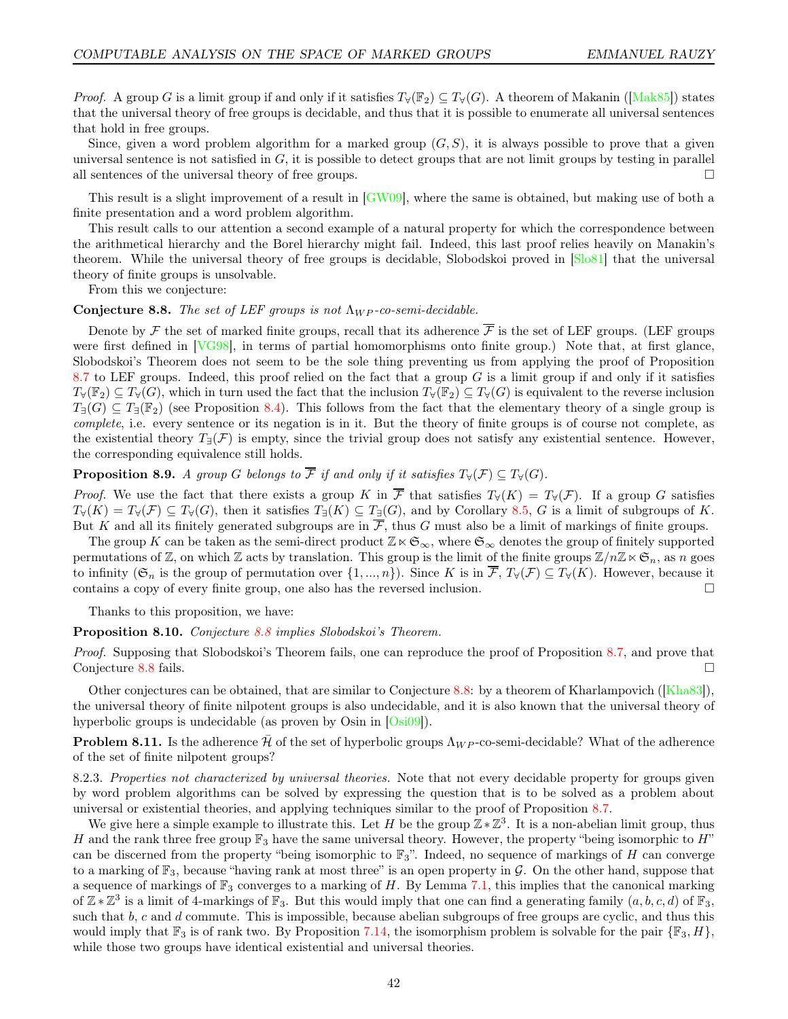*Proof.* A group G is a limit group if and only if it satisfies  $T_\forall(\mathbb{F}_2) \subseteq T_\forall(G)$ . A theorem of Makanin ([\[Mak85\]](#page-44-32)) states that the universal theory of free groups is decidable, and thus that it is possible to enumerate all universal sentences that hold in free groups.

Since, given a word problem algorithm for a marked group  $(G, S)$ , it is always possible to prove that a given universal sentence is not satisfied in  $G$ , it is possible to detect groups that are not limit groups by testing in parallel all sentences of the universal theory of free groups.  $\Box$ 

This result is a slight improvement of a result in [\[GW09\]](#page-43-6), where the same is obtained, but making use of both a finite presentation and a word problem algorithm.

This result calls to our attention a second example of a natural property for which the correspondence between the arithmetical hierarchy and the Borel hierarchy might fail. Indeed, this last proof relies heavily on Manakin's theorem. While the universal theory of free groups is decidable, Slobodskoi proved in [\[Slo81\]](#page-44-33) that the universal theory of finite groups is unsolvable.

From this we conjecture:

## <span id="page-41-0"></span>Conjecture 8.8. The set of LEF groups is not  $\Lambda_{WP}$ -co-semi-decidable.

Denote by  $\mathcal F$  the set of marked finite groups, recall that its adherence  $\overline{\mathcal F}$  is the set of LEF groups. (LEF groups were first defined in [\[VG98\]](#page-45-5), in terms of partial homomorphisms onto finite group.) Note that, at first glance, Slobodskoi's Theorem does not seem to be the sole thing preventing us from applying the proof of Proposition [8.7](#page-40-1) to LEF groups. Indeed, this proof relied on the fact that a group  $G$  is a limit group if and only if it satisfies  $T_{\forall}(\mathbb{F}_{2}) \subseteq T_{\forall}(G)$ , which in turn used the fact that the inclusion  $T_{\forall}(\mathbb{F}_{2}) \subseteq T_{\forall}(G)$  is equivalent to the reverse inclusion  $T_{\exists}(G) \subseteq T_{\exists}(\mathbb{F}_2)$  (see Proposition [8.4\)](#page-40-2). This follows from the fact that the elementary theory of a single group is complete, i.e. every sentence or its negation is in it. But the theory of finite groups is of course not complete, as the existential theory  $T_{\exists}(\mathcal{F})$  is empty, since the trivial group does not satisfy any existential sentence. However, the corresponding equivalence still holds.

# **Proposition 8.9.** A group G belongs to  $\overline{\mathcal{F}}$  if and only if it satisfies  $T_{\forall}(\mathcal{F}) \subseteq T_{\forall}(G)$ .

*Proof.* We use the fact that there exists a group K in  $\overline{\mathcal{F}}$  that satisfies  $T_{\forall}(K) = T_{\forall}(\mathcal{F})$ . If a group G satisfies  $T_{\forall}(K) = T_{\forall}(\mathcal{F}) \subseteq T_{\forall}(G)$ , then it satisfies  $T_{\exists}(K) \subseteq T_{\exists}(G)$ , and by Corollary [8.5,](#page-40-0) G is a limit of subgroups of K. But K and all its finitely generated subgroups are in  $\overline{\mathcal{F}}$ , thus G must also be a limit of markings of finite groups.

The group K can be taken as the semi-direct product  $\mathbb{Z}\ltimes\mathfrak{S}_{\infty}$ , where  $\mathfrak{S}_{\infty}$  denotes the group of finitely supported permutations of Z, on which Z acts by translation. This group is the limit of the finite groups  $\mathbb{Z}/n\mathbb{Z}\times\mathfrak{S}_n$ , as n goes to infinity ( $\mathfrak{S}_n$  is the group of permutation over  $\{1, ..., n\}$ ). Since K is in  $\overline{\mathcal{F}}, T_{\forall}(\mathcal{F}) \subseteq T_{\forall}(K)$ . However, because it contains a copy of every finite group, one also has the reversed inclusion.

Thanks to this proposition, we have:

Proposition 8.10. Conjecture [8.8](#page-41-0) implies Slobodskoi's Theorem.

Proof. Supposing that Slobodskoi's Theorem fails, one can reproduce the proof of Proposition [8.7,](#page-40-1) and prove that Conjecture [8.8](#page-41-0) fails.

Other conjectures can be obtained, that are similar to Conjecture [8.8:](#page-41-0) by a theorem of Kharlampovich ([\[Kha83\]](#page-44-34)), the universal theory of finite nilpotent groups is also undecidable, and it is also known that the universal theory of hyperbolic groups is undecidable (as proven by Osin in [\[Osi09\]](#page-44-35)).

**Problem 8.11.** Is the adherence  $\bar{\mathcal{H}}$  of the set of hyperbolic groups  $\Lambda_{WP}$ -co-semi-decidable? What of the adherence of the set of finite nilpotent groups?

8.2.3. Properties not characterized by universal theories. Note that not every decidable property for groups given by word problem algorithms can be solved by expressing the question that is to be solved as a problem about universal or existential theories, and applying techniques similar to the proof of Proposition [8.7.](#page-40-1)

We give here a simple example to illustrate this. Let H be the group  $\mathbb{Z} * \mathbb{Z}^3$ . It is a non-abelian limit group, thus H and the rank three free group  $\mathbb{F}_3$  have the same universal theory. However, the property "being isomorphic to H" can be discerned from the property "being isomorphic to  $\mathbb{F}_3$ ". Indeed, no sequence of markings of H can converge to a marking of  $\mathbb{F}_3$ , because "having rank at most three" is an open property in G. On the other hand, suppose that a sequence of markings of  $\mathbb{F}_3$  converges to a marking of H. By Lemma [7.1,](#page-35-1) this implies that the canonical marking of  $\mathbb{Z} * \mathbb{Z}^3$  is a limit of 4-markings of  $\mathbb{F}_3$ . But this would imply that one can find a generating family  $(a, b, c, d)$  of  $\mathbb{F}_3$ , such that  $b, c$  and  $d$  commute. This is impossible, because abelian subgroups of free groups are cyclic, and thus this would imply that  $\mathbb{F}_3$  is of rank two. By Proposition [7.14,](#page-38-0) the isomorphism problem is solvable for the pair  $\{\mathbb{F}_3, H\}$ , while those two groups have identical existential and universal theories.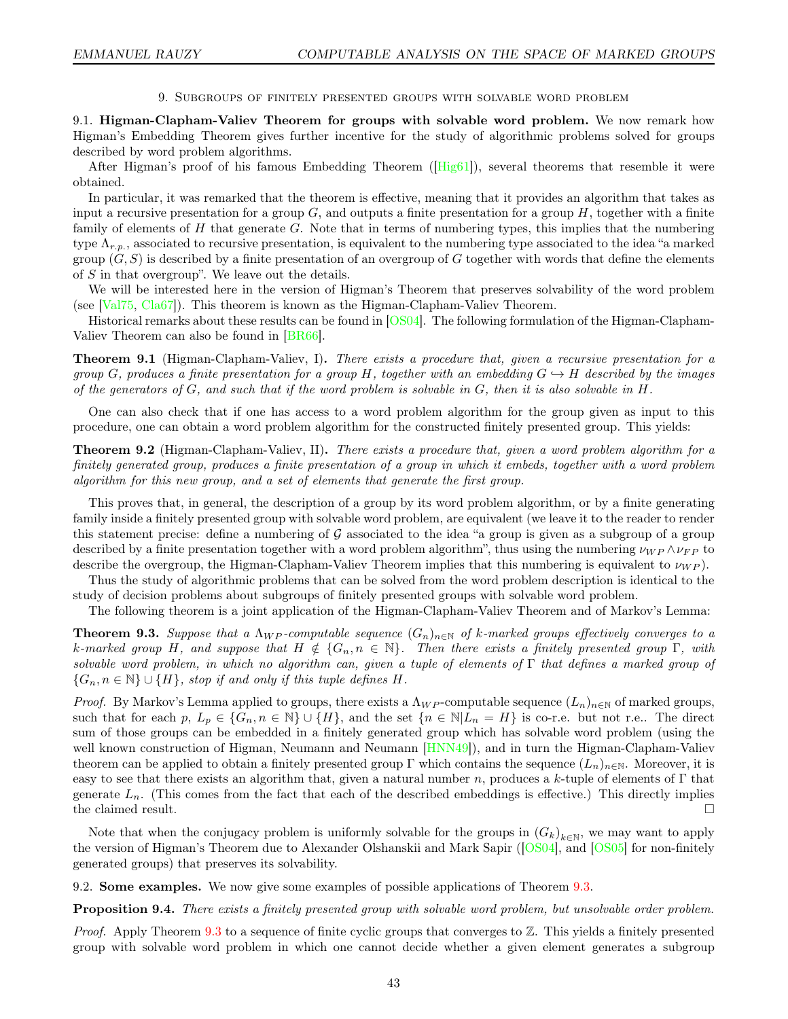9. Subgroups of finitely presented groups with solvable word problem

<span id="page-42-2"></span><span id="page-42-0"></span>9.1. Higman-Clapham-Valiev Theorem for groups with solvable word problem. We now remark how Higman's Embedding Theorem gives further incentive for the study of algorithmic problems solved for groups described by word problem algorithms.

After Higman's proof of his famous Embedding Theorem ([\[Hig61\]](#page-44-36)), several theorems that resemble it were obtained.

In particular, it was remarked that the theorem is effective, meaning that it provides an algorithm that takes as input a recursive presentation for a group  $G$ , and outputs a finite presentation for a group  $H$ , together with a finite family of elements of  $H$  that generate  $G$ . Note that in terms of numbering types, this implies that the numbering type  $\Lambda_{r.p.}$ , associated to recursive presentation, is equivalent to the numbering type associated to the idea "a marked" group  $(G, S)$  is described by a finite presentation of an overgroup of G together with words that define the elements of S in that overgroup". We leave out the details.

We will be interested here in the version of Higman's Theorem that preserves solvability of the word problem (see [\[Val75,](#page-45-6) [Cla67\]](#page-43-18)). This theorem is known as the Higman-Clapham-Valiev Theorem.

Historical remarks about these results can be found in [\[OS04\]](#page-44-37). The following formulation of the Higman-Clapham-Valiev Theorem can also be found in [\[BR66\]](#page-43-4).

Theorem 9.1 (Higman-Clapham-Valiev, I). There exists a procedure that, given a recursive presentation for a group G, produces a finite presentation for a group H, together with an embedding  $G \to H$  described by the images of the generators of  $G$ , and such that if the word problem is solvable in  $G$ , then it is also solvable in  $H$ .

One can also check that if one has access to a word problem algorithm for the group given as input to this procedure, one can obtain a word problem algorithm for the constructed finitely presented group. This yields:

**Theorem 9.2** (Higman-Clapham-Valiev, II). There exists a procedure that, given a word problem algorithm for a finitely generated group, produces a finite presentation of a group in which it embeds, together with a word problem algorithm for this new group, and a set of elements that generate the first group.

This proves that, in general, the description of a group by its word problem algorithm, or by a finite generating family inside a finitely presented group with solvable word problem, are equivalent (we leave it to the reader to render this statement precise: define a numbering of  $G$  associated to the idea "a group is given as a subgroup of a group described by a finite presentation together with a word problem algorithm", thus using the numbering  $\nu_{WP} \wedge \nu_{FP}$  to describe the overgroup, the Higman-Clapham-Valiev Theorem implies that this numbering is equivalent to  $\nu_{WP}$ ).

Thus the study of algorithmic problems that can be solved from the word problem description is identical to the study of decision problems about subgroups of finitely presented groups with solvable word problem.

The following theorem is a joint application of the Higman-Clapham-Valiev Theorem and of Markov's Lemma:

<span id="page-42-1"></span>**Theorem 9.3.** Suppose that a  $\Lambda_{WP}$ -computable sequence  $(G_n)_{n\in\mathbb{N}}$  of k-marked groups effectively converges to a k-marked group H, and suppose that  $H \notin {\{G_n, n \in \mathbb{N}\}}$ . Then there exists a finitely presented group  $\Gamma$ , with solvable word problem, in which no algorithm can, given a tuple of elements of Γ that defines a marked group of  $\{G_n, n \in \mathbb{N}\} \cup \{H\}$ , stop if and only if this tuple defines H.

*Proof.* By Markov's Lemma applied to groups, there exists a  $\Lambda_{WP}$ -computable sequence  $(L_n)_{n\in\mathbb{N}}$  of marked groups, such that for each p,  $L_p \in \{G_n, n \in \mathbb{N}\} \cup \{H\}$ , and the set  $\{n \in \mathbb{N} | L_n = H\}$  is co-r.e. but not r.e.. The direct sum of those groups can be embedded in a finitely generated group which has solvable word problem (using the well known construction of Higman, Neumann and Neumann  $[HNN49]$ , and in turn the Higman-Clapham-Valiev theorem can be applied to obtain a finitely presented group Γ which contains the sequence  $(L_n)_{n\in\mathbb{N}}$ . Moreover, it is easy to see that there exists an algorithm that, given a natural number n, produces a k-tuple of elements of  $\Gamma$  that generate  $L_n$ . (This comes from the fact that each of the described embeddings is effective.) This directly implies the claimed result.

Note that when the conjugacy problem is uniformly solvable for the groups in  $(G_k)_{k\in\mathbb{N}}$ , we may want to apply the version of Higman's Theorem due to Alexander Olshanskii and Mark Sapir ([\[OS04\]](#page-44-37), and [\[OS05\]](#page-44-39) for non-finitely generated groups) that preserves its solvability.

9.2. Some examples. We now give some examples of possible applications of Theorem [9.3.](#page-42-1)

Proposition 9.4. There exists a finitely presented group with solvable word problem, but unsolvable order problem.

Proof. Apply Theorem [9.3](#page-42-1) to a sequence of finite cyclic groups that converges to Z. This yields a finitely presented group with solvable word problem in which one cannot decide whether a given element generates a subgroup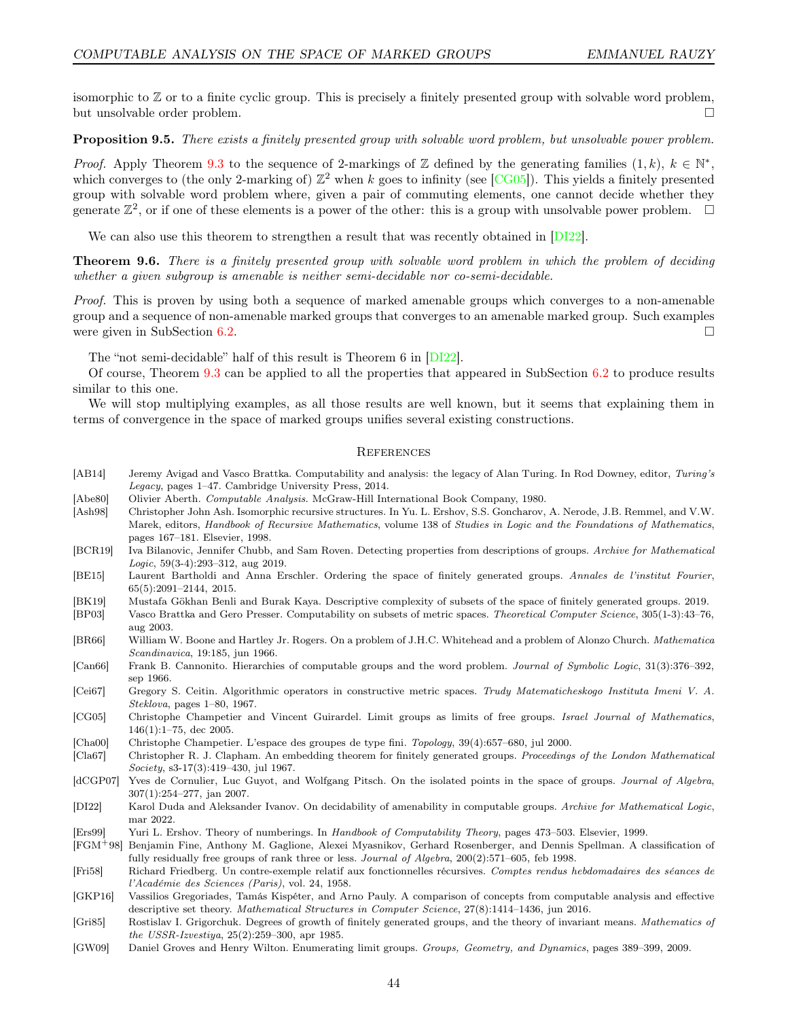isomorphic to Z or to a finite cyclic group. This is precisely a finitely presented group with solvable word problem, but unsolvable order problem.

Proposition 9.5. There exists a finitely presented group with solvable word problem, but unsolvable power problem.

*Proof.* Apply Theorem [9.3](#page-42-1) to the sequence of 2-markings of Z defined by the generating families  $(1, k)$ ,  $k \in \mathbb{N}^*$ , which converges to (the only 2-marking of)  $\mathbb{Z}^2$  when k goes to infinity (see [\[CG05\]](#page-43-12)). This yields a finitely presented group with solvable word problem where, given a pair of commuting elements, one cannot decide whether they generate  $\mathbb{Z}^2$ , or if one of these elements is a power of the other: this is a group with unsolvable power problem.  $\Box$ 

We can also use this theorem to strengthen a result that was recently obtained in [\[DI22\]](#page-43-8).

Theorem 9.6. There is a finitely presented group with solvable word problem in which the problem of deciding whether a given subgroup is amenable is neither semi-decidable nor co-semi-decidable.

Proof. This is proven by using both a sequence of marked amenable groups which converges to a non-amenable group and a sequence of non-amenable marked groups that converges to an amenable marked group. Such examples were given in SubSection [6.2.](#page-32-1)

The "not semi-decidable" half of this result is Theorem 6 in [\[DI22\]](#page-43-8).

Of course, Theorem [9.3](#page-42-1) can be applied to all the properties that appeared in SubSection [6.2](#page-32-1) to produce results similar to this one.

We will stop multiplying examples, as all those results are well known, but it seems that explaining them in terms of convergence in the space of marked groups unifies several existing constructions.

# <span id="page-43-0"></span>**REFERENCES**

- <span id="page-43-10"></span>[AB14] Jeremy Avigad and Vasco Brattka. Computability and analysis: the legacy of Alan Turing. In Rod Downey, editor, Turing's Legacy, pages 1–47. Cambridge University Press, 2014.
- <span id="page-43-11"></span>[Abe80] Olivier Aberth. Computable Analysis. McGraw-Hill International Book Company, 1980.
- <span id="page-43-9"></span>[Ash98] Christopher John Ash. Isomorphic recursive structures. In Yu. L. Ershov, S.S. Goncharov, A. Nerode, J.B. Remmel, and V.W. Marek, editors, Handbook of Recursive Mathematics, volume 138 of Studies in Logic and the Foundations of Mathematics, pages 167–181. Elsevier, 1998.
- <span id="page-43-19"></span>[BCR19] Iva Bilanovic, Jennifer Chubb, and Sam Roven. Detecting properties from descriptions of groups. Archive for Mathematical Logic, 59(3-4):293–312, aug 2019.
- <span id="page-43-7"></span>[BE15] Laurent Bartholdi and Anna Erschler. Ordering the space of finitely generated groups. Annales de l'institut Fourier, 65(5):2091–2144, 2015.
- <span id="page-43-5"></span>[BK19] Mustafa Gökhan Benli and Burak Kaya. Descriptive complexity of subsets of the space of finitely generated groups. 2019.
- <span id="page-43-14"></span>[BP03] Vasco Brattka and Gero Presser. Computability on subsets of metric spaces. Theoretical Computer Science, 305(1-3):43–76, aug 2003.
- <span id="page-43-4"></span>[BR66] William W. Boone and Hartley Jr. Rogers. On a problem of J.H.C. Whitehead and a problem of Alonzo Church. Mathematica Scandinavica, 19:185, jun 1966.
- <span id="page-43-15"></span>[Can66] Frank B. Cannonito. Hierarchies of computable groups and the word problem. Journal of Symbolic Logic, 31(3):376–392, sep 1966.
- <span id="page-43-1"></span>[Cei67] Gregory S. Ceitin. Algorithmic operators in constructive metric spaces. Trudy Matematicheskogo Instituta Imeni V. A. Steklova, pages 1–80, 1967.
- <span id="page-43-12"></span>[CG05] Christophe Champetier and Vincent Guirardel. Limit groups as limits of free groups. Israel Journal of Mathematics, 146(1):1–75, dec 2005.
- <span id="page-43-21"></span>[Cha00] Christophe Champetier. L'espace des groupes de type fini. Topology, 39(4):657–680, jul 2000.
- <span id="page-43-18"></span>[Cla67] Christopher R. J. Clapham. An embedding theorem for finitely generated groups. Proceedings of the London Mathematical Society, s3-17(3):419–430, jul 1967.
- <span id="page-43-3"></span>[dCGP07] Yves de Cornulier, Luc Guyot, and Wolfgang Pitsch. On the isolated points in the space of groups. Journal of Algebra, 307(1):254–277, jan 2007.
- <span id="page-43-8"></span>[DI22] Karol Duda and Aleksander Ivanov. On decidability of amenability in computable groups. Archive for Mathematical Logic, mar 2022.
- <span id="page-43-13"></span>[Ers99] Yuri L. Ershov. Theory of numberings. In Handbook of Computability Theory, pages 473–503. Elsevier, 1999.
- <span id="page-43-20"></span>[FGM+98] Benjamin Fine, Anthony M. Gaglione, Alexei Myasnikov, Gerhard Rosenberger, and Dennis Spellman. A classification of fully residually free groups of rank three or less. Journal of Algebra, 200(2):571–605, feb 1998.
- <span id="page-43-17"></span>[Fri58] Richard Friedberg. Un contre-exemple relatif aux fonctionnelles récursives. Comptes rendus hebdomadaires des séances de l'Académie des Sciences (Paris), vol. 24, 1958.
- <span id="page-43-16"></span>[GKP16] Vassilios Gregoriades, Tamás Kispéter, and Arno Pauly. A comparison of concepts from computable analysis and effective descriptive set theory. Mathematical Structures in Computer Science, 27(8):1414–1436, jun 2016.
- <span id="page-43-2"></span>[Gri85] Rostislav I. Grigorchuk. Degrees of growth of finitely generated groups, and the theory of invariant means. Mathematics of the USSR-Izvestiya, 25(2):259–300, apr 1985.
- <span id="page-43-6"></span>[GW09] Daniel Groves and Henry Wilton. Enumerating limit groups. Groups, Geometry, and Dynamics, pages 389–399, 2009.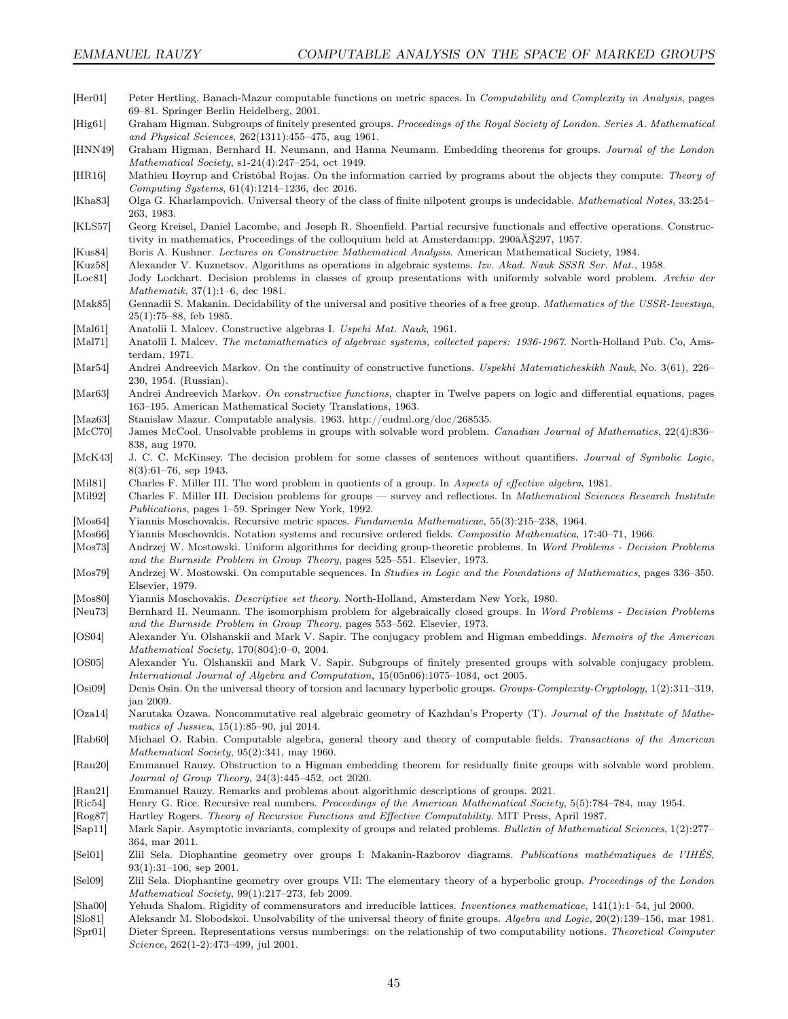- <span id="page-44-18"></span>[Her01] Peter Hertling. Banach-Mazur computable functions on metric spaces. In Computability and Complexity in Analysis, pages 69–81. Springer Berlin Heidelberg, 2001.
- <span id="page-44-36"></span>[Hig61] Graham Higman. Subgroups of finitely presented groups. Proceedings of the Royal Society of London. Series A. Mathematical and Physical Sciences, 262(1311):455–475, aug 1961.
- <span id="page-44-38"></span>[HNN49] Graham Higman, Bernhard H. Neumann, and Hanna Neumann. Embedding theorems for groups. Journal of the London Mathematical Society, s1-24(4):247–254, oct 1949.
- <span id="page-44-21"></span>[HR16] Mathieu Hoyrup and Cristóbal Rojas. On the information carried by programs about the objects they compute. Theory of Computing Systems, 61(4):1214–1236, dec 2016.
- <span id="page-44-34"></span>[Kha83] Olga G. Kharlampovich. Universal theory of the class of finite nilpotent groups is undecidable. Mathematical Notes, 33:254– 263, 1983.
- <span id="page-44-5"></span>[KLS57] Georg Kreisel, Daniel Lacombe, and Joseph R. Shoenfield. Partial recursive functionals and effective operations. Constructivity in mathematics, Proceedings of the colloquium held at Amsterdam:pp. 290âĂŞ297, 1957.
- <span id="page-44-13"></span>[Kus84] Boris A. Kushner. Lectures on Constructive Mathematical Analysis. American Mathematical Society, 1984.
- <span id="page-44-23"></span>[Kuz58] Alexander V. Kuznetsov. Algorithms as operations in algebraic systems. Izv. Akad. Nauk SSSR Ser. Mat., 1958.
- <span id="page-44-12"></span>[Loc81] Jody Lockhart. Decision problems in classes of group presentations with uniformly solvable word problem. Archiv der Mathematik, 37(1):1–6, dec 1981.
- <span id="page-44-32"></span>[Mak85] Gennadii S. Makanin. Decidability of the universal and positive theories of a free group. Mathematics of the USSR-Izvestiya, 25(1):75–88, feb 1985.
- <span id="page-44-1"></span>[Mal61] Anatolii I. Malcev. Constructive algebras I. Uspehi Mat. Nauk, 1961.
- <span id="page-44-2"></span>[Mal71] Anatolii I. Malcev. The metamathematics of algebraic systems, collected papers: 1936-1967. North-Holland Pub. Co, Amsterdam, 1971.
- <span id="page-44-7"></span>[Mar54] Andrei Andreevich Markov. On the continuity of constructive functions. Uspekhi Matematicheskikh Nauk, No. 3(61), 226– 230, 1954. (Russian).
- <span id="page-44-8"></span>[Mar63] Andrei Andreevich Markov. On constructive functions, chapter in Twelve papers on logic and differential equations, pages 163–195. American Mathematical Society Translations, 1963.
- <span id="page-44-4"></span>[Maz63] Stanislaw Mazur. Computable analysis. 1963. http://eudml.org/doc/268535.
- <span id="page-44-11"></span>[McC70] James McCool. Unsolvable problems in groups with solvable word problem. Canadian Journal of Mathematics, 22(4):836– 838, aug 1970.
- <span id="page-44-28"></span>[McK43] J. C. C. McKinsey. The decision problem for some classes of sentences without quantifiers. Journal of Symbolic Logic, 8(3):61–76, sep 1943.
- <span id="page-44-9"></span>[Mil81] Charles F. Miller III. The word problem in quotients of a group. In Aspects of effective algebra, 1981.
- <span id="page-44-15"></span>[Mil92] Charles F. Miller III. Decision problems for groups — survey and reflections. In Mathematical Sciences Research Institute Publications, pages 1–59. Springer New York, 1992.
- <span id="page-44-6"></span>[Mos64] Yiannis Moschovakis. Recursive metric spaces. Fundamenta Mathematicae, 55(3):215–238, 1964.
- <span id="page-44-14"></span>[Mos66] Yiannis Moschovakis. Notation systems and recursive ordered fields. Compositio Mathematica, 17:40–71, 1966.
- <span id="page-44-31"></span>[Mos73] Andrzej W. Mostowski. Uniform algorithms for deciding group-theoretic problems. In Word Problems - Decision Problems and the Burnside Problem in Group Theory, pages 525–551. Elsevier, 1973.
- <span id="page-44-19"></span>[Mos79] Andrzej W. Mostowski. On computable sequences. In Studies in Logic and the Foundations of Mathematics, pages 336–350. Elsevier, 1979.
- <span id="page-44-10"></span>[Mos80] Yiannis Moschovakis. Descriptive set theory. North-Holland, Amsterdam New York, 1980.
- <span id="page-44-26"></span>[Neu73] Bernhard H. Neumann. The isomorphism problem for algebraically closed groups. In Word Problems - Decision Problems and the Burnside Problem in Group Theory, pages 553–562. Elsevier, 1973.
- <span id="page-44-37"></span>[OS04] Alexander Yu. Olshanskii and Mark V. Sapir. The conjugacy problem and Higman embeddings. Memoirs of the American Mathematical Society, 170(804):0–0, 2004.
- <span id="page-44-39"></span>[OS05] Alexander Yu. Olshanskii and Mark V. Sapir. Subgroups of finitely presented groups with solvable conjugacy problem. International Journal of Algebra and Computation, 15(05n06):1075–1084, oct 2005.
- <span id="page-44-35"></span>[Osi09] Denis Osin. On the universal theory of torsion and lacunary hyperbolic groups. Groups-Complexity-Cryptology, 1(2):311–319, jan 2009.
- <span id="page-44-25"></span>[Oza14] Narutaka Ozawa. Noncommutative real algebraic geometry of Kazhdan's Property (T). Journal of the Institute of Mathematics of Jussieu, 15(1):85–90, jul 2014.
- <span id="page-44-3"></span>[Rab60] Michael O. Rabin. Computable algebra, general theory and theory of computable fields. Transactions of the American Mathematical Society, 95(2):341, may 1960.
- <span id="page-44-22"></span>[Rau20] Emmanuel Rauzy. Obstruction to a Higman embedding theorem for residually finite groups with solvable word problem. Journal of Group Theory, 24(3):445–452, oct 2020.
- <span id="page-44-0"></span>[Rau21] Emmanuel Rauzy. Remarks and problems about algorithmic descriptions of groups. 2021.
- <span id="page-44-20"></span>[Ric54] Henry G. Rice. Recursive real numbers. Proceedings of the American Mathematical Society, 5(5):784–784, may 1954.
- <span id="page-44-16"></span>[Rog87] Hartley Rogers. Theory of Recursive Functions and Effective Computability. MIT Press, April 1987.
- <span id="page-44-30"></span>[Sap11] Mark Sapir. Asymptotic invariants, complexity of groups and related problems. Bulletin of Mathematical Sciences, 1(2):277– 364, mar 2011.
- <span id="page-44-29"></span>[Sel01] Zlil Sela. Diophantine geometry over groups I: Makanin-Razborov diagrams. Publications mathématiques de l'IHÉS, 93(1):31–106, sep 2001.
- <span id="page-44-27"></span>[Sel09] Zlil Sela. Diophantine geometry over groups VII: The elementary theory of a hyperbolic group. Proceedings of the London Mathematical Society, 99(1):217–273, feb 2009.
- <span id="page-44-24"></span>[Sha00] Yehuda Shalom. Rigidity of commensurators and irreducible lattices. Inventiones mathematicae, 141(1):1–54, jul 2000.
- <span id="page-44-33"></span>[Slo81] Aleksandr M. Slobodskoi. Unsolvability of the universal theory of finite groups. Algebra and Logic, 20(2):139–156, mar 1981.
- <span id="page-44-17"></span>[Spr01] Dieter Spreen. Representations versus numberings: on the relationship of two computability notions. Theoretical Computer Science, 262(1-2):473-499, jul 2001.